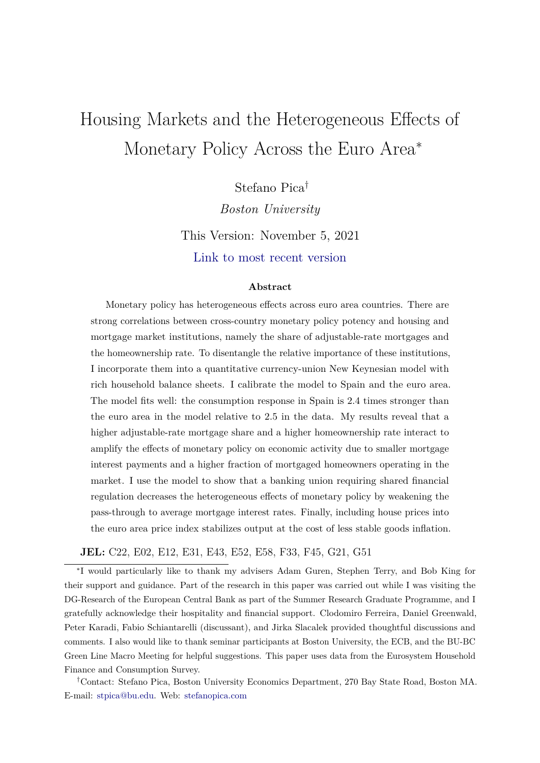# <span id="page-0-0"></span>Housing Markets and the Heterogeneous Effects of Monetary Policy Across the Euro Area<sup>∗</sup>

Stefano Pica† *Boston University* This Version: November 5, 2021 [Link to most recent version](https://www.stefanopica.com/research/HMHEMPEA/Pica_JMP_2021_BU.pdf)

#### **Abstract**

Monetary policy has heterogeneous effects across euro area countries. There are strong correlations between cross-country monetary policy potency and housing and mortgage market institutions, namely the share of adjustable-rate mortgages and the homeownership rate. To disentangle the relative importance of these institutions, I incorporate them into a quantitative currency-union New Keynesian model with rich household balance sheets. I calibrate the model to Spain and the euro area. The model fits well: the consumption response in Spain is 2.4 times stronger than the euro area in the model relative to 2.5 in the data. My results reveal that a higher adjustable-rate mortgage share and a higher homeownership rate interact to amplify the effects of monetary policy on economic activity due to smaller mortgage interest payments and a higher fraction of mortgaged homeowners operating in the market. I use the model to show that a banking union requiring shared financial regulation decreases the heterogeneous effects of monetary policy by weakening the pass-through to average mortgage interest rates. Finally, including house prices into the euro area price index stabilizes output at the cost of less stable goods inflation.

#### **JEL:** C22, E02, E12, E31, E43, E52, E58, F33, F45, G21, G51

∗ I would particularly like to thank my advisers Adam Guren, Stephen Terry, and Bob King for their support and guidance. Part of the research in this paper was carried out while I was visiting the DG-Research of the European Central Bank as part of the Summer Research Graduate Programme, and I gratefully acknowledge their hospitality and financial support. Clodomiro Ferreira, Daniel Greenwald, Peter Karadi, Fabio Schiantarelli (discussant), and Jirka Slacalek provided thoughtful discussions and comments. I also would like to thank seminar participants at Boston University, the ECB, and the BU-BC Green Line Macro Meeting for helpful suggestions. This paper uses data from the Eurosystem Household Finance and Consumption Survey.

†Contact: Stefano Pica, Boston University Economics Department, 270 Bay State Road, Boston MA. E-mail: stpica@bu.edu. Web: [stefanopica.com](https://www.stefanopica.com)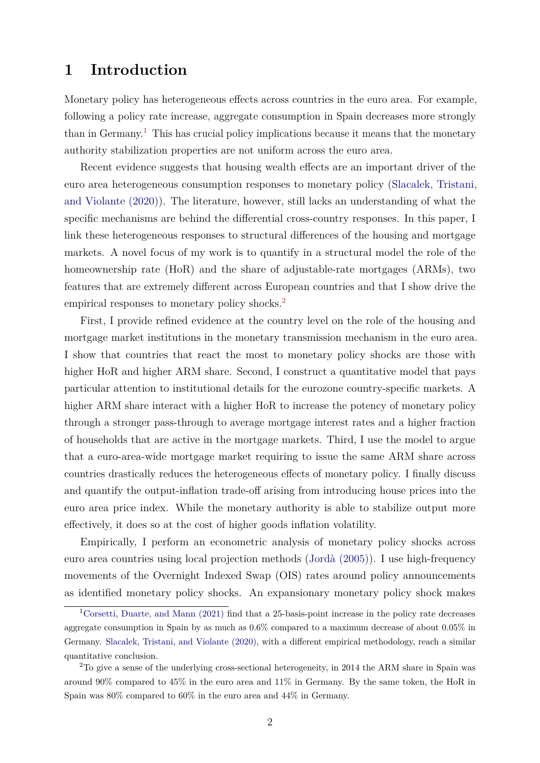# <span id="page-1-0"></span>**1 Introduction**

Monetary policy has heterogeneous effects across countries in the euro area. For example, following a policy rate increase, aggregate consumption in Spain decreases more strongly than in Germany.<sup>[1](#page-0-0)</sup> This has crucial policy implications because it means that the monetary authority stabilization properties are not uniform across the euro area.

Recent evidence suggests that housing wealth effects are an important driver of the euro area heterogeneous consumption responses to monetary policy [\(Slacalek, Tristani,](#page-43-0) [and Violante \(2020\)\)](#page-43-0). The literature, however, still lacks an understanding of what the specific mechanisms are behind the differential cross-country responses. In this paper, I link these heterogeneous responses to structural differences of the housing and mortgage markets. A novel focus of my work is to quantify in a structural model the role of the homeownership rate (HoR) and the share of adjustable-rate mortgages (ARMs), two features that are extremely different across European countries and that I show drive the empirical responses to monetary policy shocks.<sup>[2](#page-0-0)</sup>

First, I provide refined evidence at the country level on the role of the housing and mortgage market institutions in the monetary transmission mechanism in the euro area. I show that countries that react the most to monetary policy shocks are those with higher HoR and higher ARM share. Second, I construct a quantitative model that pays particular attention to institutional details for the eurozone country-specific markets. A higher ARM share interact with a higher HoR to increase the potency of monetary policy through a stronger pass-through to average mortgage interest rates and a higher fraction of households that are active in the mortgage markets. Third, I use the model to argue that a euro-area-wide mortgage market requiring to issue the same ARM share across countries drastically reduces the heterogeneous effects of monetary policy. I finally discuss and quantify the output-inflation trade-off arising from introducing house prices into the euro area price index. While the monetary authority is able to stabilize output more effectively, it does so at the cost of higher goods inflation volatility.

Empirically, I perform an econometric analysis of monetary policy shocks across euro area countries using local projection methods [\(Jordà \(2005\)\)](#page-42-0). I use high-frequency movements of the Overnight Indexed Swap (OIS) rates around policy announcements as identified monetary policy shocks. An expansionary monetary policy shock makes

<sup>&</sup>lt;sup>1</sup>[Corsetti, Duarte, and Mann \(2021\)](#page-41-0) find that a 25-basis-point increase in the policy rate decreases aggregate consumption in Spain by as much as 0*.*6% compared to a maximum decrease of about 0*.*05% in Germany. [Slacalek, Tristani, and Violante \(2020\),](#page-43-0) with a different empirical methodology, reach a similar quantitative conclusion.

<sup>&</sup>lt;sup>2</sup>To give a sense of the underlying cross-sectional heterogeneity, in 2014 the ARM share in Spain was around 90% compared to 45% in the euro area and 11% in Germany. By the same token, the HoR in Spain was 80% compared to 60% in the euro area and 44% in Germany.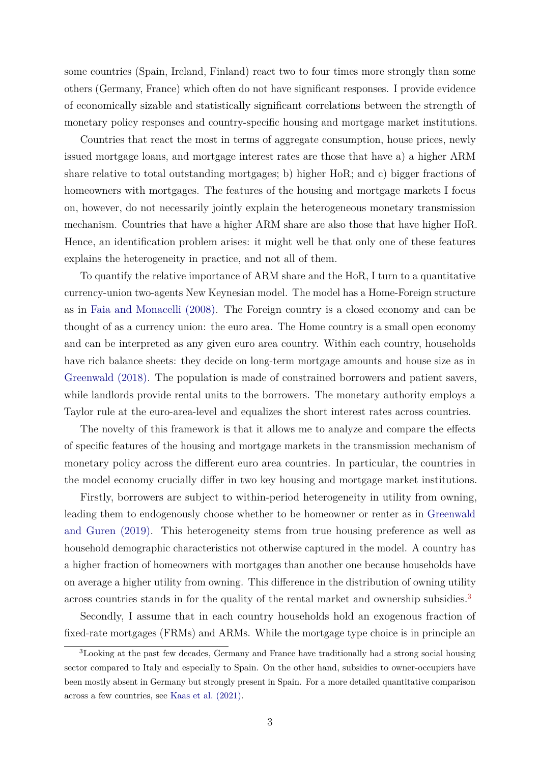<span id="page-2-0"></span>some countries (Spain, Ireland, Finland) react two to four times more strongly than some others (Germany, France) which often do not have significant responses. I provide evidence of economically sizable and statistically significant correlations between the strength of monetary policy responses and country-specific housing and mortgage market institutions.

Countries that react the most in terms of aggregate consumption, house prices, newly issued mortgage loans, and mortgage interest rates are those that have a) a higher ARM share relative to total outstanding mortgages; b) higher HoR; and c) bigger fractions of homeowners with mortgages. The features of the housing and mortgage markets I focus on, however, do not necessarily jointly explain the heterogeneous monetary transmission mechanism. Countries that have a higher ARM share are also those that have higher HoR. Hence, an identification problem arises: it might well be that only one of these features explains the heterogeneity in practice, and not all of them.

To quantify the relative importance of ARM share and the HoR, I turn to a quantitative currency-union two-agents New Keynesian model. The model has a Home-Foreign structure as in [Faia and Monacelli \(2008\).](#page-41-1) The Foreign country is a closed economy and can be thought of as a currency union: the euro area. The Home country is a small open economy and can be interpreted as any given euro area country. Within each country, households have rich balance sheets: they decide on long-term mortgage amounts and house size as in [Greenwald \(2018\).](#page-42-1) The population is made of constrained borrowers and patient savers, while landlords provide rental units to the borrowers. The monetary authority employs a Taylor rule at the euro-area-level and equalizes the short interest rates across countries.

The novelty of this framework is that it allows me to analyze and compare the effects of specific features of the housing and mortgage markets in the transmission mechanism of monetary policy across the different euro area countries. In particular, the countries in the model economy crucially differ in two key housing and mortgage market institutions.

Firstly, borrowers are subject to within-period heterogeneity in utility from owning, leading them to endogenously choose whether to be homeowner or renter as in [Greenwald](#page-42-2) [and Guren \(2019\).](#page-42-2) This heterogeneity stems from true housing preference as well as household demographic characteristics not otherwise captured in the model. A country has a higher fraction of homeowners with mortgages than another one because households have on average a higher utility from owning. This difference in the distribution of owning utility across countries stands in for the quality of the rental market and ownership subsidies.[3](#page-0-0)

Secondly, I assume that in each country households hold an exogenous fraction of fixed-rate mortgages (FRMs) and ARMs. While the mortgage type choice is in principle an

<sup>3</sup>Looking at the past few decades, Germany and France have traditionally had a strong social housing sector compared to Italy and especially to Spain. On the other hand, subsidies to owner-occupiers have been mostly absent in Germany but strongly present in Spain. For a more detailed quantitative comparison across a few countries, see [Kaas et al. \(2021\).](#page-42-3)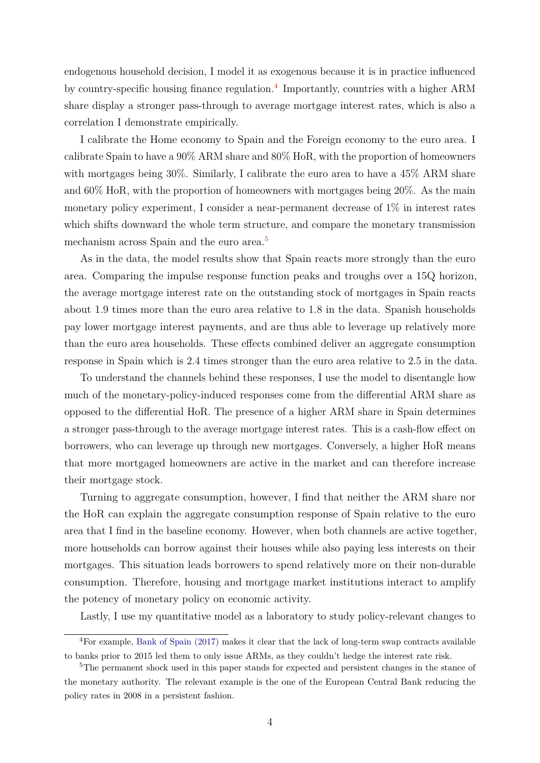<span id="page-3-0"></span>endogenous household decision, I model it as exogenous because it is in practice influenced by country-specific housing finance regulation.<sup>[4](#page-0-0)</sup> Importantly, countries with a higher ARM share display a stronger pass-through to average mortgage interest rates, which is also a correlation I demonstrate empirically.

I calibrate the Home economy to Spain and the Foreign economy to the euro area. I calibrate Spain to have a 90% ARM share and 80% HoR, with the proportion of homeowners with mortgages being 30%. Similarly, I calibrate the euro area to have a 45% ARM share and 60% HoR, with the proportion of homeowners with mortgages being 20%. As the main monetary policy experiment, I consider a near-permanent decrease of 1% in interest rates which shifts downward the whole term structure, and compare the monetary transmission mechanism across Spain and the euro area.<sup>[5](#page-0-0)</sup>

As in the data, the model results show that Spain reacts more strongly than the euro area. Comparing the impulse response function peaks and troughs over a 15Q horizon, the average mortgage interest rate on the outstanding stock of mortgages in Spain reacts about 1.9 times more than the euro area relative to 1.8 in the data. Spanish households pay lower mortgage interest payments, and are thus able to leverage up relatively more than the euro area households. These effects combined deliver an aggregate consumption response in Spain which is 2.4 times stronger than the euro area relative to 2.5 in the data.

To understand the channels behind these responses, I use the model to disentangle how much of the monetary-policy-induced responses come from the differential ARM share as opposed to the differential HoR. The presence of a higher ARM share in Spain determines a stronger pass-through to the average mortgage interest rates. This is a cash-flow effect on borrowers, who can leverage up through new mortgages. Conversely, a higher HoR means that more mortgaged homeowners are active in the market and can therefore increase their mortgage stock.

Turning to aggregate consumption, however, I find that neither the ARM share nor the HoR can explain the aggregate consumption response of Spain relative to the euro area that I find in the baseline economy. However, when both channels are active together, more households can borrow against their houses while also paying less interests on their mortgages. This situation leads borrowers to spend relatively more on their non-durable consumption. Therefore, housing and mortgage market institutions interact to amplify the potency of monetary policy on economic activity.

Lastly, I use my quantitative model as a laboratory to study policy-relevant changes to

<sup>4</sup>For example, [Bank of Spain \(2017\)](#page-40-0) makes it clear that the lack of long-term swap contracts available to banks prior to 2015 led them to only issue ARMs, as they couldn't hedge the interest rate risk.

<sup>&</sup>lt;sup>5</sup>The permanent shock used in this paper stands for expected and persistent changes in the stance of the monetary authority. The relevant example is the one of the European Central Bank reducing the policy rates in 2008 in a persistent fashion.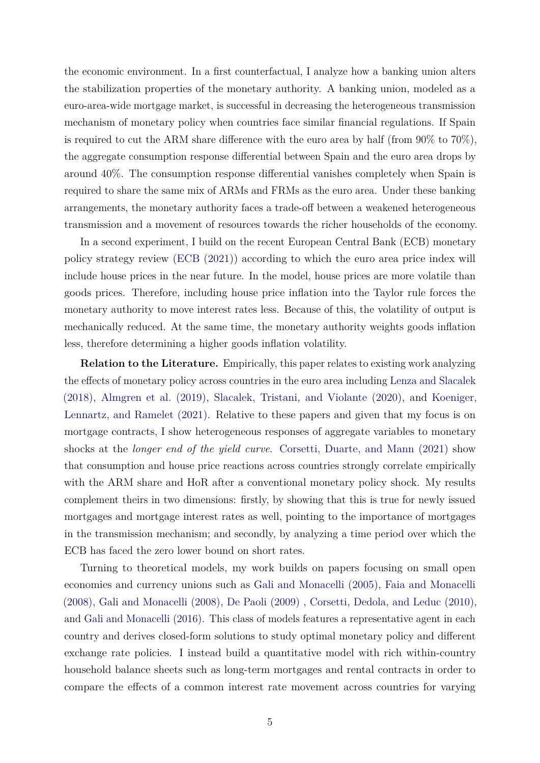<span id="page-4-0"></span>the economic environment. In a first counterfactual, I analyze how a banking union alters the stabilization properties of the monetary authority. A banking union, modeled as a euro-area-wide mortgage market, is successful in decreasing the heterogeneous transmission mechanism of monetary policy when countries face similar financial regulations. If Spain is required to cut the ARM share difference with the euro area by half (from  $90\%$  to  $70\%$ ), the aggregate consumption response differential between Spain and the euro area drops by around 40%. The consumption response differential vanishes completely when Spain is required to share the same mix of ARMs and FRMs as the euro area. Under these banking arrangements, the monetary authority faces a trade-off between a weakened heterogeneous transmission and a movement of resources towards the richer households of the economy.

In a second experiment, I build on the recent European Central Bank (ECB) monetary policy strategy review [\(ECB \(2021\)\)](#page-41-2) according to which the euro area price index will include house prices in the near future. In the model, house prices are more volatile than goods prices. Therefore, including house price inflation into the Taylor rule forces the monetary authority to move interest rates less. Because of this, the volatility of output is mechanically reduced. At the same time, the monetary authority weights goods inflation less, therefore determining a higher goods inflation volatility.

**Relation to the Literature.** Empirically, this paper relates to existing work analyzing the effects of monetary policy across countries in the euro area including [Lenza and Slacalek](#page-43-1) [\(2018\),](#page-43-1) [Almgren et al. \(2019\),](#page-40-1) [Slacalek, Tristani, and Violante \(2020\),](#page-43-0) and [Koeniger,](#page-42-4) [Lennartz, and Ramelet \(2021\).](#page-42-4) Relative to these papers and given that my focus is on mortgage contracts, I show heterogeneous responses of aggregate variables to monetary shocks at the *longer end of the yield curve*. [Corsetti, Duarte, and Mann \(2021\)](#page-41-0) show that consumption and house price reactions across countries strongly correlate empirically with the ARM share and HoR after a conventional monetary policy shock. My results complement theirs in two dimensions: firstly, by showing that this is true for newly issued mortgages and mortgage interest rates as well, pointing to the importance of mortgages in the transmission mechanism; and secondly, by analyzing a time period over which the ECB has faced the zero lower bound on short rates.

Turning to theoretical models, my work builds on papers focusing on small open economies and currency unions such as [Gali and Monacelli \(2005\),](#page-41-3) [Faia and Monacelli](#page-41-1) [\(2008\),](#page-41-1) [Gali and Monacelli \(2008\),](#page-41-4) [De Paoli \(2009\)](#page-41-5) , [Corsetti, Dedola, and Leduc \(2010\),](#page-41-6) and [Gali and Monacelli \(2016\).](#page-41-7) This class of models features a representative agent in each country and derives closed-form solutions to study optimal monetary policy and different exchange rate policies. I instead build a quantitative model with rich within-country household balance sheets such as long-term mortgages and rental contracts in order to compare the effects of a common interest rate movement across countries for varying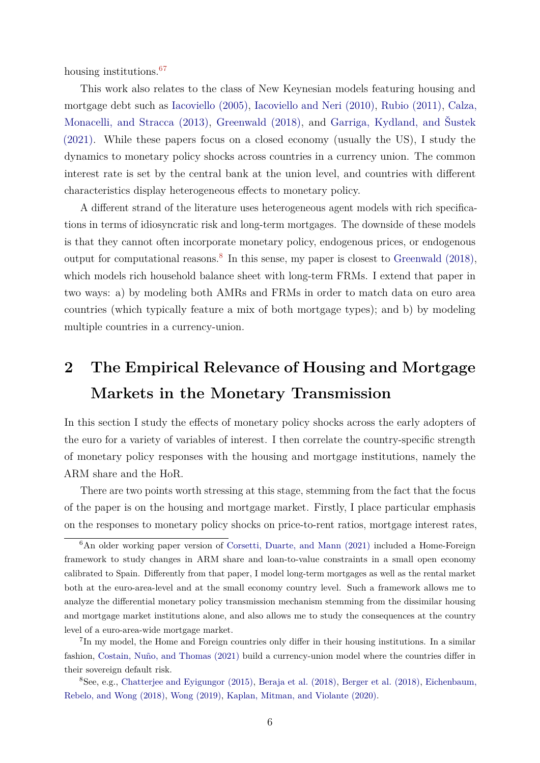<span id="page-5-0"></span>housing institutions.<sup>[67](#page-0-0)</sup>

This work also relates to the class of New Keynesian models featuring housing and mortgage debt such as [Iacoviello \(2005\),](#page-42-5) [Iacoviello and Neri \(2010\),](#page-42-6) [Rubio \(2011\),](#page-43-2) [Calza,](#page-40-2) [Monacelli, and Stracca \(2013\),](#page-40-2) [Greenwald \(2018\),](#page-42-1) and [Garriga, Kydland, and Šustek](#page-42-7) [\(2021\).](#page-42-7) While these papers focus on a closed economy (usually the US), I study the dynamics to monetary policy shocks across countries in a currency union. The common interest rate is set by the central bank at the union level, and countries with different characteristics display heterogeneous effects to monetary policy.

A different strand of the literature uses heterogeneous agent models with rich specifications in terms of idiosyncratic risk and long-term mortgages. The downside of these models is that they cannot often incorporate monetary policy, endogenous prices, or endogenous output for computational reasons.<sup>[8](#page-0-0)</sup> In this sense, my paper is closest to Greenwald  $(2018)$ , which models rich household balance sheet with long-term FRMs. I extend that paper in two ways: a) by modeling both AMRs and FRMs in order to match data on euro area countries (which typically feature a mix of both mortgage types); and b) by modeling multiple countries in a currency-union.

# <span id="page-5-1"></span>**2 The Empirical Relevance of Housing and Mortgage Markets in the Monetary Transmission**

In this section I study the effects of monetary policy shocks across the early adopters of the euro for a variety of variables of interest. I then correlate the country-specific strength of monetary policy responses with the housing and mortgage institutions, namely the ARM share and the HoR.

There are two points worth stressing at this stage, stemming from the fact that the focus of the paper is on the housing and mortgage market. Firstly, I place particular emphasis on the responses to monetary policy shocks on price-to-rent ratios, mortgage interest rates,

<sup>&</sup>lt;sup>6</sup>An older working paper version of [Corsetti, Duarte, and Mann \(2021\)](#page-41-0) included a Home-Foreign framework to study changes in ARM share and loan-to-value constraints in a small open economy calibrated to Spain. Differently from that paper, I model long-term mortgages as well as the rental market both at the euro-area-level and at the small economy country level. Such a framework allows me to analyze the differential monetary policy transmission mechanism stemming from the dissimilar housing and mortgage market institutions alone, and also allows me to study the consequences at the country level of a euro-area-wide mortgage market.

<sup>&</sup>lt;sup>7</sup>In my model, the Home and Foreign countries only differ in their housing institutions. In a similar fashion, [Costain, Nuño, and Thomas \(2021\)](#page-41-8) build a currency-union model where the countries differ in their sovereign default risk.

<sup>8</sup>See, e.g., [Chatterjee and Eyigungor \(2015\),](#page-40-3) [Beraja et al. \(2018\),](#page-40-4) [Berger et al. \(2018\),](#page-40-5) [Eichenbaum,](#page-41-9) [Rebelo, and Wong \(2018\),](#page-41-9) [Wong \(2019\),](#page-43-3) [Kaplan, Mitman, and Violante \(2020\).](#page-42-8)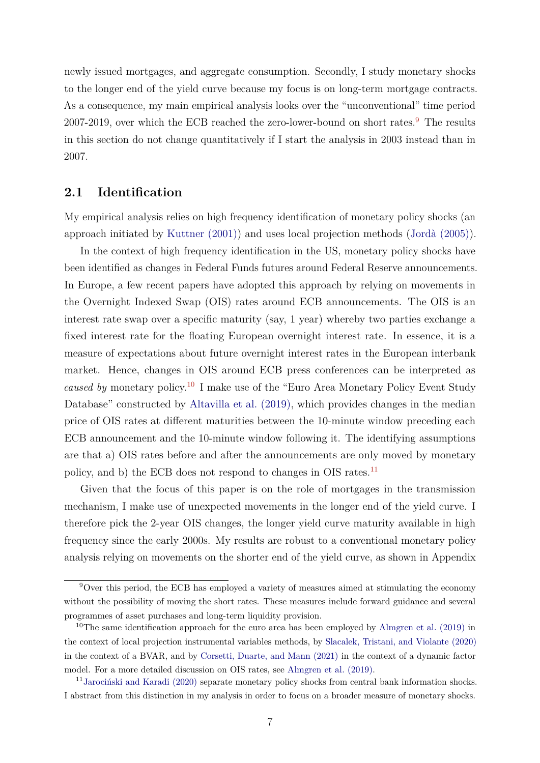<span id="page-6-0"></span>newly issued mortgages, and aggregate consumption. Secondly, I study monetary shocks to the longer end of the yield curve because my focus is on long-term mortgage contracts. As a consequence, my main empirical analysis looks over the "unconventional" time period 2007-201[9](#page-0-0), over which the ECB reached the zero-lower-bound on short rates.<sup>9</sup> The results in this section do not change quantitatively if I start the analysis in 2003 instead than in 2007.

### **2.1 Identification**

My empirical analysis relies on high frequency identification of monetary policy shocks (an approach initiated by [Kuttner \(2001\)\)](#page-42-9) and uses local projection methods [\(Jordà \(2005\)\)](#page-42-0).

In the context of high frequency identification in the US, monetary policy shocks have been identified as changes in Federal Funds futures around Federal Reserve announcements. In Europe, a few recent papers have adopted this approach by relying on movements in the Overnight Indexed Swap (OIS) rates around ECB announcements. The OIS is an interest rate swap over a specific maturity (say, 1 year) whereby two parties exchange a fixed interest rate for the floating European overnight interest rate. In essence, it is a measure of expectations about future overnight interest rates in the European interbank market. Hence, changes in OIS around ECB press conferences can be interpreted as *caused by* monetary policy.[10](#page-0-0) I make use of the "Euro Area Monetary Policy Event Study Database" constructed by [Altavilla et al. \(2019\),](#page-40-6) which provides changes in the median price of OIS rates at different maturities between the 10-minute window preceding each ECB announcement and the 10-minute window following it. The identifying assumptions are that a) OIS rates before and after the announcements are only moved by monetary policy, and b) the ECB does not respond to changes in OIS rates.<sup>[11](#page-0-0)</sup>

Given that the focus of this paper is on the role of mortgages in the transmission mechanism, I make use of unexpected movements in the longer end of the yield curve. I therefore pick the 2-year OIS changes, the longer yield curve maturity available in high frequency since the early 2000s. My results are robust to a conventional monetary policy analysis relying on movements on the shorter end of the yield curve, as shown in Appendix

 $9$ Over this period, the ECB has employed a variety of measures aimed at stimulating the economy without the possibility of moving the short rates. These measures include forward guidance and several programmes of asset purchases and long-term liquidity provision.

 $10$ The same identification approach for the euro area has been employed by [Almgren et al. \(2019\)](#page-40-1) in the context of local projection instrumental variables methods, by [Slacalek, Tristani, and Violante \(2020\)](#page-43-0) in the context of a BVAR, and by [Corsetti, Duarte, and Mann \(2021\)](#page-41-0) in the context of a dynamic factor model. For a more detailed discussion on OIS rates, see [Almgren et al. \(2019\).](#page-40-1)

<sup>11</sup>[Jarociński and Karadi \(2020\)](#page-42-10) separate monetary policy shocks from central bank information shocks. I abstract from this distinction in my analysis in order to focus on a broader measure of monetary shocks.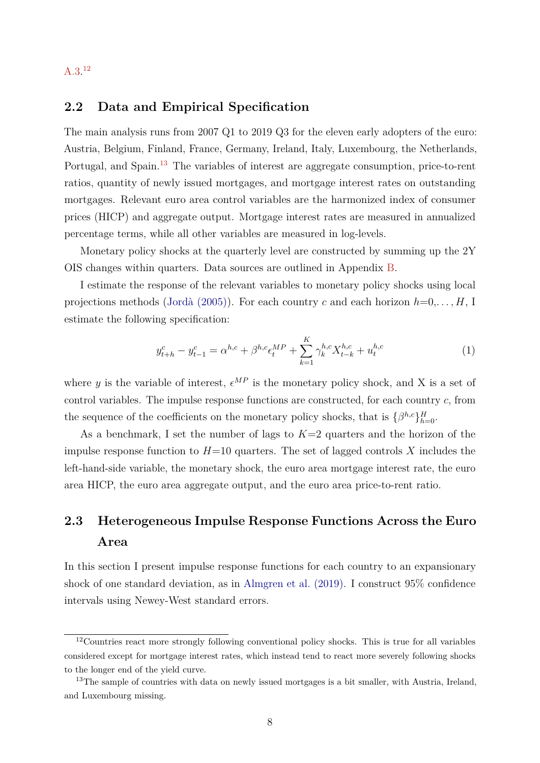### <span id="page-7-2"></span>[A.3.](#page-46-0) [12](#page-0-0)

### <span id="page-7-3"></span>**2.2 Data and Empirical Specification**

The main analysis runs from 2007 Q1 to 2019 Q3 for the eleven early adopters of the euro: Austria, Belgium, Finland, France, Germany, Ireland, Italy, Luxembourg, the Netherlands, Portugal, and Spain.<sup>[13](#page-0-0)</sup> The variables of interest are aggregate consumption, price-to-rent ratios, quantity of newly issued mortgages, and mortgage interest rates on outstanding mortgages. Relevant euro area control variables are the harmonized index of consumer prices (HICP) and aggregate output. Mortgage interest rates are measured in annualized percentage terms, while all other variables are measured in log-levels.

Monetary policy shocks at the quarterly level are constructed by summing up the 2Y OIS changes within quarters. Data sources are outlined in Appendix [B.](#page-54-0)

I estimate the response of the relevant variables to monetary policy shocks using local projections methods [\(Jordà \(2005\)\)](#page-42-0). For each country *c* and each horizon *h*=0,*. . . , H*, I estimate the following specification:

<span id="page-7-0"></span>
$$
y_{t+h}^c - y_{t-1}^c = \alpha^{h,c} + \beta^{h,c} \epsilon_t^{MP} + \sum_{k=1}^K \gamma_k^{h,c} X_{t-k}^{h,c} + u_t^{h,c}
$$
 (1)

where y is the variable of interest,  $\epsilon^{MP}$  is the monetary policy shock, and X is a set of control variables. The impulse response functions are constructed, for each country *c*, from the sequence of the coefficients on the monetary policy shocks, that is  $\{\beta^{h,c}\}_{h=0}^H$ .

As a benchmark, I set the number of lags to *K*=2 quarters and the horizon of the impulse response function to  $H=10$  quarters. The set of lagged controls X includes the left-hand-side variable, the monetary shock, the euro area mortgage interest rate, the euro area HICP, the euro area aggregate output, and the euro area price-to-rent ratio.

# <span id="page-7-1"></span>**2.3 Heterogeneous Impulse Response Functions Across the Euro Area**

In this section I present impulse response functions for each country to an expansionary shock of one standard deviation, as in [Almgren et al. \(2019\).](#page-40-1) I construct 95% confidence intervals using Newey-West standard errors.

<sup>&</sup>lt;sup>12</sup>Countries react more strongly following conventional policy shocks. This is true for all variables considered except for mortgage interest rates, which instead tend to react more severely following shocks to the longer end of the yield curve.

<sup>&</sup>lt;sup>13</sup>The sample of countries with data on newly issued mortgages is a bit smaller, with Austria, Ireland, and Luxembourg missing.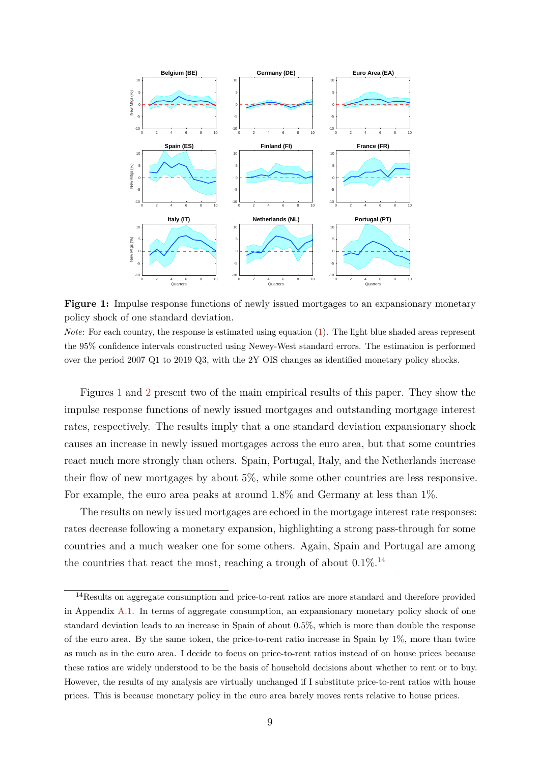<span id="page-8-0"></span>

**Figure 1:** Impulse response functions of newly issued mortgages to an expansionary monetary policy shock of one standard deviation.

*Note*: For each country, the response is estimated using equation [\(1\)](#page-7-0). The light blue shaded areas represent the 95% confidence intervals constructed using Newey-West standard errors. The estimation is performed over the period 2007 Q1 to 2019 Q3, with the 2Y OIS changes as identified monetary policy shocks.

Figures [1](#page-8-0) and [2](#page-9-0) present two of the main empirical results of this paper. They show the impulse response functions of newly issued mortgages and outstanding mortgage interest rates, respectively. The results imply that a one standard deviation expansionary shock causes an increase in newly issued mortgages across the euro area, but that some countries react much more strongly than others. Spain, Portugal, Italy, and the Netherlands increase their flow of new mortgages by about 5%, while some other countries are less responsive. For example, the euro area peaks at around  $1.8\%$  and Germany at less than  $1\%$ .

The results on newly issued mortgages are echoed in the mortgage interest rate responses: rates decrease following a monetary expansion, highlighting a strong pass-through for some countries and a much weaker one for some others. Again, Spain and Portugal are among the countries that react the most, reaching a trough of about  $0.1\%$ .<sup>[14](#page-0-0)</sup>

<sup>&</sup>lt;sup>14</sup>Results on aggregate consumption and price-to-rent ratios are more standard and therefore provided in Appendix [A.1.](#page-44-0) In terms of aggregate consumption, an expansionary monetary policy shock of one standard deviation leads to an increase in Spain of about 0*.*5%, which is more than double the response of the euro area. By the same token, the price-to-rent ratio increase in Spain by 1%, more than twice as much as in the euro area. I decide to focus on price-to-rent ratios instead of on house prices because these ratios are widely understood to be the basis of household decisions about whether to rent or to buy. However, the results of my analysis are virtually unchanged if I substitute price-to-rent ratios with house prices. This is because monetary policy in the euro area barely moves rents relative to house prices.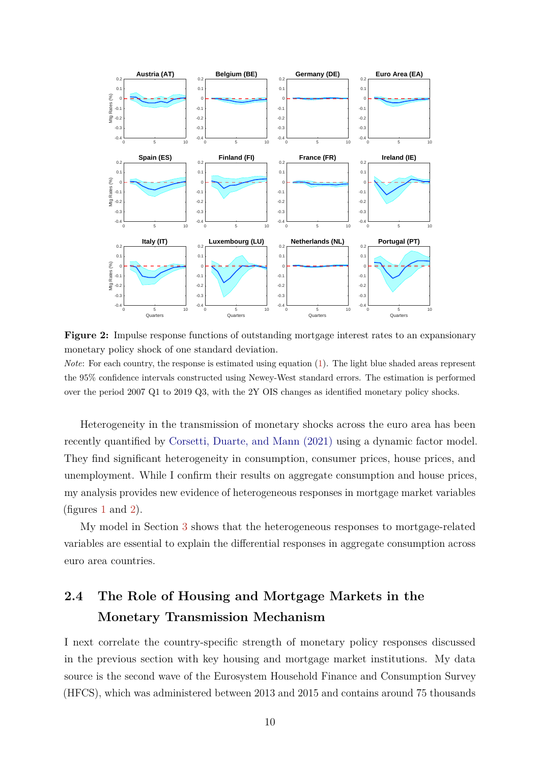<span id="page-9-2"></span><span id="page-9-0"></span>

**Figure 2:** Impulse response functions of outstanding mortgage interest rates to an expansionary monetary policy shock of one standard deviation.

*Note*: For each country, the response is estimated using equation [\(1\)](#page-7-0). The light blue shaded areas represent the 95% confidence intervals constructed using Newey-West standard errors. The estimation is performed over the period 2007 Q1 to 2019 Q3, with the 2Y OIS changes as identified monetary policy shocks.

Heterogeneity in the transmission of monetary shocks across the euro area has been recently quantified by [Corsetti, Duarte, and Mann \(2021\)](#page-41-0) using a dynamic factor model. They find significant heterogeneity in consumption, consumer prices, house prices, and unemployment. While I confirm their results on aggregate consumption and house prices, my analysis provides new evidence of heterogeneous responses in mortgage market variables (figures [1](#page-8-0) and [2\)](#page-9-0).

My model in Section [3](#page-13-0) shows that the heterogeneous responses to mortgage-related variables are essential to explain the differential responses in aggregate consumption across euro area countries.

# <span id="page-9-1"></span>**2.4 The Role of Housing and Mortgage Markets in the Monetary Transmission Mechanism**

I next correlate the country-specific strength of monetary policy responses discussed in the previous section with key housing and mortgage market institutions. My data source is the second wave of the Eurosystem Household Finance and Consumption Survey (HFCS), which was administered between 2013 and 2015 and contains around 75 thousands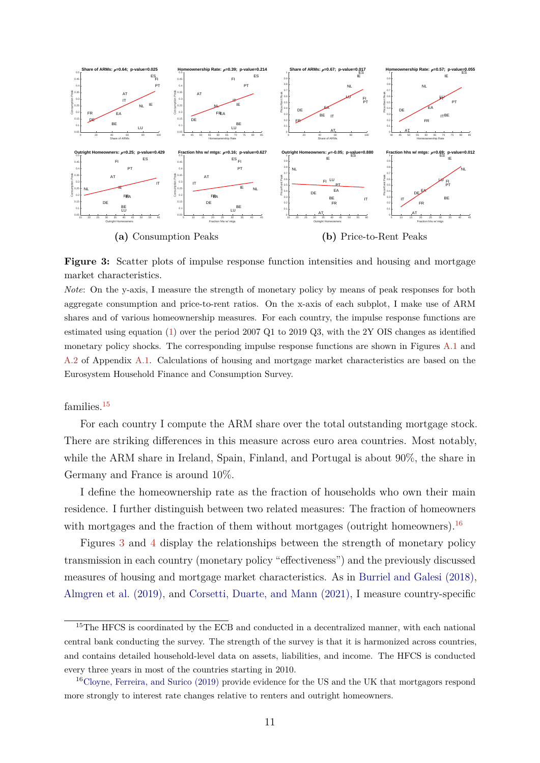<span id="page-10-1"></span><span id="page-10-0"></span>

**Figure 3:** Scatter plots of impulse response function intensities and housing and mortgage market characteristics.

*Note*: On the y-axis, I measure the strength of monetary policy by means of peak responses for both aggregate consumption and price-to-rent ratios. On the x-axis of each subplot, I make use of ARM shares and of various homeownership measures. For each country, the impulse response functions are estimated using equation [\(1\)](#page-7-0) over the period 2007 Q1 to 2019 Q3, with the 2Y OIS changes as identified monetary policy shocks. The corresponding impulse response functions are shown in Figures [A.1](#page-44-1) and [A.2](#page-45-0) of Appendix [A.1.](#page-44-0) Calculations of housing and mortgage market characteristics are based on the Eurosystem Household Finance and Consumption Survey.

#### families.<sup>[15](#page-0-0)</sup>

For each country I compute the ARM share over the total outstanding mortgage stock. There are striking differences in this measure across euro area countries. Most notably, while the ARM share in Ireland, Spain, Finland, and Portugal is about 90%, the share in Germany and France is around 10%.

I define the homeownership rate as the fraction of households who own their main residence. I further distinguish between two related measures: The fraction of homeowners with mortgages and the fraction of them without mortgages (outright homeowners).<sup>[16](#page-0-0)</sup>

Figures [3](#page-10-0) and [4](#page-11-0) display the relationships between the strength of monetary policy transmission in each country (monetary policy "effectiveness") and the previously discussed measures of housing and mortgage market characteristics. As in [Burriel and Galesi \(2018\),](#page-40-7) [Almgren et al. \(2019\),](#page-40-1) and [Corsetti, Duarte, and Mann \(2021\),](#page-41-0) I measure country-specific

<sup>&</sup>lt;sup>15</sup>The HFCS is coordinated by the ECB and conducted in a decentralized manner, with each national central bank conducting the survey. The strength of the survey is that it is harmonized across countries, and contains detailed household-level data on assets, liabilities, and income. The HFCS is conducted every three years in most of the countries starting in 2010.

<sup>16</sup>[Cloyne, Ferreira, and Surico \(2019\)](#page-41-10) provide evidence for the US and the UK that mortgagors respond more strongly to interest rate changes relative to renters and outright homeowners.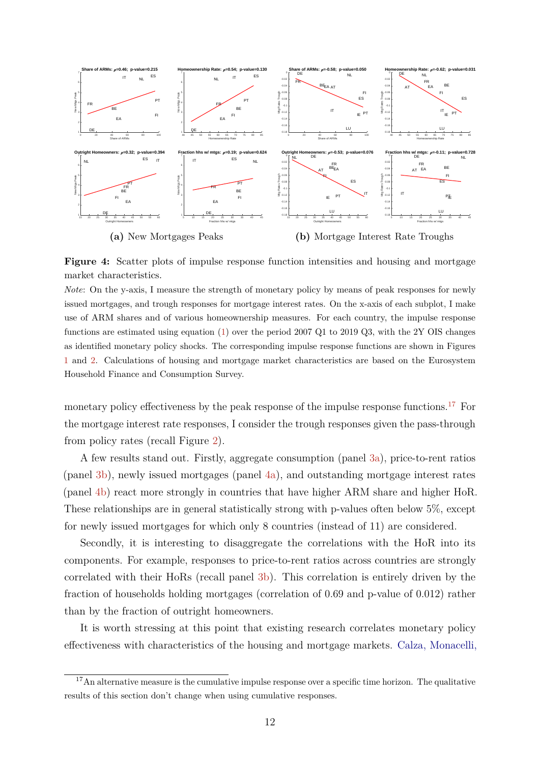<span id="page-11-1"></span><span id="page-11-0"></span>

**Figure 4:** Scatter plots of impulse response function intensities and housing and mortgage market characteristics.

*Note*: On the y-axis, I measure the strength of monetary policy by means of peak responses for newly issued mortgages, and trough responses for mortgage interest rates. On the x-axis of each subplot, I make use of ARM shares and of various homeownership measures. For each country, the impulse response functions are estimated using equation [\(1\)](#page-7-0) over the period 2007 Q1 to 2019 Q3, with the 2Y OIS changes as identified monetary policy shocks. The corresponding impulse response functions are shown in Figures [1](#page-8-0) and [2.](#page-9-0) Calculations of housing and mortgage market characteristics are based on the Eurosystem Household Finance and Consumption Survey.

monetary policy effectiveness by the peak response of the impulse response functions.<sup>[17](#page-0-0)</sup> For the mortgage interest rate responses, I consider the trough responses given the pass-through from policy rates (recall Figure [2\)](#page-9-0).

A few results stand out. Firstly, aggregate consumption (panel [3a\)](#page-10-0), price-to-rent ratios (panel [3b\)](#page-10-0), newly issued mortgages (panel [4a\)](#page-11-0), and outstanding mortgage interest rates (panel [4b\)](#page-11-0) react more strongly in countries that have higher ARM share and higher HoR. These relationships are in general statistically strong with p-values often below 5%, except for newly issued mortgages for which only 8 countries (instead of 11) are considered.

Secondly, it is interesting to disaggregate the correlations with the HoR into its components. For example, responses to price-to-rent ratios across countries are strongly correlated with their HoRs (recall panel [3b\)](#page-10-0). This correlation is entirely driven by the fraction of households holding mortgages (correlation of 0*.*69 and p-value of 0*.*012) rather than by the fraction of outright homeowners.

It is worth stressing at this point that existing research correlates monetary policy effectiveness with characteristics of the housing and mortgage markets. [Calza, Monacelli,](#page-40-2)

 $17$ [An alternative measure is the cumulative impulse response over a specific time horizon. The qualitative](#page-40-2) [results of this section don't change when using cumulative responses.](#page-40-2)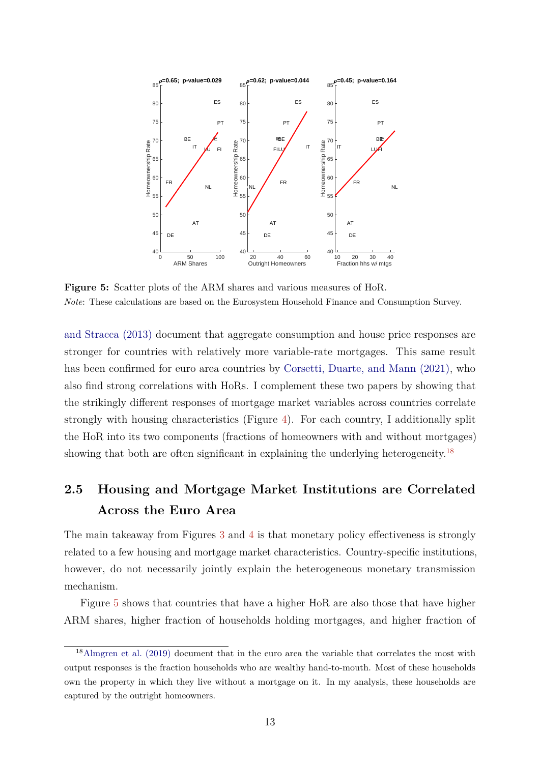<span id="page-12-1"></span><span id="page-12-0"></span>

**Figure 5:** Scatter plots of the ARM shares and various measures of HoR. *Note*: These calculations are based on the Eurosystem Household Finance and Consumption Survey.

[and Stracca \(2013\)](#page-40-2) document that aggregate consumption and house price responses are stronger for countries with relatively more variable-rate mortgages. This same result has been confirmed for euro area countries by [Corsetti, Duarte, and Mann \(2021\),](#page-41-0) who also find strong correlations with HoRs. I complement these two papers by showing that the strikingly different responses of mortgage market variables across countries correlate strongly with housing characteristics (Figure [4\)](#page-11-0). For each country, I additionally split the HoR into its two components (fractions of homeowners with and without mortgages) showing that both are often significant in explaining the underlying heterogeneity.<sup>[18](#page-0-0)</sup>

# **2.5 Housing and Mortgage Market Institutions are Correlated Across the Euro Area**

The main takeaway from Figures [3](#page-10-0) and [4](#page-11-0) is that monetary policy effectiveness is strongly related to a few housing and mortgage market characteristics. Country-specific institutions, however, do not necessarily jointly explain the heterogeneous monetary transmission mechanism.

Figure [5](#page-12-0) shows that countries that have a higher HoR are also those that have higher ARM shares, higher fraction of households holding mortgages, and higher fraction of

<sup>18</sup>[Almgren et al. \(2019\)](#page-40-1) document that in the euro area the variable that correlates the most with output responses is the fraction households who are wealthy hand-to-mouth. Most of these households own the property in which they live without a mortgage on it. In my analysis, these households are captured by the outright homeowners.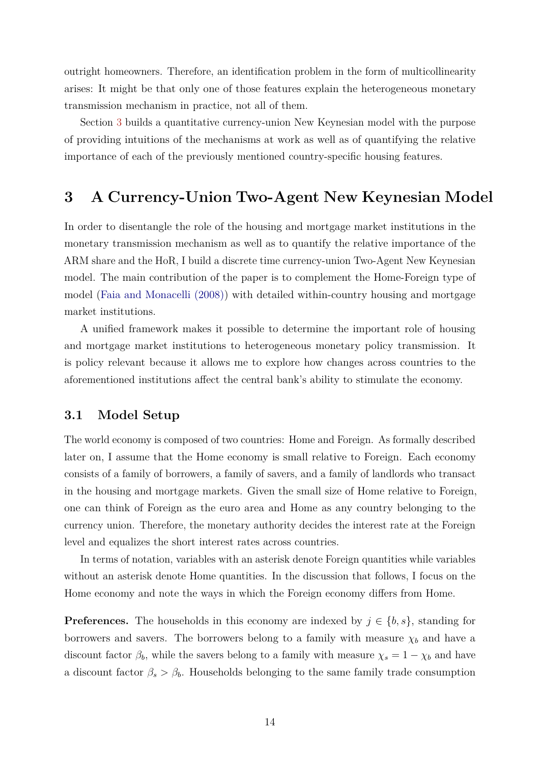<span id="page-13-1"></span>outright homeowners. Therefore, an identification problem in the form of multicollinearity arises: It might be that only one of those features explain the heterogeneous monetary transmission mechanism in practice, not all of them.

Section [3](#page-13-0) builds a quantitative currency-union New Keynesian model with the purpose of providing intuitions of the mechanisms at work as well as of quantifying the relative importance of each of the previously mentioned country-specific housing features.

# <span id="page-13-0"></span>**3 A Currency-Union Two-Agent New Keynesian Model**

In order to disentangle the role of the housing and mortgage market institutions in the monetary transmission mechanism as well as to quantify the relative importance of the ARM share and the HoR, I build a discrete time currency-union Two-Agent New Keynesian model. The main contribution of the paper is to complement the Home-Foreign type of model [\(Faia and Monacelli \(2008\)\)](#page-41-1) with detailed within-country housing and mortgage market institutions.

A unified framework makes it possible to determine the important role of housing and mortgage market institutions to heterogeneous monetary policy transmission. It is policy relevant because it allows me to explore how changes across countries to the aforementioned institutions affect the central bank's ability to stimulate the economy.

### **3.1 Model Setup**

The world economy is composed of two countries: Home and Foreign. As formally described later on, I assume that the Home economy is small relative to Foreign. Each economy consists of a family of borrowers, a family of savers, and a family of landlords who transact in the housing and mortgage markets. Given the small size of Home relative to Foreign, one can think of Foreign as the euro area and Home as any country belonging to the currency union. Therefore, the monetary authority decides the interest rate at the Foreign level and equalizes the short interest rates across countries.

In terms of notation, variables with an asterisk denote Foreign quantities while variables without an asterisk denote Home quantities. In the discussion that follows, I focus on the Home economy and note the ways in which the Foreign economy differs from Home.

**Preferences.** The households in this economy are indexed by  $j \in \{b, s\}$ , standing for borrowers and savers. The borrowers belong to a family with measure  $\chi_b$  and have a discount factor  $\beta_b$ , while the savers belong to a family with measure  $\chi_s = 1 - \chi_b$  and have a discount factor  $\beta_s > \beta_b$ . Households belonging to the same family trade consumption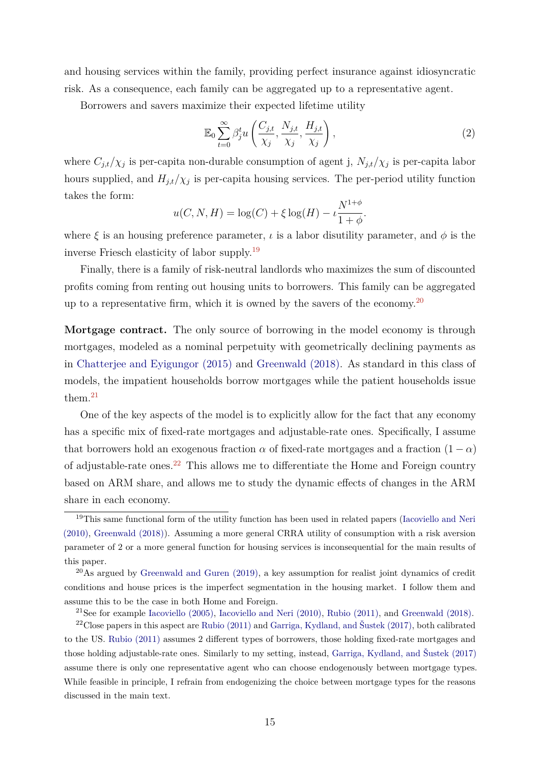<span id="page-14-0"></span>and housing services within the family, providing perfect insurance against idiosyncratic risk. As a consequence, each family can be aggregated up to a representative agent.

Borrowers and savers maximize their expected lifetime utility

<span id="page-14-1"></span>
$$
\mathbb{E}_0 \sum_{t=0}^{\infty} \beta_j^t u\left(\frac{C_{j,t}}{\chi_j}, \frac{N_{j,t}}{\chi_j}, \frac{H_{j,t}}{\chi_j}\right),\tag{2}
$$

where  $C_{j,t}/\chi_j$  is per-capita non-durable consumption of agent j,  $N_{j,t}/\chi_j$  is per-capita labor hours supplied, and  $H_{j,t}/\chi_j$  is per-capita housing services. The per-period utility function takes the form:

$$
u(C, N, H) = \log(C) + \xi \log(H) - \iota \frac{N^{1+\phi}}{1+\phi}.
$$

where  $\xi$  is an housing preference parameter,  $\iota$  is a labor disutility parameter, and  $\phi$  is the inverse Friesch elasticity of labor supply.[19](#page-0-0)

Finally, there is a family of risk-neutral landlords who maximizes the sum of discounted profits coming from renting out housing units to borrowers. This family can be aggregated up to a representative firm, which it is owned by the savers of the economy.<sup>[20](#page-0-0)</sup>

**Mortgage contract.** The only source of borrowing in the model economy is through mortgages, modeled as a nominal perpetuity with geometrically declining payments as in [Chatterjee and Eyigungor \(2015\)](#page-40-3) and [Greenwald \(2018\).](#page-42-1) As standard in this class of models, the impatient households borrow mortgages while the patient households issue them.[21](#page-0-0)

One of the key aspects of the model is to explicitly allow for the fact that any economy has a specific mix of fixed-rate mortgages and adjustable-rate ones. Specifically, I assume that borrowers hold an exogenous fraction  $\alpha$  of fixed-rate mortgages and a fraction  $(1 - \alpha)$ of adjustable-rate ones.[22](#page-0-0) This allows me to differentiate the Home and Foreign country based on ARM share, and allows me to study the dynamic effects of changes in the ARM share in each economy.

<sup>21</sup>See for example [Iacoviello \(2005\),](#page-42-5) [Iacoviello and Neri \(2010\),](#page-42-6) [Rubio \(2011\),](#page-43-2) and [Greenwald \(2018\).](#page-42-1)

<sup>&</sup>lt;sup>19</sup>This same functional form of the utility function has been used in related papers [\(Iacoviello and Neri](#page-42-6) [\(2010\),](#page-42-6) [Greenwald \(2018\)\)](#page-42-1). Assuming a more general CRRA utility of consumption with a risk aversion parameter of 2 or a more general function for housing services is inconsequential for the main results of this paper.

 $^{20}\text{As argued by Greenwald and Guren (2019), a key assumption for realistic joint dynamics of credit}$  $^{20}\text{As argued by Greenwald and Guren (2019), a key assumption for realistic joint dynamics of credit}$  $^{20}\text{As argued by Greenwald and Guren (2019), a key assumption for realistic joint dynamics of credit}$ conditions and house prices is the imperfect segmentation in the housing market. I follow them and assume this to be the case in both Home and Foreign.

<sup>22</sup>Close papers in this aspect are [Rubio \(2011\)](#page-43-2) and [Garriga, Kydland, and Šustek \(2017\),](#page-42-11) both calibrated to the US. [Rubio \(2011\)](#page-43-2) assumes 2 different types of borrowers, those holding fixed-rate mortgages and those holding adjustable-rate ones. Similarly to my setting, instead, [Garriga, Kydland, and Šustek \(2017\)](#page-42-11) assume there is only one representative agent who can choose endogenously between mortgage types. While feasible in principle, I refrain from endogenizing the choice between mortgage types for the reasons discussed in the main text.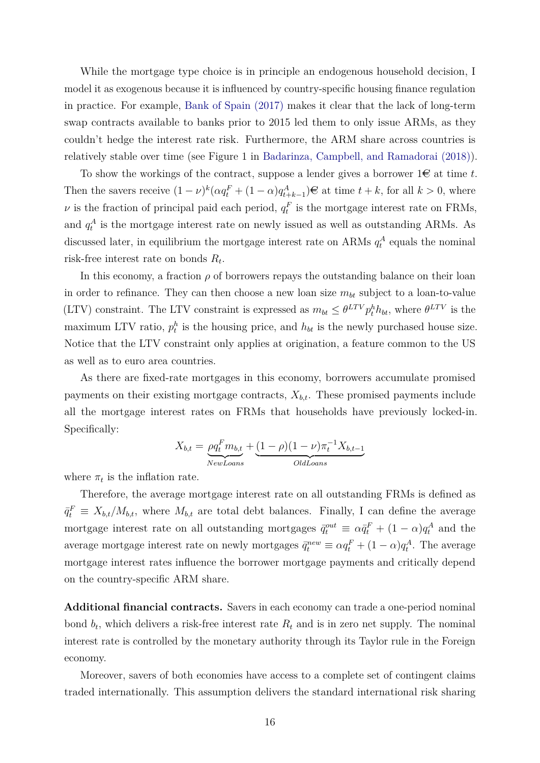<span id="page-15-0"></span>While the mortgage type choice is in principle an endogenous household decision, I model it as exogenous because it is influenced by country-specific housing finance regulation in practice. For example, [Bank of Spain \(2017\)](#page-40-0) makes it clear that the lack of long-term swap contracts available to banks prior to 2015 led them to only issue ARMs, as they couldn't hedge the interest rate risk. Furthermore, the ARM share across countries is relatively stable over time (see Figure 1 in [Badarinza, Campbell, and Ramadorai \(2018\)\)](#page-40-8).

To show the workings of the contract, suppose a lender gives a borrower  $1\infty$  at time t. Then the savers receive  $(1 - \nu)^k (\alpha q_t^F + (1 - \alpha) q_{t+k-1}^A) \in \mathbb{R}$  at time  $t + k$ , for all  $k > 0$ , where *ν* is the fraction of principal paid each period,  $q_t^F$  is the mortgage interest rate on FRMs, and  $q_t^A$  is the mortgage interest rate on newly issued as well as outstanding ARMs. As discussed later, in equilibrium the mortgage interest rate on ARMs  $q_t^A$  equals the nominal risk-free interest rate on bonds *R<sup>t</sup>* .

In this economy, a fraction  $\rho$  of borrowers repays the outstanding balance on their loan in order to refinance. They can then choose a new loan size  $m_{bt}$  subject to a loan-to-value (LTV) constraint. The LTV constraint is expressed as  $m_{bt} \leq \theta^{LTV} p_t^h h_{bt}$ , where  $\theta^{LTV}$  is the maximum LTV ratio,  $p_t^h$  is the housing price, and  $h_{bt}$  is the newly purchased house size. Notice that the LTV constraint only applies at origination, a feature common to the US as well as to euro area countries.

As there are fixed-rate mortgages in this economy, borrowers accumulate promised payments on their existing mortgage contracts,  $X_{b,t}$ . These promised payments include all the mortgage interest rates on FRMs that households have previously locked-in. Specifically:

$$
X_{b,t} = \underbrace{\rho q_t^F m_{b,t}}_{NewLoans} + \underbrace{(1-\rho)(1-\nu)\pi_t^{-1}X_{b,t-1}}_{OldLoans}
$$

where  $\pi_t$  is the inflation rate.

Therefore, the average mortgage interest rate on all outstanding FRMs is defined as  $\bar{q}^F_t \equiv X_{b,t}/M_{b,t}$ , where  $M_{b,t}$  are total debt balances. Finally, I can define the average mortgage interest rate on all outstanding mortgages  $\bar{q}_t^{out} \equiv \alpha \bar{q}_t^F + (1 - \alpha) q_t^A$  and the average mortgage interest rate on newly mortgages  $\bar{q}_t^{new} \equiv \alpha q_t^F + (1 - \alpha) q_t^A$ . The average mortgage interest rates influence the borrower mortgage payments and critically depend on the country-specific ARM share.

**Additional financial contracts.** Savers in each economy can trade a one-period nominal bond  $b_t$ , which delivers a risk-free interest rate  $R_t$  and is in zero net supply. The nominal interest rate is controlled by the monetary authority through its Taylor rule in the Foreign economy.

Moreover, savers of both economies have access to a complete set of contingent claims traded internationally. This assumption delivers the standard international risk sharing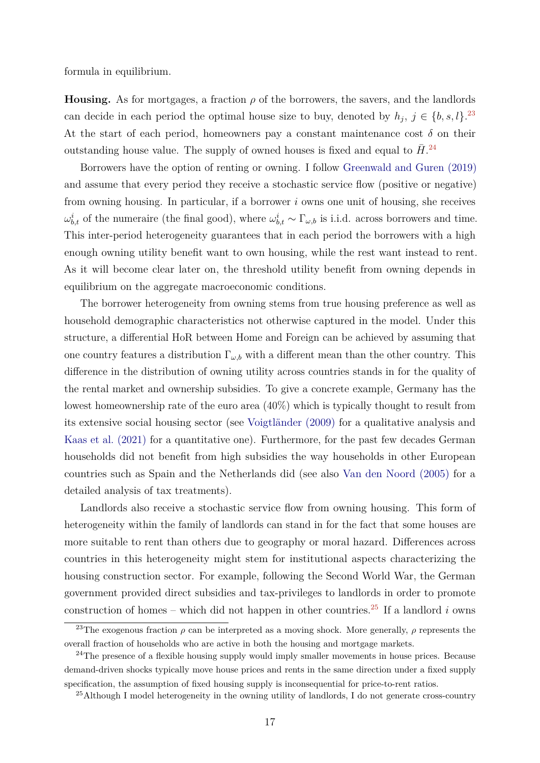<span id="page-16-0"></span>formula in equilibrium.

**Housing.** As for mortgages, a fraction  $\rho$  of the borrowers, the savers, and the landlords can decide in each period the optimal house size to buy, denoted by  $h_j$ ,  $j \in \{b, s, l\}$ .<sup>[23](#page-0-0)</sup> At the start of each period, homeowners pay a constant maintenance cost  $\delta$  on their outstanding house value. The supply of owned houses is fixed and equal to  $\bar{H}$ <sup>[24](#page-0-0)</sup>

Borrowers have the option of renting or owning. I follow [Greenwald and Guren \(2019\)](#page-42-2) and assume that every period they receive a stochastic service flow (positive or negative) from owning housing. In particular, if a borrower *i* owns one unit of housing, she receives  $ω_{b,t}^i$  of the numeraire (the final good), where  $ω_{b,t}^i$  ∼ Γ<sub>ω,b</sub> is i.i.d. across borrowers and time. This inter-period heterogeneity guarantees that in each period the borrowers with a high enough owning utility benefit want to own housing, while the rest want instead to rent. As it will become clear later on, the threshold utility benefit from owning depends in equilibrium on the aggregate macroeconomic conditions.

The borrower heterogeneity from owning stems from true housing preference as well as household demographic characteristics not otherwise captured in the model. Under this structure, a differential HoR between Home and Foreign can be achieved by assuming that one country features a distribution  $\Gamma_{\omega,b}$  with a different mean than the other country. This difference in the distribution of owning utility across countries stands in for the quality of the rental market and ownership subsidies. To give a concrete example, Germany has the lowest homeownership rate of the euro area (40%) which is typically thought to result from its extensive social housing sector (see [Voigtländer \(2009\)](#page-43-4) for a qualitative analysis and [Kaas et al. \(2021\)](#page-42-3) for a quantitative one). Furthermore, for the past few decades German households did not benefit from high subsidies the way households in other European countries such as Spain and the Netherlands did (see also [Van den Noord \(2005\)](#page-43-5) for a detailed analysis of tax treatments).

Landlords also receive a stochastic service flow from owning housing. This form of heterogeneity within the family of landlords can stand in for the fact that some houses are more suitable to rent than others due to geography or moral hazard. Differences across countries in this heterogeneity might stem for institutional aspects characterizing the housing construction sector. For example, following the Second World War, the German government provided direct subsidies and tax-privileges to landlords in order to promote construction of homes – which did not happen in other countries.<sup>[25](#page-0-0)</sup> If a landlord *i* owns

<sup>&</sup>lt;sup>23</sup>The exogenous fraction  $\rho$  can be interpreted as a moving shock. More generally,  $\rho$  represents the overall fraction of households who are active in both the housing and mortgage markets.

<sup>&</sup>lt;sup>24</sup>The presence of a flexible housing supply would imply smaller movements in house prices. Because demand-driven shocks typically move house prices and rents in the same direction under a fixed supply specification, the assumption of fixed housing supply is inconsequential for price-to-rent ratios.

<sup>&</sup>lt;sup>25</sup>Although I model heterogeneity in the owning utility of landlords, I do not generate cross-country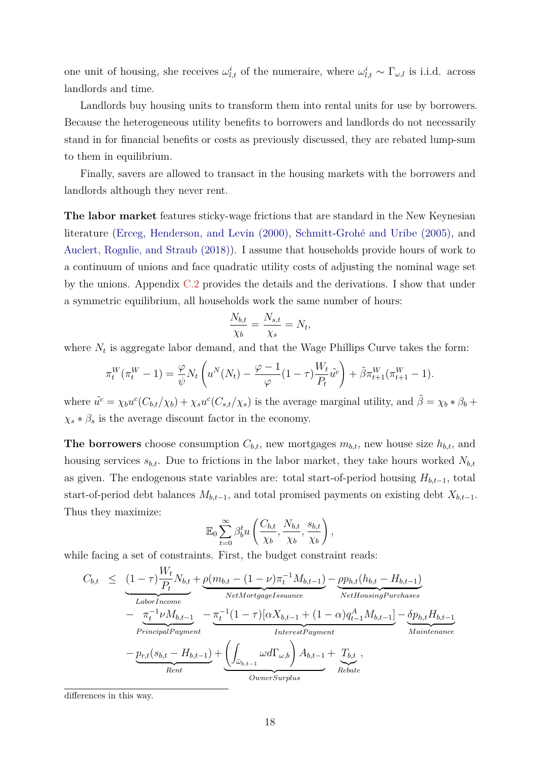<span id="page-17-0"></span>one unit of housing, she receives  $\omega_{l,t}^i$  of the numeraire, where  $\omega_{l,t}^i \sim \Gamma_{\omega,l}$  is i.i.d. across landlords and time.

Landlords buy housing units to transform them into rental units for use by borrowers. Because the heterogeneous utility benefits to borrowers and landlords do not necessarily stand in for financial benefits or costs as previously discussed, they are rebated lump-sum to them in equilibrium.

Finally, savers are allowed to transact in the housing markets with the borrowers and landlords although they never rent.

**The labor market** features sticky-wage frictions that are standard in the New Keynesian literature [\(Erceg, Henderson, and Levin \(2000\),](#page-41-11) [Schmitt-Grohé and Uribe \(2005\),](#page-43-6) and [Auclert, Rognlie, and Straub \(2018\)\)](#page-40-9). I assume that households provide hours of work to a continuum of unions and face quadratic utility costs of adjusting the nominal wage set by the unions. Appendix [C.2](#page-56-0) provides the details and the derivations. I show that under a symmetric equilibrium, all households work the same number of hours:

$$
\frac{N_{b,t}}{\chi_b} = \frac{N_{s,t}}{\chi_s} = N_t,
$$

where  $N_t$  is aggregate labor demand, and that the Wage Phillips Curve takes the form:

$$
\pi_t^W(\pi_t^W - 1) = \frac{\varphi}{\psi} N_t \left( u^N(N_t) - \frac{\varphi - 1}{\varphi} (1 - \tau) \frac{W_t}{P_t} \tilde{u}^c \right) + \tilde{\beta} \pi_{t+1}^W(\pi_{t+1}^W - 1).
$$

where  $\tilde{u}^c = \chi_b u^c (C_{b,t}/\chi_b) + \chi_s u^c (C_{s,t}/\chi_s)$  is the average marginal utility, and  $\tilde{\beta} = \chi_b * \beta_b + \chi_s u^c C_{b,t}/\chi_b$  $\chi_s * \beta_s$  is the average discount factor in the economy.

**The borrowers** choose consumption  $C_{b,t}$ , new mortgages  $m_{b,t}$ , new house size  $h_{b,t}$ , and housing services  $s_{b,t}$ . Due to frictions in the labor market, they take hours worked  $N_{b,t}$ as given. The endogenous state variables are: total start-of-period housing  $H_{b,t-1}$ , total start-of-period debt balances  $M_{b,t-1}$ , and total promised payments on existing debt  $X_{b,t-1}$ . Thus they maximize:

$$
\mathbb{E}_0 \sum_{t=0}^{\infty} \beta_b^t u\left(\frac{C_{b,t}}{\chi_b}, \frac{N_{b,t}}{\chi_b}, \frac{s_{b,t}}{\chi_b}\right),
$$

while facing a set of constraints. First, the budget constraint reads:

$$
C_{b,t} \leq \underbrace{(1-\tau)\frac{W_t}{P_t}N_{b,t}}_{\substack{Labor Income \\ \text{Principal Payment}}} + \underbrace{\rho(m_{b,t} - (1-\nu)\pi_t^{-1}M_{b,t-1})}_{\substack{NetMortgageIssuance \\ \text{Principal Payment}}} - \underbrace{\frac{\pi_t^{-1}\nu M_{b,t-1}}{\pi_t^{-1}\nu M_{b,t-1}}} - \underbrace{\frac{\pi_t^{-1}(1-\tau)[\alpha X_{b,t-1} + (1-\alpha)q_{t-1}^A M_{b,t-1}]}{\text{InterestPayment}} - \underbrace{\frac{\delta p_{h,t}H_{b,t-1}}{\text{Maintename}}}_{\text{Rent}} + \underbrace{\left(\int_{\bar{\omega}_{b,t-1}} \omega d\Gamma_{\omega,b}\right)A_{b,t-1}}_{\substack{D_{b,t-1}}} + \underbrace{T_{b,t}}_{\substack{D_{b,t}}},
$$

differences in this way.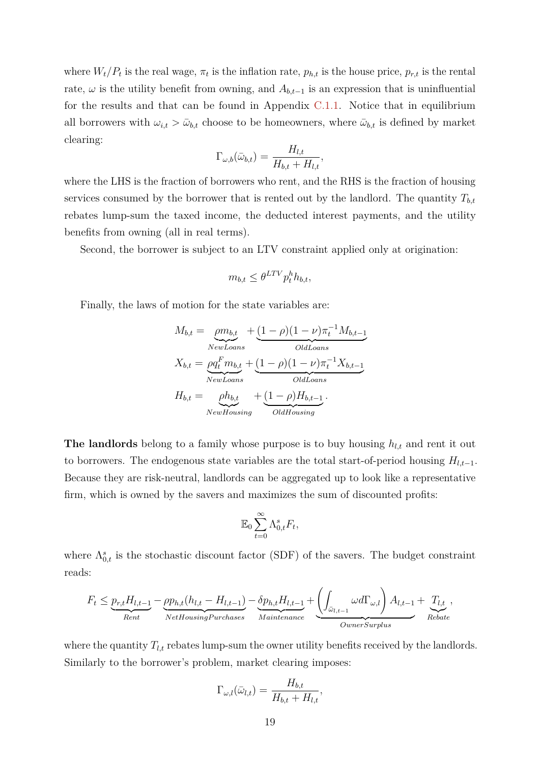where  $W_t/P_t$  is the real wage,  $\pi_t$  is the inflation rate,  $p_{h,t}$  is the house price,  $p_{r,t}$  is the rental rate,  $\omega$  is the utility benefit from owning, and  $A_{b,t-1}$  is an expression that is uninfluential for the results and that can be found in Appendix [C.1.1.](#page-55-0) Notice that in equilibrium all borrowers with  $\omega_{i,t} > \bar{\omega}_{b,t}$  choose to be homeowners, where  $\bar{\omega}_{b,t}$  is defined by market clearing:

$$
\Gamma_{\omega,b}(\bar{\omega}_{b,t}) = \frac{H_{l,t}}{H_{b,t} + H_{l,t}},
$$

where the LHS is the fraction of borrowers who rent, and the RHS is the fraction of housing services consumed by the borrower that is rented out by the landlord. The quantity  $T_{b,t}$ rebates lump-sum the taxed income, the deducted interest payments, and the utility benefits from owning (all in real terms).

Second, the borrower is subject to an LTV constraint applied only at origination:

$$
m_{b,t} \leq \theta^{LTV} p_t^h h_{b,t},
$$

Finally, the laws of motion for the state variables are:

$$
M_{b,t} = \underbrace{ \rho m_{b,t}}_{\text{NewLoans}} + \underbrace{(1 - \rho)(1 - \nu)\pi_t^{-1} M_{b,t-1}}_{\text{OldLoans}}
$$
\n
$$
X_{b,t} = \underbrace{\rho q_t^F m_{b,t}}_{\text{NewLoans}} + \underbrace{(1 - \rho)(1 - \nu)\pi_t^{-1} X_{b,t-1}}_{\text{OldLoans}}
$$
\n
$$
H_{b,t} = \underbrace{\rho h_{b,t}}_{\text{NewHousing}} + \underbrace{(1 - \rho) H_{b,t-1}}_{\text{OldHousing}}.
$$

**The landlords** belong to a family whose purpose is to buy housing  $h_{l,t}$  and rent it out to borrowers. The endogenous state variables are the total start-of-period housing  $H_{l,t-1}$ . Because they are risk-neutral, landlords can be aggregated up to look like a representative firm, which is owned by the savers and maximizes the sum of discounted profits:

$$
\mathbb{E}_0 \sum_{t=0}^{\infty} \Lambda_{0,t}^s F_t,
$$

where  $\Lambda_{0,t}^s$  is the stochastic discount factor (SDF) of the savers. The budget constraint reads:

$$
F_t \leq \underbrace{p_{r,t}H_{l,t-1}}_{Rent} - \underbrace{p p_{h,t}(h_{l,t} - H_{l,t-1})}_{NetHousingPurchases} - \underbrace{\delta p_{h,t}H_{l,t-1}}_{Maintenance} + \underbrace{\left(\int_{\bar{\omega}_{l,t-1}} \omega d\Gamma_{\omega,l}\right)A_{l,t-1}}_{Owner Surplus} + \underbrace{T_{l,t}}_{Rebate},
$$

where the quantity  $T_{l,t}$  rebates lump-sum the owner utility benefits received by the landlords. Similarly to the borrower's problem, market clearing imposes:

$$
\Gamma_{\omega,l}(\bar{\omega}_{l,t}) = \frac{H_{b,t}}{H_{b,t} + H_{l,t}},
$$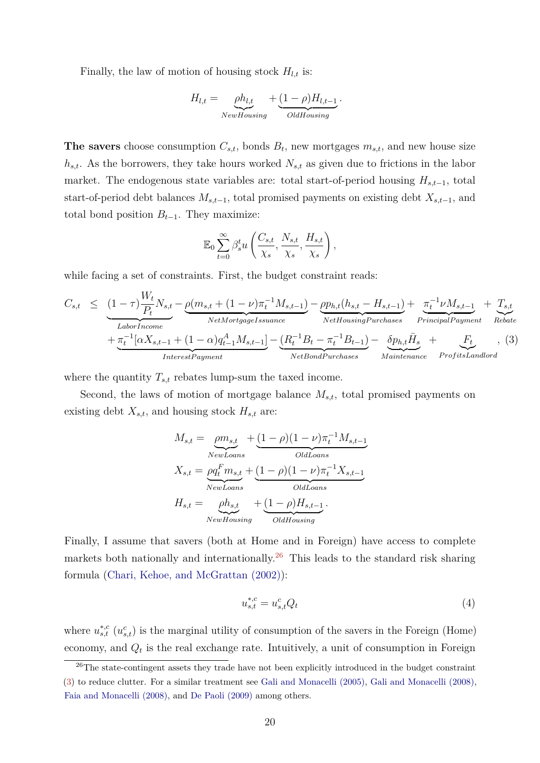<span id="page-19-1"></span>Finally, the law of motion of housing stock  $H_{l,t}$  is:

$$
H_{l,t} = \underbrace{\rho h_{l,t}}_{NewHousing} + \underbrace{(1-\rho)H_{l,t-1}}_{OldHousing}.
$$

**The savers** choose consumption  $C_{s,t}$ , bonds  $B_t$ , new mortgages  $m_{s,t}$ , and new house size *hs,t*. As the borrowers, they take hours worked *Ns,t* as given due to frictions in the labor market. The endogenous state variables are: total start-of-period housing *Hs,t*−1, total start-of-period debt balances *Ms,t*−1, total promised payments on existing debt *Xs,t*−1, and total bond position  $B_{t-1}$ . They maximize:

$$
\mathbb{E}_0 \sum_{t=0}^{\infty} \beta_s^t u\left(\frac{C_{s,t}}{\chi_s}, \frac{N_{s,t}}{\chi_s}, \frac{H_{s,t}}{\chi_s}\right),\,
$$

while facing a set of constraints. First, the budget constraint reads:

<span id="page-19-0"></span>
$$
C_{s,t} \leq \underbrace{(1-\tau)\frac{W_t}{P_t}N_{s,t}}_{\text{Labor Income}} - \underbrace{\rho(m_{s,t} + (1-\nu)\pi_t^{-1}M_{s,t-1})}_{\text{NetMortgage} = \underbrace{p_{h,t}(h_{s,t} - H_{s,t-1})}_{\text{NetHousingPurchases}} + \underbrace{\pi_t^{-1}\nu M_{s,t-1}}_{\text{PrincipalPayment}} + \underbrace{T_{s,t}}_{\text{Rebate}} + \underbrace{\pi_t^{-1}[\alpha X_{s,t-1} + (1-\alpha)q_{t-1}^A M_{s,t-1}]}_{\text{InterestPayment}} - \underbrace{(R_t^{-1}B_t - \pi_t^{-1}B_{t-1})}_{\text{NetBondPurchases}} - \underbrace{\delta p_{h,t}\bar{H}_s}_{\text{Mainteanance}} + \underbrace{F_t}_{\text{ProfitsLandlord}}, \quad (3)
$$

where the quantity  $T_{s,t}$  rebates lump-sum the taxed income.

Second, the laws of motion of mortgage balance *Ms,t*, total promised payments on existing debt  $X_{s,t}$ , and housing stock  $H_{s,t}$  are:

$$
M_{s,t} = \underbrace{ \rho m_{s,t}}_{\text{NewLoans}} + \underbrace{(1-\rho)(1-\nu)\pi_t^{-1}M_{s,t-1}}_{\text{OldLoans}}
$$
\n
$$
X_{s,t} = \underbrace{\rho q_t^F m_{s,t}}_{\text{NewLoans}} + \underbrace{(1-\rho)(1-\nu)\pi_t^{-1}X_{s,t-1}}_{\text{OldLoans}}
$$
\n
$$
H_{s,t} = \underbrace{\rho h_{s,t}}_{\text{NewHousing}} + \underbrace{(1-\rho)H_{s,t-1}}_{\text{OldHousing}}.
$$

Finally, I assume that savers (both at Home and in Foreign) have access to complete markets both nationally and internationally.<sup>[26](#page-0-0)</sup> This leads to the standard risk sharing formula [\(Chari, Kehoe, and McGrattan \(2002\)\)](#page-40-10):

$$
u_{s,t}^{*,c} = u_{s,t}^c Q_t \tag{4}
$$

where  $u_{s,t}^{*,c}$  ( $u_{s,t}^{c}$ ) is the marginal utility of consumption of the savers in the Foreign (Home) economy, and  $Q_t$  is the real exchange rate. Intuitively, a unit of consumption in Foreign

<sup>&</sup>lt;sup>26</sup>The state-contingent assets they trade have not been explicitly introduced in the budget constraint [\(3\)](#page-19-0) to reduce clutter. For a similar treatment see [Gali and Monacelli \(2005\),](#page-41-3) [Gali and Monacelli \(2008\),](#page-41-4) [Faia and Monacelli \(2008\),](#page-41-1) and [De Paoli \(2009\)](#page-41-5) among others.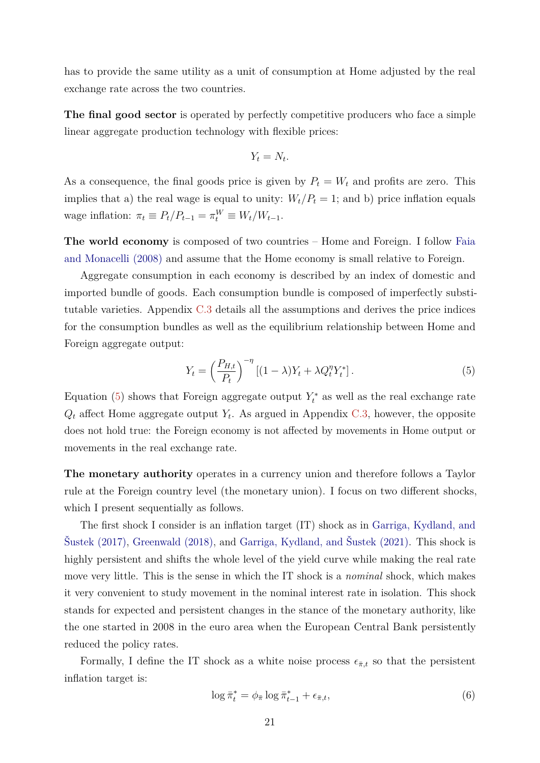<span id="page-20-2"></span>has to provide the same utility as a unit of consumption at Home adjusted by the real exchange rate across the two countries.

**The final good sector** is operated by perfectly competitive producers who face a simple linear aggregate production technology with flexible prices:

$$
Y_t = N_t.
$$

As a consequence, the final goods price is given by  $P_t = W_t$  and profits are zero. This implies that a) the real wage is equal to unity:  $W_t/P_t = 1$ ; and b) price inflation equals  $w$  wage inflation:  $\pi_t \equiv P_t/P_{t-1} = \pi_t^W \equiv W_t/W_{t-1}$ .

**The world economy** is composed of two countries – Home and Foreign. I follow [Faia](#page-41-1) [and Monacelli \(2008\)](#page-41-1) and assume that the Home economy is small relative to Foreign.

Aggregate consumption in each economy is described by an index of domestic and imported bundle of goods. Each consumption bundle is composed of imperfectly substitutable varieties. Appendix [C.3](#page-57-0) details all the assumptions and derives the price indices for the consumption bundles as well as the equilibrium relationship between Home and Foreign aggregate output:

<span id="page-20-0"></span>
$$
Y_t = \left(\frac{P_{H,t}}{P_t}\right)^{-\eta} \left[ (1-\lambda)Y_t + \lambda Q_t^{\eta} Y_t^* \right]. \tag{5}
$$

Equation [\(5\)](#page-20-0) shows that Foreign aggregate output  $Y_t^*$  as well as the real exchange rate  $Q_t$  affect Home aggregate output  $Y_t$ . As argued in Appendix [C.3,](#page-57-0) however, the opposite does not hold true: the Foreign economy is not affected by movements in Home output or movements in the real exchange rate.

**The monetary authority** operates in a currency union and therefore follows a Taylor rule at the Foreign country level (the monetary union). I focus on two different shocks, which I present sequentially as follows.

The first shock I consider is an inflation target (IT) shock as in [Garriga, Kydland, and](#page-42-11) [Šustek \(2017\),](#page-42-11) [Greenwald \(2018\),](#page-42-1) and [Garriga, Kydland, and Šustek \(2021\).](#page-42-7) This shock is highly persistent and shifts the whole level of the yield curve while making the real rate move very little. This is the sense in which the IT shock is a *nominal* shock, which makes it very convenient to study movement in the nominal interest rate in isolation. This shock stands for expected and persistent changes in the stance of the monetary authority, like the one started in 2008 in the euro area when the European Central Bank persistently reduced the policy rates.

Formally, I define the IT shock as a white noise process  $\epsilon_{\bar{\pi},t}$  so that the persistent inflation target is:

<span id="page-20-1"></span>
$$
\log \bar{\pi}_t^* = \phi_{\bar{\pi}} \log \bar{\pi}_{t-1}^* + \epsilon_{\bar{\pi},t},\tag{6}
$$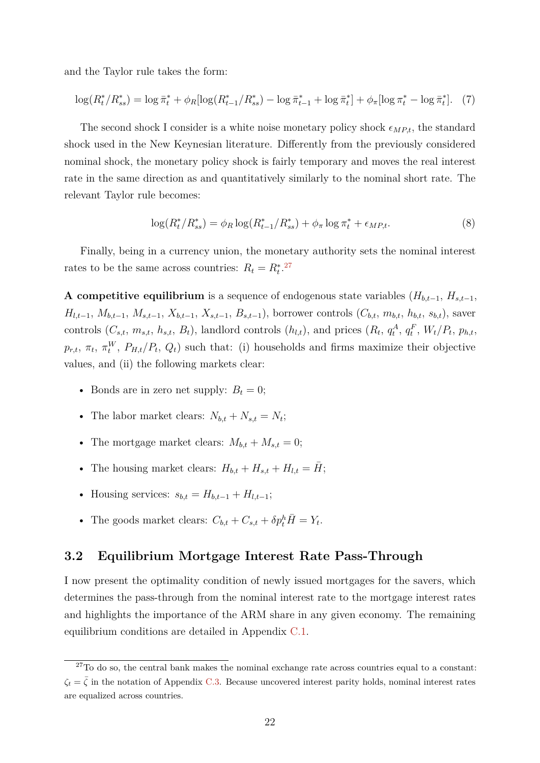and the Taylor rule takes the form:

<span id="page-21-0"></span>
$$
\log(R_t^*/R_{ss}^*) = \log \bar{\pi}_t^* + \phi_R[\log(R_{t-1}^*/R_{ss}^*) - \log \bar{\pi}_{t-1}^* + \log \bar{\pi}_t^*] + \phi_\pi[\log \pi_t^* - \log \bar{\pi}_t^*]. \tag{7}
$$

The second shock I consider is a white noise monetary policy shock  $\epsilon_{MP,t}$ , the standard shock used in the New Keynesian literature. Differently from the previously considered nominal shock, the monetary policy shock is fairly temporary and moves the real interest rate in the same direction as and quantitatively similarly to the nominal short rate. The relevant Taylor rule becomes:

<span id="page-21-1"></span>
$$
\log(R_t^*/R_{ss}^*) = \phi_R \log(R_{t-1}^*/R_{ss}^*) + \phi_\pi \log \pi_t^* + \epsilon_{MP,t}.\tag{8}
$$

Finally, being in a currency union, the monetary authority sets the nominal interest rates to be the same across countries:  $R_t = R_t^{*27}$  $R_t = R_t^{*27}$  $R_t = R_t^{*27}$ 

**A competitive equilibrium** is a sequence of endogenous state variables ( $H_{b,t-1}$ ,  $H_{s,t-1}$ ,  $H_{l,t-1}, M_{b,t-1}, M_{s,t-1}, X_{b,t-1}, X_{s,t-1}, B_{s,t-1}$ , borrower controls  $(C_{b,t}, m_{b,t}, h_{b,t}, s_{b,t})$ , saver controls  $(C_{s,t}, m_{s,t}, h_{s,t}, B_t)$ , landlord controls  $(h_{l,t})$ , and prices  $(R_t, q_t^A, q_t^F, W_t/P_t, p_{h,t}, A_t)$  $p_{r,t}$ ,  $\pi_t$ ,  $\pi_t^W$ ,  $P_{H,t}/P_t$ ,  $Q_t$ ) such that: (i) households and firms maximize their objective values, and (ii) the following markets clear:

- Bonds are in zero net supply:  $B_t = 0$ ;
- The labor market clears:  $N_{b,t} + N_{s,t} = N_t$ ;
- The mortgage market clears:  $M_{b,t} + M_{s,t} = 0$ ;
- The housing market clears:  $H_{b,t} + H_{s,t} + H_{l,t} = \overline{H}$ ;
- Housing services:  $s_{b,t} = H_{b,t-1} + H_{l,t-1}$ ;
- The goods market clears:  $C_{b,t} + C_{s,t} + \delta p_t^h \overline{H} = Y_t$ .

### <span id="page-21-2"></span>**3.2 Equilibrium Mortgage Interest Rate Pass-Through**

I now present the optimality condition of newly issued mortgages for the savers, which determines the pass-through from the nominal interest rate to the mortgage interest rates and highlights the importance of the ARM share in any given economy. The remaining equilibrium conditions are detailed in Appendix [C.1.](#page-55-1)

 $27$ To do so, the central bank makes the nominal exchange rate across countries equal to a constant:  $\zeta_t = \bar{\zeta}$  in the notation of Appendix [C.3.](#page-57-0) Because uncovered interest parity holds, nominal interest rates are equalized across countries.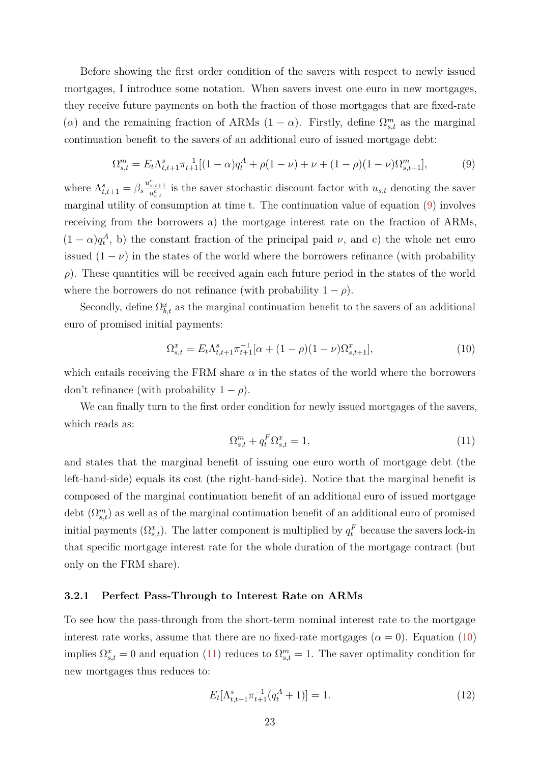Before showing the first order condition of the savers with respect to newly issued mortgages, I introduce some notation. When savers invest one euro in new mortgages, they receive future payments on both the fraction of those mortgages that are fixed-rate (*α*) and the remaining fraction of ARMs  $(1 - \alpha)$ . Firstly, define  $\Omega_{s,t}^m$  as the marginal continuation benefit to the savers of an additional euro of issued mortgage debt:

<span id="page-22-0"></span>
$$
\Omega_{s,t}^{m} = E_t \Lambda_{t,t+1}^{s} \pi_{t+1}^{-1} [(1-\alpha)q_t^{A} + \rho(1-\nu) + \nu + (1-\rho)(1-\nu)\Omega_{s,t+1}^{m}], \tag{9}
$$

where  $\Lambda_{t,t+1}^s = \beta_s \frac{u_{s,t+1}^c}{u_{s,t}^c}$  is the saver stochastic discount factor with  $u_{s,t}$  denoting the saver marginal utility of consumption at time t. The continuation value of equation [\(9\)](#page-22-0) involves receiving from the borrowers a) the mortgage interest rate on the fraction of ARMs,  $(1 - \alpha)q_t^A$ , b) the constant fraction of the principal paid *v*, and c) the whole net euro issued  $(1 - \nu)$  in the states of the world where the borrowers refinance (with probability *ρ*). These quantities will be received again each future period in the states of the world where the borrowers do not refinance (with probability  $1 - \rho$ ).

Secondly, define  $\Omega_{b,t}^x$  as the marginal continuation benefit to the savers of an additional euro of promised initial payments:

<span id="page-22-1"></span>
$$
\Omega_{s,t}^x = E_t \Lambda_{t,t+1}^s \pi_{t+1}^{-1} [\alpha + (1 - \rho)(1 - \nu)\Omega_{s,t+1}^x],\tag{10}
$$

which entails receiving the FRM share  $\alpha$  in the states of the world where the borrowers don't refinance (with probability  $1 - \rho$ ).

We can finally turn to the first order condition for newly issued mortgages of the savers, which reads as:

<span id="page-22-2"></span>
$$
\Omega_{s,t}^m + q_t^F \Omega_{s,t}^x = 1,\tag{11}
$$

and states that the marginal benefit of issuing one euro worth of mortgage debt (the left-hand-side) equals its cost (the right-hand-side). Notice that the marginal benefit is composed of the marginal continuation benefit of an additional euro of issued mortgage debt  $(\Omega_{s,t}^m)$  as well as of the marginal continuation benefit of an additional euro of promised initial payments  $(\Omega_{s,t}^x)$ . The latter component is multiplied by  $q_t^F$  because the savers lock-in that specific mortgage interest rate for the whole duration of the mortgage contract (but only on the FRM share).

#### **3.2.1 Perfect Pass-Through to Interest Rate on ARMs**

To see how the pass-through from the short-term nominal interest rate to the mortgage interest rate works, assume that there are no fixed-rate mortgages  $(\alpha = 0)$ . Equation  $(10)$ implies  $\Omega_{s,t}^x = 0$  and equation [\(11\)](#page-22-2) reduces to  $\Omega_{s,t}^m = 1$ . The saver optimality condition for new mortgages thus reduces to:

<span id="page-22-3"></span>
$$
E_t[\Lambda_{t,t+1}^s \pi_{t+1}^{-1} (q_t^A + 1)] = 1.
$$
\n(12)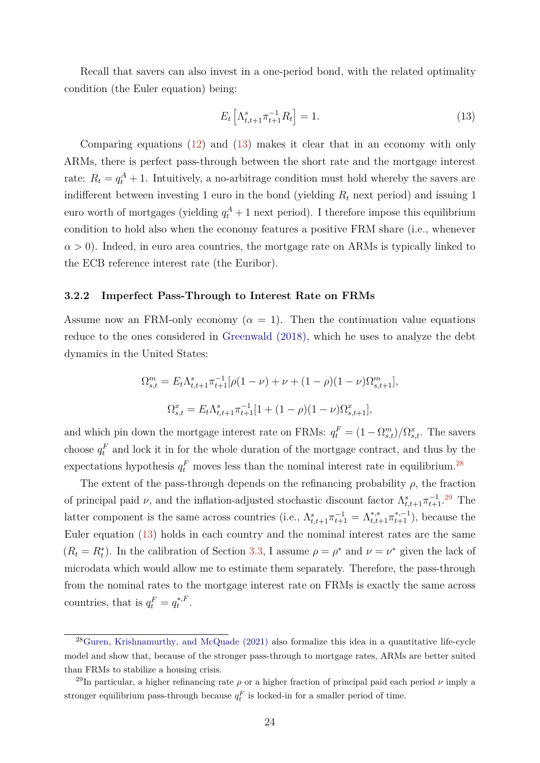<span id="page-23-1"></span>Recall that savers can also invest in a one-period bond, with the related optimality condition (the Euler equation) being:

<span id="page-23-0"></span>
$$
E_t \left[ \Lambda_{t,t+1}^s \pi_{t+1}^{-1} R_t \right] = 1. \tag{13}
$$

Comparing equations [\(12\)](#page-22-3) and [\(13\)](#page-23-0) makes it clear that in an economy with only ARMs, there is perfect pass-through between the short rate and the mortgage interest rate:  $R_t = q_t^A + 1$ . Intuitively, a no-arbitrage condition must hold whereby the savers are indifferent between investing 1 euro in the bond (yielding *R<sup>t</sup>* next period) and issuing 1 euro worth of mortgages (yielding  $q_t^A + 1$  next period). I therefore impose this equilibrium condition to hold also when the economy features a positive FRM share (i.e., whenever  $\alpha > 0$ ). Indeed, in euro area countries, the mortgage rate on ARMs is typically linked to the ECB reference interest rate (the Euribor).

#### **3.2.2 Imperfect Pass-Through to Interest Rate on FRMs**

Assume now an FRM-only economy  $(\alpha = 1)$ . Then the continuation value equations reduce to the ones considered in [Greenwald \(2018\),](#page-42-1) which he uses to analyze the debt dynamics in the United States:

$$
\Omega_{s,t}^{m} = E_t \Lambda_{t,t+1}^{s} \pi_{t+1}^{-1} [\rho (1 - \nu) + \nu + (1 - \rho)(1 - \nu) \Omega_{s,t+1}^{m}],
$$
  

$$
\Omega_{s,t}^{x} = E_t \Lambda_{t,t+1}^{s} \pi_{t+1}^{-1} [1 + (1 - \rho)(1 - \nu) \Omega_{s,t+1}^{x}],
$$

and which pin down the mortgage interest rate on FRMs:  $q_t^F = (1 - \Omega_{s,t}^m)/\Omega_{s,t}^x$ . The savers choose  $q_t^F$  and lock it in for the whole duration of the mortgage contract, and thus by the expectations hypothesis  $q_t^F$  moves less than the nominal interest rate in equilibrium.<sup>[28](#page-0-0)</sup>

The extent of the pass-through depends on the refinancing probability  $\rho$ , the fraction of principal paid *ν*, and the inflation-adjusted stochastic discount factor  $\Lambda_{t,t+1}^s \pi_{t+1}^{-1}$ .<sup>[29](#page-0-0)</sup> The latter component is the same across countries (i.e.,  $\Lambda_{t,t+1}^s \pi_{t+1}^{-1} = \Lambda_{t,t+1}^{*,s} \pi_{t+1}^{*,-1}$ ), because the Euler equation [\(13\)](#page-23-0) holds in each country and the nominal interest rates are the same  $(R_t = R_t^*)$ . In the calibration of Section [3.3,](#page-24-0) I assume  $\rho = \rho^*$  and  $\nu = \nu^*$  given the lack of microdata which would allow me to estimate them separately. Therefore, the pass-through from the nominal rates to the mortgage interest rate on FRMs is exactly the same across countries, that is  $q_t^F = q_t^{*,F}$  $t^{*,F}$ .

 $^{28}$ [Guren, Krishnamurthy, and McQuade \(2021\)](#page-42-12) also formalize this idea in a quantitative life-cycle model and show that, because of the stronger pass-through to mortgage rates, ARMs are better suited than FRMs to stabilize a housing crisis.

<sup>&</sup>lt;sup>29</sup>In particular, a higher refinancing rate  $\rho$  or a higher fraction of principal paid each period  $\nu$  imply a stronger equilibrium pass-through because  $q_t^F$  is locked-in for a smaller period of time.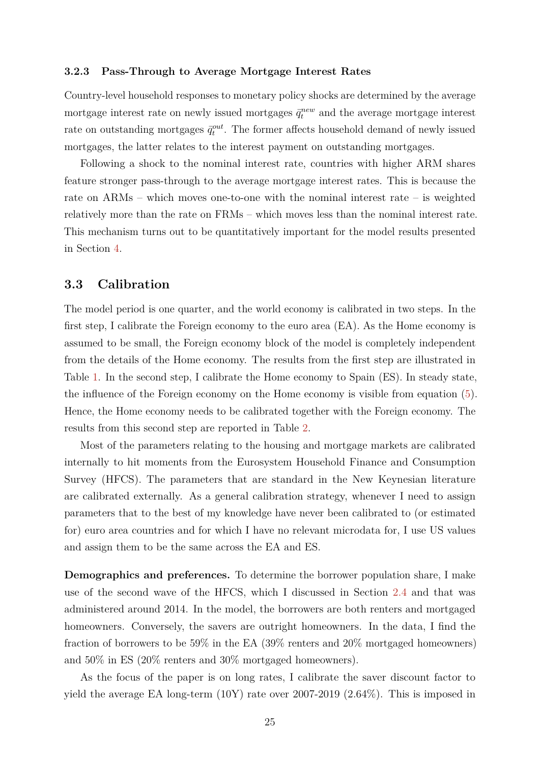#### **3.2.3 Pass-Through to Average Mortgage Interest Rates**

Country-level household responses to monetary policy shocks are determined by the average mortgage interest rate on newly issued mortgages  $\bar{q}_t^{new}$  and the average mortgage interest rate on outstanding mortgages  $\bar{q}^{out}_{t}$ . The former affects household demand of newly issued mortgages, the latter relates to the interest payment on outstanding mortgages.

Following a shock to the nominal interest rate, countries with higher ARM shares feature stronger pass-through to the average mortgage interest rates. This is because the rate on ARMs – which moves one-to-one with the nominal interest rate – is weighted relatively more than the rate on FRMs – which moves less than the nominal interest rate. This mechanism turns out to be quantitatively important for the model results presented in Section [4.](#page-28-0)

### <span id="page-24-0"></span>**3.3 Calibration**

The model period is one quarter, and the world economy is calibrated in two steps. In the first step, I calibrate the Foreign economy to the euro area (EA). As the Home economy is assumed to be small, the Foreign economy block of the model is completely independent from the details of the Home economy. The results from the first step are illustrated in Table [1.](#page-25-0) In the second step, I calibrate the Home economy to Spain (ES). In steady state, the influence of the Foreign economy on the Home economy is visible from equation [\(5\)](#page-20-0). Hence, the Home economy needs to be calibrated together with the Foreign economy. The results from this second step are reported in Table [2.](#page-26-0)

Most of the parameters relating to the housing and mortgage markets are calibrated internally to hit moments from the Eurosystem Household Finance and Consumption Survey (HFCS). The parameters that are standard in the New Keynesian literature are calibrated externally. As a general calibration strategy, whenever I need to assign parameters that to the best of my knowledge have never been calibrated to (or estimated for) euro area countries and for which I have no relevant microdata for, I use US values and assign them to be the same across the EA and ES.

**Demographics and preferences.** To determine the borrower population share, I make use of the second wave of the HFCS, which I discussed in Section [2.4](#page-9-1) and that was administered around 2014. In the model, the borrowers are both renters and mortgaged homeowners. Conversely, the savers are outright homeowners. In the data, I find the fraction of borrowers to be 59% in the EA (39% renters and 20% mortgaged homeowners) and 50% in ES (20% renters and 30% mortgaged homeowners).

As the focus of the paper is on long rates, I calibrate the saver discount factor to yield the average EA long-term (10Y) rate over 2007-2019 (2.64%). This is imposed in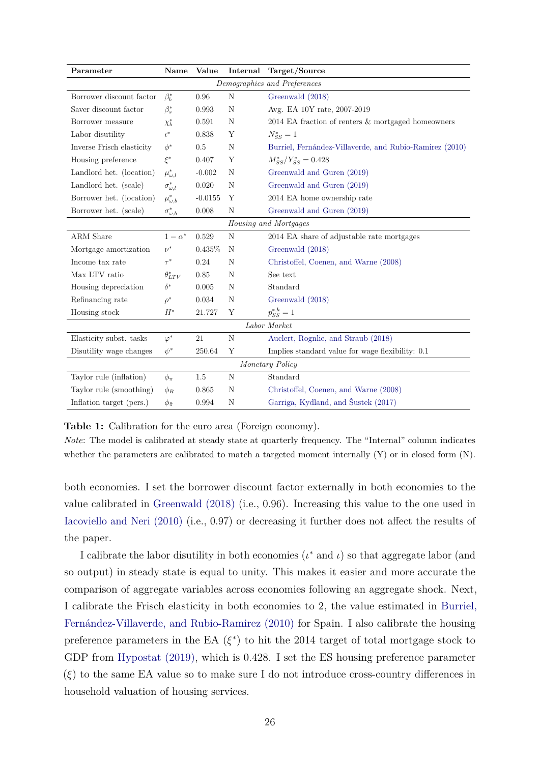<span id="page-25-1"></span><span id="page-25-0"></span>

| Parameter                    | Name                  | Value     | Internal | Target/Source                                           |  |  |
|------------------------------|-----------------------|-----------|----------|---------------------------------------------------------|--|--|
| Demographics and Preferences |                       |           |          |                                                         |  |  |
| Borrower discount factor     | $\beta_b^*$           | 0.96      | N        | Greenwald (2018)                                        |  |  |
| Saver discount factor        | $\beta_s^*$           | 0.993     | N        | Avg. EA 10Y rate, 2007-2019                             |  |  |
| Borrower measure             | $\chi_b^*$            | 0.591     | N        | 2014 EA fraction of renters & mortgaged homeowners      |  |  |
| Labor disutility             | $\iota^*$             | 0.838     | Y        | $N_{SS}^* = 1$                                          |  |  |
| Inverse Frisch elasticity    | $\phi^*$              | 0.5       | N        | Burriel, Fernández-Villaverde, and Rubio-Ramirez (2010) |  |  |
| Housing preference           | $\xi^*$               | 0.407     | Y        | $M_{SS}^*/Y_{SS}^* = 0.428$                             |  |  |
| Landlord het. (location)     | $\mu^*_{\omega, l}$   | $-0.002$  | Ν        | Greenwald and Guren (2019)                              |  |  |
| Landlord het. (scale)        | $\sigma_{\omega,l}^*$ | 0.020     | N        | Greenwald and Guren (2019)                              |  |  |
| Borrower het. (location)     | $\mu^*_{\omega,b}$    | $-0.0155$ | Y        | 2014 EA home ownership rate                             |  |  |
| Borrower het. (scale)        | $\sigma_{\omega,b}^*$ | 0.008     | N        | Greenwald and Guren (2019)                              |  |  |
| Housing and Mortgages        |                       |           |          |                                                         |  |  |
| ARM Share                    | $1-\alpha^*$          | 0.529     | N        | 2014 EA share of adjustable rate mortgages              |  |  |
| Mortgage amortization        | $\nu^*$               | $0.435\%$ | N        | Greenwald (2018)                                        |  |  |
| Income tax rate              | $\tau^*$              | 0.24      | N        | Christoffel, Coenen, and Warne (2008)                   |  |  |
| Max LTV ratio                | $\theta_{LTV}^*$      | 0.85      | N        | See text                                                |  |  |
| Housing depreciation         | $\delta^*$            | 0.005     | N        | Standard                                                |  |  |
| Refinancing rate             | $\rho^*$              | 0.034     | N        | Greenwald (2018)                                        |  |  |
| Housing stock                | $\bar{H}^*$           | 21.727    | Y        | $p_{SS}^{*,h} = 1$                                      |  |  |
| Labor Market                 |                       |           |          |                                                         |  |  |
| Elasticity subst. tasks      | $\varphi^*$           | 21        | N        | Auclert, Rognlie, and Straub (2018)                     |  |  |
| Disutility wage changes      | $\psi^*$              | 250.64    | Υ        | Implies standard value for wage flexibility: 0.1        |  |  |
| Monetary Policy              |                       |           |          |                                                         |  |  |
| Taylor rule (inflation)      | $\phi_{\pi}$          | 1.5       | N        | Standard                                                |  |  |
| Taylor rule (smoothing)      | $\phi_R$              | 0.865     | N        | Christoffel, Coenen, and Warne (2008)                   |  |  |
| Inflation target (pers.)     | $\phi_{\bar{\pi}}$    | 0.994     | N        | Garriga, Kydland, and Šustek (2017)                     |  |  |

**Table 1:** Calibration for the euro area (Foreign economy).

*Note*: The model is calibrated at steady state at quarterly frequency. The "Internal" column indicates whether the parameters are calibrated to match a targeted moment internally (Y) or in closed form (N).

both economies. I set the borrower discount factor externally in both economies to the value calibrated in [Greenwald \(2018\)](#page-42-1) (i.e., 0.96). Increasing this value to the one used in [Iacoviello and Neri \(2010\)](#page-42-6) (i.e., 0.97) or decreasing it further does not affect the results of the paper.

I calibrate the labor disutility in both economies  $(\iota^*$  and  $\iota)$  so that aggregate labor (and so output) in steady state is equal to unity. This makes it easier and more accurate the comparison of aggregate variables across economies following an aggregate shock. Next, I calibrate the Frisch elasticity in both economies to 2, the value estimated in [Burriel,](#page-40-11) [Fernández-Villaverde, and Rubio-Ramirez \(2010\)](#page-40-11) for Spain. I also calibrate the housing preference parameters in the EA  $(\xi^*)$  to hit the 2014 target of total mortgage stock to GDP from [Hypostat \(2019\),](#page-42-13) which is 0.428. I set the ES housing preference parameter (*ξ*) to the same EA value so to make sure I do not introduce cross-country differences in household valuation of housing services.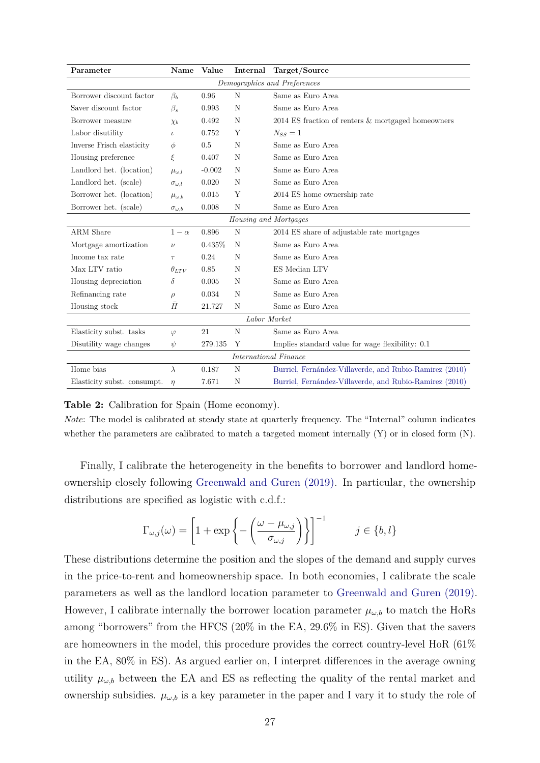<span id="page-26-1"></span><span id="page-26-0"></span>

| Parameter                    | Name                 | Value    | Internal | Target/Source                                           |  |  |
|------------------------------|----------------------|----------|----------|---------------------------------------------------------|--|--|
| Demographics and Preferences |                      |          |          |                                                         |  |  |
| Borrower discount factor     | $\beta_b$            | 0.96     | N        | Same as Euro Area                                       |  |  |
| Saver discount factor        | $\beta_s$            | 0.993    | N        | Same as Euro Area                                       |  |  |
| Borrower measure             | $\chi_b$             | 0.492    | N        | $2014$ ES fraction of renters $\&$ mortgaged homeowners |  |  |
| Labor disutility             | $\iota$              | 0.752    | Y        | $N_{SS}=1$                                              |  |  |
| Inverse Frisch elasticity    | $\phi$               | 0.5      | N        | Same as Euro Area                                       |  |  |
| Housing preference           | ξ                    | 0.407    | N        | Same as Euro Area                                       |  |  |
| Landlord het. (location)     | $\mu_{\omega, l}$    | $-0.002$ | N        | Same as Euro Area                                       |  |  |
| Landlord het. (scale)        | $\sigma_{\omega, l}$ | 0.020    | N        | Same as Euro Area                                       |  |  |
| Borrower het. (location)     | $\mu_{\omega,b}$     | 0.015    | Y        | 2014 ES home ownership rate                             |  |  |
| Borrower het. (scale)        | $\sigma_{\omega,b}$  | 0.008    | N        | Same as Euro Area                                       |  |  |
| Housing and Mortgages        |                      |          |          |                                                         |  |  |
| ARM Share                    | $1-\alpha$           | 0.896    | N        | 2014 ES share of adjustable rate mortgages              |  |  |
| Mortgage amortization        | $\nu$                | 0.435%   | N        | Same as Euro Area                                       |  |  |
| Income tax rate              | $\tau$               | 0.24     | N        | Same as Euro Area                                       |  |  |
| Max LTV ratio                | $\theta_{LTV}$       | 0.85     | N        | ES Median LTV                                           |  |  |
| Housing depreciation         | $\delta$             | 0.005    | N        | Same as Euro Area                                       |  |  |
| Refinancing rate             | $\rho$               | 0.034    | N        | Same as Euro Area                                       |  |  |
| Housing stock                | H                    | 21.727   | N        | Same as Euro Area                                       |  |  |
| Labor Market                 |                      |          |          |                                                         |  |  |
| Elasticity subst. tasks      | $\varphi$            | 21       | N        | Same as Euro Area                                       |  |  |
| Disutility wage changes      | $\psi$               | 279.135  | Y        | Implies standard value for wage flexibility: 0.1        |  |  |
| <b>International Finance</b> |                      |          |          |                                                         |  |  |
| Home bias                    | $\lambda$            | 0.187    | N        | Burriel, Fernández-Villaverde, and Rubio-Ramirez (2010) |  |  |
| Elasticity subst. consumpt.  | $\eta$               | 7.671    | N        | Burriel, Fernández-Villaverde, and Rubio-Ramirez (2010) |  |  |

#### **Table 2:** Calibration for Spain (Home economy).

*Note*: The model is calibrated at steady state at quarterly frequency. The "Internal" column indicates whether the parameters are calibrated to match a targeted moment internally (Y) or in closed form (N).

Finally, I calibrate the heterogeneity in the benefits to borrower and landlord homeownership closely following [Greenwald and Guren \(2019\).](#page-42-2) In particular, the ownership distributions are specified as logistic with c.d.f.:

$$
\Gamma_{\omega,j}(\omega) = \left[1 + \exp\left\{-\left(\frac{\omega - \mu_{\omega,j}}{\sigma_{\omega,j}}\right)\right\}\right]^{-1} \qquad j \in \{b, l\}
$$

These distributions determine the position and the slopes of the demand and supply curves in the price-to-rent and homeownership space. In both economies, I calibrate the scale parameters as well as the landlord location parameter to [Greenwald and Guren \(2019\).](#page-42-2) However, I calibrate internally the borrower location parameter  $\mu_{\omega,b}$  to match the HoRs among "borrowers" from the HFCS (20% in the EA, 29.6% in ES). Given that the savers are homeowners in the model, this procedure provides the correct country-level HoR (61% in the EA, 80% in ES). As argued earlier on, I interpret differences in the average owning utility  $\mu_{\omega,b}$  between the EA and ES as reflecting the quality of the rental market and ownership subsidies.  $\mu_{\omega,b}$  is a key parameter in the paper and I vary it to study the role of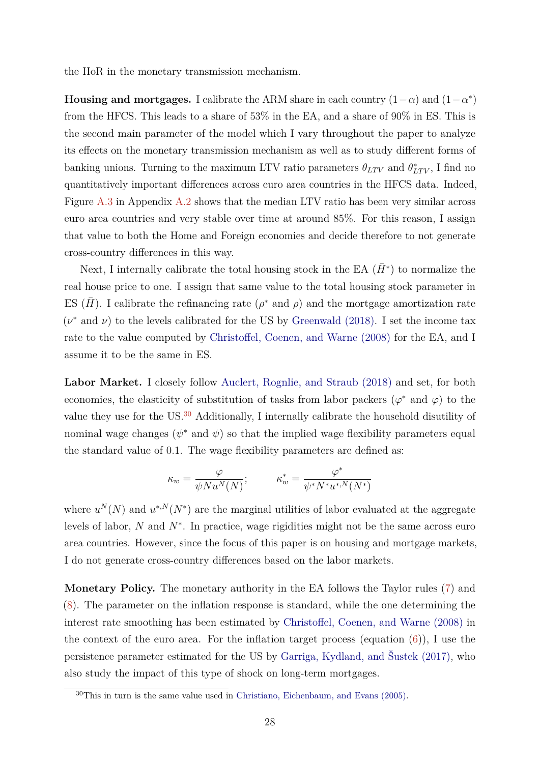<span id="page-27-0"></span>the HoR in the monetary transmission mechanism.

**Housing and mortgages.** I calibrate the ARM share in each country  $(1-\alpha)$  and  $(1-\alpha^*)$ from the HFCS. This leads to a share of 53% in the EA, and a share of 90% in ES. This is the second main parameter of the model which I vary throughout the paper to analyze its effects on the monetary transmission mechanism as well as to study different forms of banking unions. Turning to the maximum LTV ratio parameters  $\theta_{LTV}$  and  $\theta_{LTV}^*$ , I find no quantitatively important differences across euro area countries in the HFCS data. Indeed, Figure [A.3](#page-46-1) in Appendix [A.2](#page-45-1) shows that the median LTV ratio has been very similar across euro area countries and very stable over time at around 85%. For this reason, I assign that value to both the Home and Foreign economies and decide therefore to not generate cross-country differences in this way.

Next, I internally calibrate the total housing stock in the EA  $(\bar{H}^*)$  to normalize the real house price to one. I assign that same value to the total housing stock parameter in ES  $(\bar{H})$ . I calibrate the refinancing rate  $(\rho^*$  and  $\rho)$  and the mortgage amortization rate  $(\nu^*$  and  $\nu)$  to the levels calibrated for the US by [Greenwald \(2018\).](#page-42-1) I set the income tax rate to the value computed by [Christoffel, Coenen, and Warne \(2008\)](#page-41-12) for the EA, and I assume it to be the same in ES.

Labor Market. I closely follow [Auclert, Rognlie, and Straub \(2018\)](#page-40-9) and set, for both economies, the elasticity of substitution of tasks from labor packers ( $\varphi^*$  and  $\varphi$ ) to the value they use for the US.<sup>[30](#page-0-0)</sup> Additionally, I internally calibrate the household disutility of nominal wage changes ( $\psi^*$  and  $\psi$ ) so that the implied wage flexibility parameters equal the standard value of 0.1. The wage flexibility parameters are defined as:

$$
\kappa_w = \frac{\varphi}{\psi N u^N(N)}; \hspace{1cm} \kappa_w^* = \frac{\varphi^*}{\psi^* N^* u^{*,N}(N^*)}
$$

where  $u^N(N)$  and  $u^{*,N}(N^*)$  are the marginal utilities of labor evaluated at the aggregate levels of labor, *N* and *N*<sup>∗</sup> . In practice, wage rigidities might not be the same across euro area countries. However, since the focus of this paper is on housing and mortgage markets, I do not generate cross-country differences based on the labor markets.

**Monetary Policy.** The monetary authority in the EA follows the Taylor rules [\(7\)](#page-21-0) and [\(8\)](#page-21-1). The parameter on the inflation response is standard, while the one determining the interest rate smoothing has been estimated by [Christoffel, Coenen, and Warne \(2008\)](#page-41-12) in the context of the euro area. For the inflation target process (equation  $(6)$ ), I use the persistence parameter estimated for the US by [Garriga, Kydland, and Šustek \(2017\),](#page-42-11) who also study the impact of this type of shock on long-term mortgages.

<sup>30</sup>This in turn is the same value used in [Christiano, Eichenbaum, and Evans \(2005\).](#page-40-12)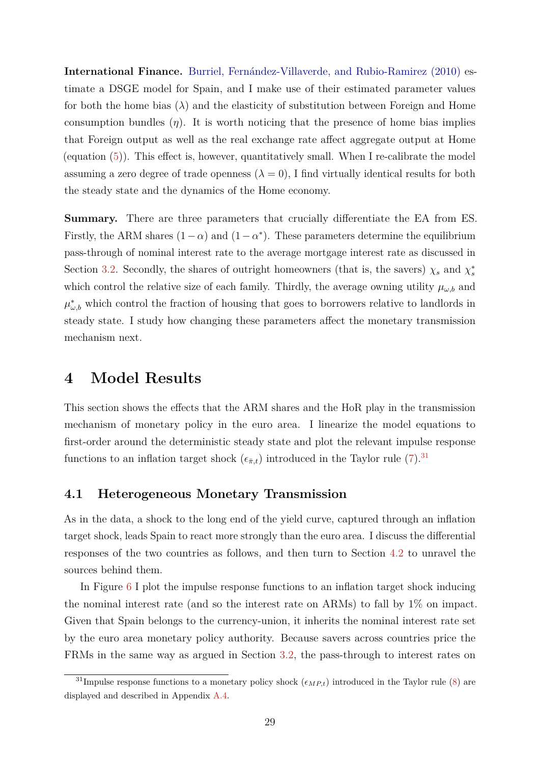<span id="page-28-1"></span>**International Finance.** [Burriel, Fernández-Villaverde, and Rubio-Ramirez \(2010\)](#page-40-11) estimate a DSGE model for Spain, and I make use of their estimated parameter values for both the home bias  $(\lambda)$  and the elasticity of substitution between Foreign and Home consumption bundles  $(\eta)$ . It is worth noticing that the presence of home bias implies that Foreign output as well as the real exchange rate affect aggregate output at Home (equation [\(5\)](#page-20-0)). This effect is, however, quantitatively small. When I re-calibrate the model assuming a zero degree of trade openness  $(\lambda = 0)$ , I find virtually identical results for both the steady state and the dynamics of the Home economy.

**Summary.** There are three parameters that crucially differentiate the EA from ES. Firstly, the ARM shares  $(1 - \alpha)$  and  $(1 - \alpha^*)$ . These parameters determine the equilibrium pass-through of nominal interest rate to the average mortgage interest rate as discussed in Section [3.2.](#page-21-2) Secondly, the shares of outright homeowners (that is, the savers)  $\chi_s$  and  $\chi_s^*$ which control the relative size of each family. Thirdly, the average owning utility  $\mu_{\omega,b}$  and  $\mu_{\omega,b}^*$  which control the fraction of housing that goes to borrowers relative to landlords in steady state. I study how changing these parameters affect the monetary transmission mechanism next.

# <span id="page-28-0"></span>**4 Model Results**

This section shows the effects that the ARM shares and the HoR play in the transmission mechanism of monetary policy in the euro area. I linearize the model equations to first-order around the deterministic steady state and plot the relevant impulse response functions to an inflation target shock  $(\epsilon_{\bar{\pi},t})$  introduced in the Taylor rule [\(7\)](#page-21-0).<sup>[31](#page-0-0)</sup>

### **4.1 Heterogeneous Monetary Transmission**

As in the data, a shock to the long end of the yield curve, captured through an inflation target shock, leads Spain to react more strongly than the euro area. I discuss the differential responses of the two countries as follows, and then turn to Section [4.2](#page-30-0) to unravel the sources behind them.

In Figure [6](#page-29-0) I plot the impulse response functions to an inflation target shock inducing the nominal interest rate (and so the interest rate on ARMs) to fall by 1% on impact. Given that Spain belongs to the currency-union, it inherits the nominal interest rate set by the euro area monetary policy authority. Because savers across countries price the FRMs in the same way as argued in Section [3.2,](#page-21-2) the pass-through to interest rates on

<sup>&</sup>lt;sup>31</sup>Impulse response functions to a monetary policy shock  $(\epsilon_{MP,t})$  introduced in the Taylor rule [\(8\)](#page-21-1) are displayed and described in Appendix [A.4.](#page-50-0)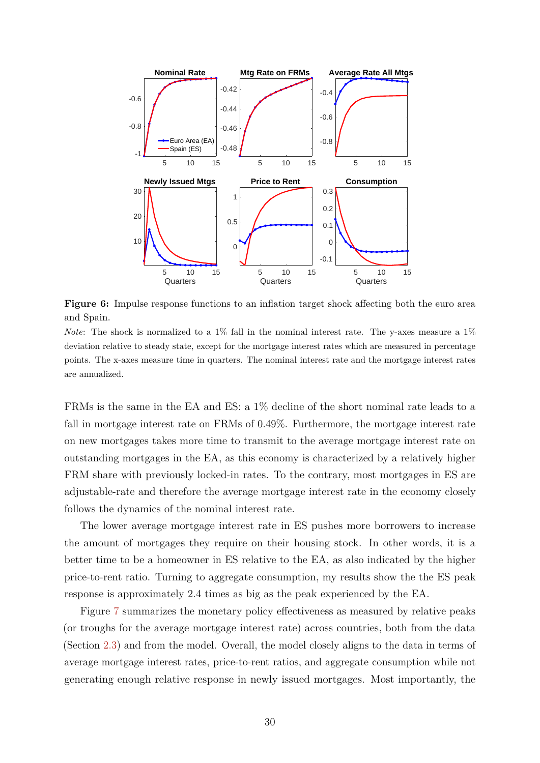<span id="page-29-0"></span>

**Figure 6:** Impulse response functions to an inflation target shock affecting both the euro area and Spain.

*Note*: The shock is normalized to a 1% fall in the nominal interest rate. The y-axes measure a 1% deviation relative to steady state, except for the mortgage interest rates which are measured in percentage points. The x-axes measure time in quarters. The nominal interest rate and the mortgage interest rates are annualized.

FRMs is the same in the EA and ES: a 1% decline of the short nominal rate leads to a fall in mortgage interest rate on FRMs of 0.49%. Furthermore, the mortgage interest rate on new mortgages takes more time to transmit to the average mortgage interest rate on outstanding mortgages in the EA, as this economy is characterized by a relatively higher FRM share with previously locked-in rates. To the contrary, most mortgages in ES are adjustable-rate and therefore the average mortgage interest rate in the economy closely follows the dynamics of the nominal interest rate.

The lower average mortgage interest rate in ES pushes more borrowers to increase the amount of mortgages they require on their housing stock. In other words, it is a better time to be a homeowner in ES relative to the EA, as also indicated by the higher price-to-rent ratio. Turning to aggregate consumption, my results show the the ES peak response is approximately 2.4 times as big as the peak experienced by the EA.

Figure [7](#page-30-1) summarizes the monetary policy effectiveness as measured by relative peaks (or troughs for the average mortgage interest rate) across countries, both from the data (Section [2.3\)](#page-7-1) and from the model. Overall, the model closely aligns to the data in terms of average mortgage interest rates, price-to-rent ratios, and aggregate consumption while not generating enough relative response in newly issued mortgages. Most importantly, the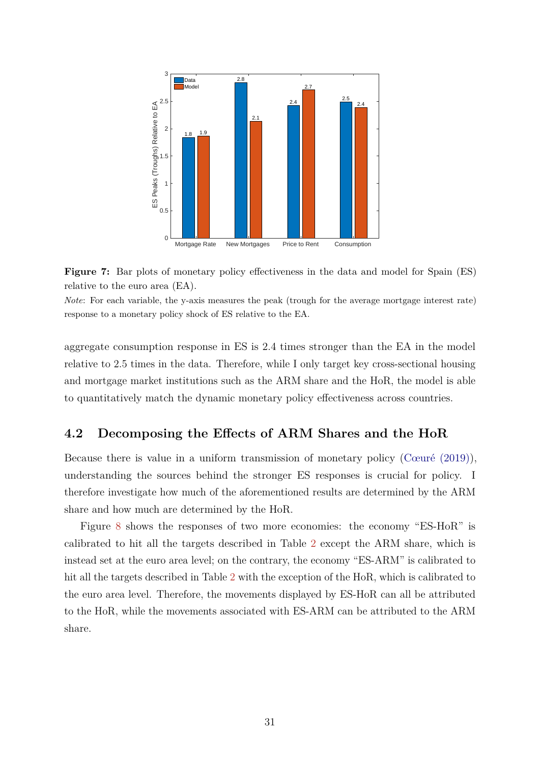<span id="page-30-2"></span><span id="page-30-1"></span>

**Figure 7:** Bar plots of monetary policy effectiveness in the data and model for Spain (ES) relative to the euro area (EA).

*Note*: For each variable, the y-axis measures the peak (trough for the average mortgage interest rate) response to a monetary policy shock of ES relative to the EA.

aggregate consumption response in ES is 2.4 times stronger than the EA in the model relative to 2.5 times in the data. Therefore, while I only target key cross-sectional housing and mortgage market institutions such as the ARM share and the HoR, the model is able to quantitatively match the dynamic monetary policy effectiveness across countries.

# <span id="page-30-0"></span>**4.2 Decomposing the Effects of ARM Shares and the HoR**

Because there is value in a uniform transmission of monetary policy [\(Cœuré \(2019\)\)](#page-41-13), understanding the sources behind the stronger ES responses is crucial for policy. I therefore investigate how much of the aforementioned results are determined by the ARM share and how much are determined by the HoR.

Figure [8](#page-31-0) shows the responses of two more economies: the economy "ES-HoR" is calibrated to hit all the targets described in Table [2](#page-26-0) except the ARM share, which is instead set at the euro area level; on the contrary, the economy "ES-ARM" is calibrated to hit all the targets described in Table [2](#page-26-0) with the exception of the HoR, which is calibrated to the euro area level. Therefore, the movements displayed by ES-HoR can all be attributed to the HoR, while the movements associated with ES-ARM can be attributed to the ARM share.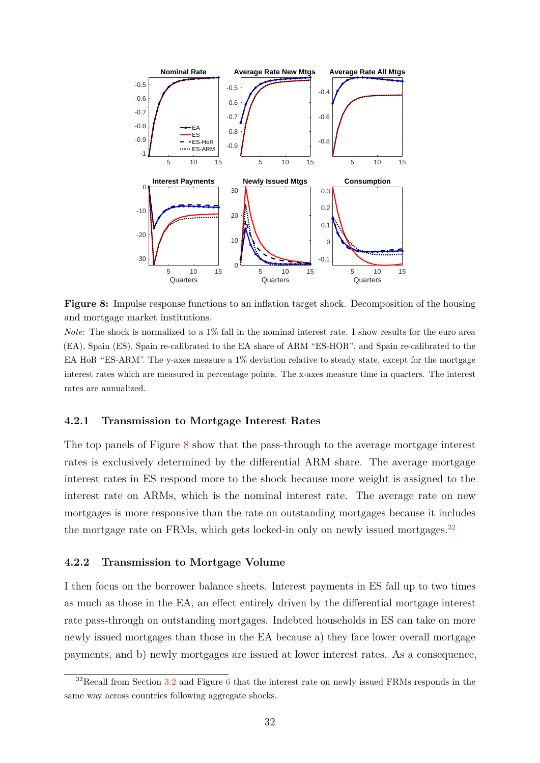<span id="page-31-0"></span>

**Figure 8:** Impulse response functions to an inflation target shock. Decomposition of the housing and mortgage market institutions.

*Note*: The shock is normalized to a 1% fall in the nominal interest rate. I show results for the euro area (EA), Spain (ES), Spain re-calibrated to the EA share of ARM "ES-HOR", and Spain re-calibrated to the EA HoR "ES-ARM". The y-axes measure a 1% deviation relative to steady state, except for the mortgage interest rates which are measured in percentage points. The x-axes measure time in quarters. The interest rates are annualized.

#### **4.2.1 Transmission to Mortgage Interest Rates**

The top panels of Figure [8](#page-31-0) show that the pass-through to the average mortgage interest rates is exclusively determined by the differential ARM share. The average mortgage interest rates in ES respond more to the shock because more weight is assigned to the interest rate on ARMs, which is the nominal interest rate. The average rate on new mortgages is more responsive than the rate on outstanding mortgages because it includes the mortgage rate on FRMs, which gets locked-in only on newly issued mortgages.<sup>[32](#page-0-0)</sup>

#### **4.2.2 Transmission to Mortgage Volume**

I then focus on the borrower balance sheets. Interest payments in ES fall up to two times as much as those in the EA, an effect entirely driven by the differential mortgage interest rate pass-through on outstanding mortgages. Indebted households in ES can take on more newly issued mortgages than those in the EA because a) they face lower overall mortgage payments, and b) newly mortgages are issued at lower interest rates. As a consequence,

 $32$ Recall from Section [3.2](#page-21-2) and Figure [6](#page-29-0) that the interest rate on newly issued FRMs responds in the same way across countries following aggregate shocks.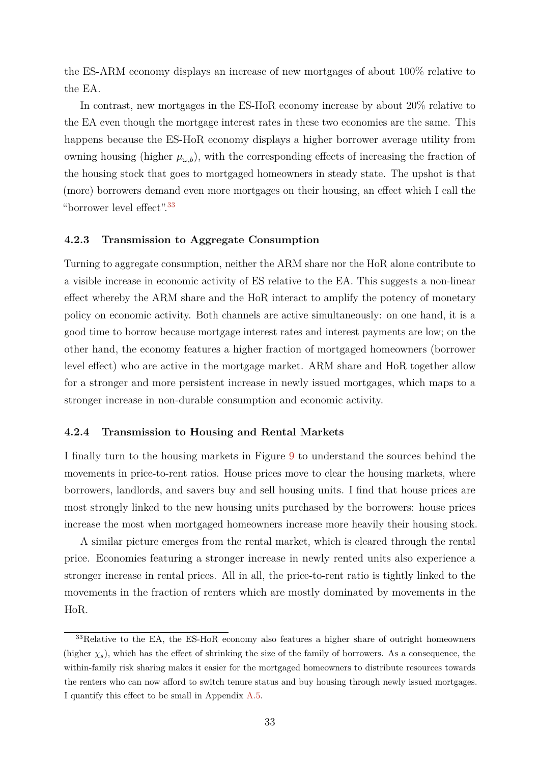the ES-ARM economy displays an increase of new mortgages of about 100% relative to the EA.

In contrast, new mortgages in the ES-HoR economy increase by about 20% relative to the EA even though the mortgage interest rates in these two economies are the same. This happens because the ES-HoR economy displays a higher borrower average utility from owning housing (higher  $\mu_{\omega,b}$ ), with the corresponding effects of increasing the fraction of the housing stock that goes to mortgaged homeowners in steady state. The upshot is that (more) borrowers demand even more mortgages on their housing, an effect which I call the "borrower level effect".[33](#page-0-0)

#### **4.2.3 Transmission to Aggregate Consumption**

Turning to aggregate consumption, neither the ARM share nor the HoR alone contribute to a visible increase in economic activity of ES relative to the EA. This suggests a non-linear effect whereby the ARM share and the HoR interact to amplify the potency of monetary policy on economic activity. Both channels are active simultaneously: on one hand, it is a good time to borrow because mortgage interest rates and interest payments are low; on the other hand, the economy features a higher fraction of mortgaged homeowners (borrower level effect) who are active in the mortgage market. ARM share and HoR together allow for a stronger and more persistent increase in newly issued mortgages, which maps to a stronger increase in non-durable consumption and economic activity.

#### **4.2.4 Transmission to Housing and Rental Markets**

I finally turn to the housing markets in Figure [9](#page-33-0) to understand the sources behind the movements in price-to-rent ratios. House prices move to clear the housing markets, where borrowers, landlords, and savers buy and sell housing units. I find that house prices are most strongly linked to the new housing units purchased by the borrowers: house prices increase the most when mortgaged homeowners increase more heavily their housing stock.

A similar picture emerges from the rental market, which is cleared through the rental price. Economies featuring a stronger increase in newly rented units also experience a stronger increase in rental prices. All in all, the price-to-rent ratio is tightly linked to the movements in the fraction of renters which are mostly dominated by movements in the HoR.

<sup>&</sup>lt;sup>33</sup>Relative to the EA, the ES-HoR economy also features a higher share of outright homeowners (higher  $\chi_s$ ), which has the effect of shrinking the size of the family of borrowers. As a consequence, the within-family risk sharing makes it easier for the mortgaged homeowners to distribute resources towards the renters who can now afford to switch tenure status and buy housing through newly issued mortgages. I quantify this effect to be small in Appendix [A.5.](#page-51-0)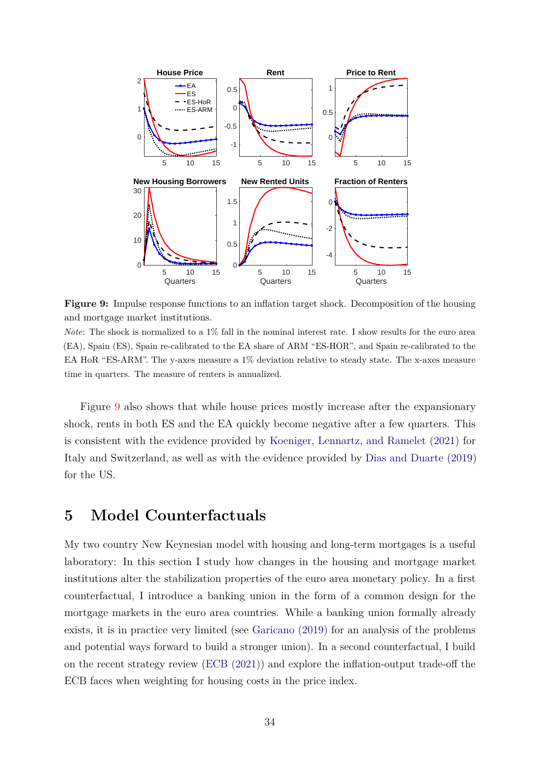<span id="page-33-1"></span><span id="page-33-0"></span>

**Figure 9:** Impulse response functions to an inflation target shock. Decomposition of the housing and mortgage market institutions.

*Note*: The shock is normalized to a 1% fall in the nominal interest rate. I show results for the euro area (EA), Spain (ES), Spain re-calibrated to the EA share of ARM "ES-HOR", and Spain re-calibrated to the EA HoR "ES-ARM". The y-axes measure a 1% deviation relative to steady state. The x-axes measure time in quarters. The measure of renters is annualized.

Figure [9](#page-33-0) also shows that while house prices mostly increase after the expansionary shock, rents in both ES and the EA quickly become negative after a few quarters. This is consistent with the evidence provided by [Koeniger, Lennartz, and Ramelet \(2021\)](#page-42-4) for Italy and Switzerland, as well as with the evidence provided by [Dias and Duarte \(2019\)](#page-41-14) for the US.

# **5 Model Counterfactuals**

My two country New Keynesian model with housing and long-term mortgages is a useful laboratory: In this section I study how changes in the housing and mortgage market institutions alter the stabilization properties of the euro area monetary policy. In a first counterfactual, I introduce a banking union in the form of a common design for the mortgage markets in the euro area countries. While a banking union formally already exists, it is in practice very limited (see [Garicano \(2019\)](#page-42-14) for an analysis of the problems and potential ways forward to build a stronger union). In a second counterfactual, I build on the recent strategy review [\(ECB \(2021\)\)](#page-41-2) and explore the inflation-output trade-off the ECB faces when weighting for housing costs in the price index.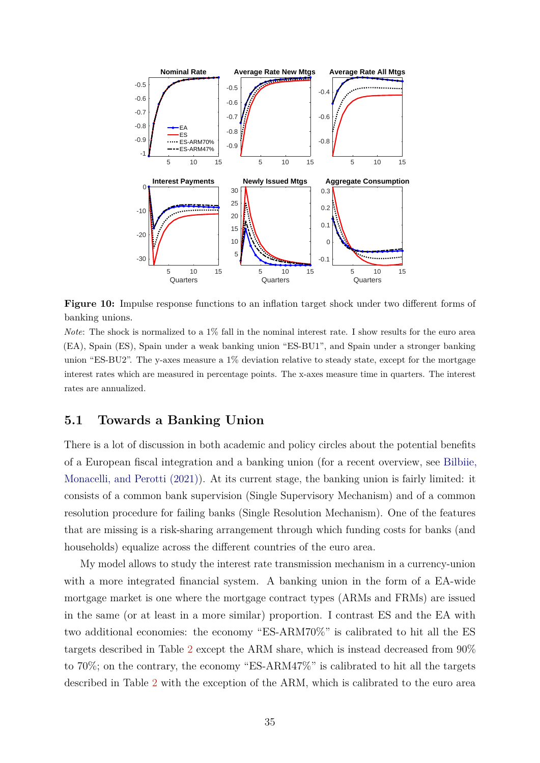<span id="page-34-1"></span><span id="page-34-0"></span>

**Figure 10:** Impulse response functions to an inflation target shock under two different forms of banking unions.

*Note*: The shock is normalized to a 1% fall in the nominal interest rate. I show results for the euro area (EA), Spain (ES), Spain under a weak banking union "ES-BU1", and Spain under a stronger banking union "ES-BU2". The y-axes measure a 1% deviation relative to steady state, except for the mortgage interest rates which are measured in percentage points. The x-axes measure time in quarters. The interest rates are annualized.

### **5.1 Towards a Banking Union**

There is a lot of discussion in both academic and policy circles about the potential benefits of a European fiscal integration and a banking union (for a recent overview, see [Bilbiie,](#page-40-13) [Monacelli, and Perotti \(2021\)\)](#page-40-13). At its current stage, the banking union is fairly limited: it consists of a common bank supervision (Single Supervisory Mechanism) and of a common resolution procedure for failing banks (Single Resolution Mechanism). One of the features that are missing is a risk-sharing arrangement through which funding costs for banks (and households) equalize across the different countries of the euro area.

My model allows to study the interest rate transmission mechanism in a currency-union with a more integrated financial system. A banking union in the form of a EA-wide mortgage market is one where the mortgage contract types (ARMs and FRMs) are issued in the same (or at least in a more similar) proportion. I contrast ES and the EA with two additional economies: the economy "ES-ARM70%" is calibrated to hit all the ES targets described in Table [2](#page-26-0) except the ARM share, which is instead decreased from 90% to 70%; on the contrary, the economy "ES-ARM47%" is calibrated to hit all the targets described in Table [2](#page-26-0) with the exception of the ARM, which is calibrated to the euro area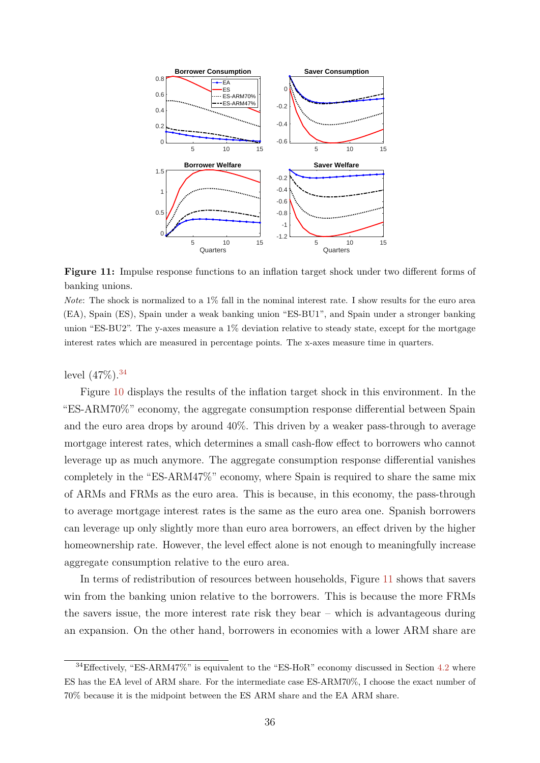<span id="page-35-0"></span>

**Figure 11:** Impulse response functions to an inflation target shock under two different forms of banking unions.

*Note*: The shock is normalized to a 1% fall in the nominal interest rate. I show results for the euro area (EA), Spain (ES), Spain under a weak banking union "ES-BU1", and Spain under a stronger banking union "ES-BU2". The y-axes measure a  $1\%$  deviation relative to steady state, except for the mortgage interest rates which are measured in percentage points. The x-axes measure time in quarters.

level  $(47\%)$ .<sup>[34](#page-0-0)</sup>

Figure [10](#page-34-0) displays the results of the inflation target shock in this environment. In the "ES-ARM70%" economy, the aggregate consumption response differential between Spain and the euro area drops by around 40%. This driven by a weaker pass-through to average mortgage interest rates, which determines a small cash-flow effect to borrowers who cannot leverage up as much anymore. The aggregate consumption response differential vanishes completely in the "ES-ARM47%" economy, where Spain is required to share the same mix of ARMs and FRMs as the euro area. This is because, in this economy, the pass-through to average mortgage interest rates is the same as the euro area one. Spanish borrowers can leverage up only slightly more than euro area borrowers, an effect driven by the higher homeownership rate. However, the level effect alone is not enough to meaningfully increase aggregate consumption relative to the euro area.

In terms of redistribution of resources between households, Figure [11](#page-35-0) shows that savers win from the banking union relative to the borrowers. This is because the more FRMs the savers issue, the more interest rate risk they bear – which is advantageous during an expansion. On the other hand, borrowers in economies with a lower ARM share are

 $34E$ ffectively, "ES-ARM47%" is equivalent to the "ES-HoR" economy discussed in Section [4.2](#page-30-0) where ES has the EA level of ARM share. For the intermediate case ES-ARM70%, I choose the exact number of 70% because it is the midpoint between the ES ARM share and the EA ARM share.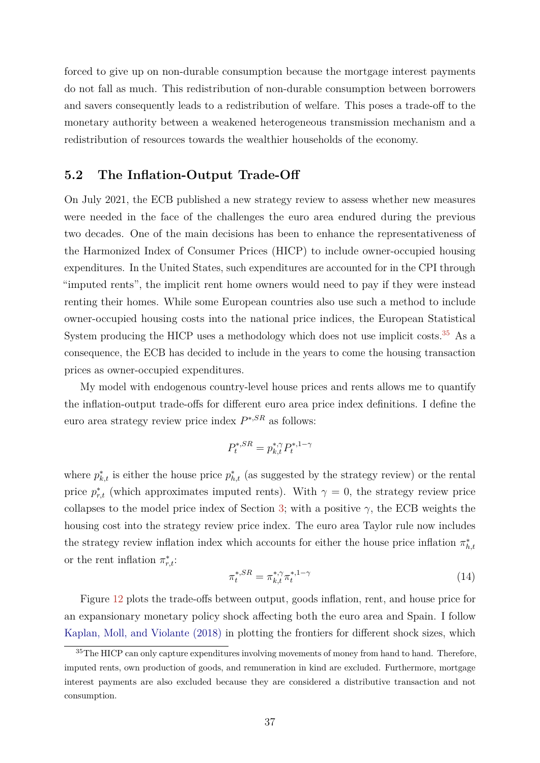<span id="page-36-1"></span>forced to give up on non-durable consumption because the mortgage interest payments do not fall as much. This redistribution of non-durable consumption between borrowers and savers consequently leads to a redistribution of welfare. This poses a trade-off to the monetary authority between a weakened heterogeneous transmission mechanism and a redistribution of resources towards the wealthier households of the economy.

# **5.2 The Inflation-Output Trade-Off**

On July 2021, the ECB published a new strategy review to assess whether new measures were needed in the face of the challenges the euro area endured during the previous two decades. One of the main decisions has been to enhance the representativeness of the Harmonized Index of Consumer Prices (HICP) to include owner-occupied housing expenditures. In the United States, such expenditures are accounted for in the CPI through "imputed rents", the implicit rent home owners would need to pay if they were instead renting their homes. While some European countries also use such a method to include owner-occupied housing costs into the national price indices, the European Statistical System producing the HICP uses a methodology which does not use implicit costs.<sup>[35](#page-0-0)</sup> As a consequence, the ECB has decided to include in the years to come the housing transaction prices as owner-occupied expenditures.

My model with endogenous country-level house prices and rents allows me to quantify the inflation-output trade-offs for different euro area price index definitions. I define the euro area strategy review price index *P* <sup>∗</sup>*,SR* as follows:

$$
P_t^{*,SR} = p_{k,t}^{*,\gamma} P_t^{*,1-\gamma}
$$

where  $p_{k,t}^*$  is either the house price  $p_{h,t}^*$  (as suggested by the strategy review) or the rental price  $p_{r,t}^*$  (which approximates imputed rents). With  $\gamma = 0$ , the strategy review price collapses to the model price index of Section [3;](#page-13-0) with a positive  $\gamma$ , the ECB weights the housing cost into the strategy review price index. The euro area Taylor rule now includes the strategy review inflation index which accounts for either the house price inflation  $\pi^*_{h,t}$ or the rent inflation  $\pi^*_{r,t}$ :

<span id="page-36-0"></span>
$$
\pi_t^{*,SR} = \pi_{k,t}^{*,\gamma} \pi_t^{*,1-\gamma} \tag{14}
$$

Figure [12](#page-37-0) plots the trade-offs between output, goods inflation, rent, and house price for an expansionary monetary policy shock affecting both the euro area and Spain. I follow [Kaplan, Moll, and Violante \(2018\)](#page-42-15) in plotting the frontiers for different shock sizes, which

 $35$ The HICP can only capture expenditures involving movements of money from hand to hand. Therefore, imputed rents, own production of goods, and remuneration in kind are excluded. Furthermore, mortgage interest payments are also excluded because they are considered a distributive transaction and not consumption.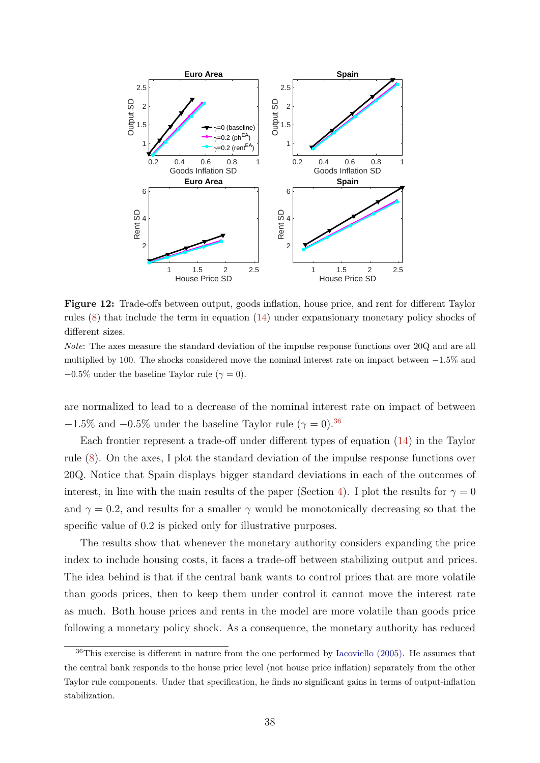<span id="page-37-1"></span><span id="page-37-0"></span>

**Figure 12:** Trade-offs between output, goods inflation, house price, and rent for different Taylor rules [\(8\)](#page-21-1) that include the term in equation [\(14\)](#page-36-0) under expansionary monetary policy shocks of different sizes.

*Note*: The axes measure the standard deviation of the impulse response functions over 20Q and are all multiplied by 100. The shocks considered move the nominal interest rate on impact between −1*.*5% and  $-0.5\%$  under the baseline Taylor rule ( $\gamma = 0$ ).

are normalized to lead to a decrease of the nominal interest rate on impact of between −1.5% and −0.5% under the baseline Taylor rule ( $\gamma = 0$ ).<sup>[36](#page-0-0)</sup>

Each frontier represent a trade-off under different types of equation [\(14\)](#page-36-0) in the Taylor rule [\(8\)](#page-21-1). On the axes, I plot the standard deviation of the impulse response functions over 20Q. Notice that Spain displays bigger standard deviations in each of the outcomes of interest, in line with the main results of the paper (Section [4\)](#page-28-0). I plot the results for  $\gamma = 0$ and  $\gamma = 0.2$ , and results for a smaller  $\gamma$  would be monotonically decreasing so that the specific value of 0.2 is picked only for illustrative purposes.

The results show that whenever the monetary authority considers expanding the price index to include housing costs, it faces a trade-off between stabilizing output and prices. The idea behind is that if the central bank wants to control prices that are more volatile than goods prices, then to keep them under control it cannot move the interest rate as much. Both house prices and rents in the model are more volatile than goods price following a monetary policy shock. As a consequence, the monetary authority has reduced

 $36$ This exercise is different in nature from the one performed by [Iacoviello \(2005\).](#page-42-5) He assumes that the central bank responds to the house price level (not house price inflation) separately from the other Taylor rule components. Under that specification, he finds no significant gains in terms of output-inflation stabilization.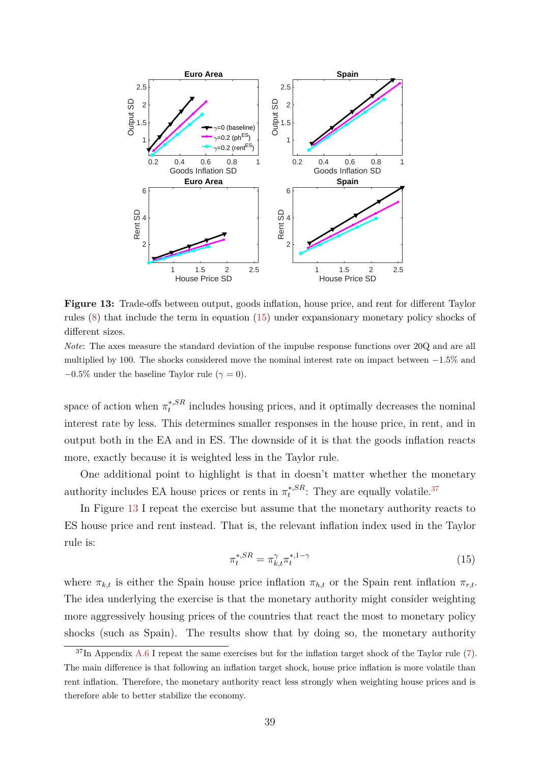<span id="page-38-1"></span>

**Figure 13:** Trade-offs between output, goods inflation, house price, and rent for different Taylor rules [\(8\)](#page-21-1) that include the term in equation [\(15\)](#page-38-0) under expansionary monetary policy shocks of different sizes.

*Note*: The axes measure the standard deviation of the impulse response functions over 20Q and are all multiplied by 100. The shocks considered move the nominal interest rate on impact between −1*.*5% and  $-0.5\%$  under the baseline Taylor rule ( $\gamma = 0$ ).

space of action when  $\pi_t^{*,SR}$  $t_t^{*,SR}$  includes housing prices, and it optimally decreases the nominal interest rate by less. This determines smaller responses in the house price, in rent, and in output both in the EA and in ES. The downside of it is that the goods inflation reacts more, exactly because it is weighted less in the Taylor rule.

One additional point to highlight is that in doesn't matter whether the monetary authority includes EA house prices or rents in  $\pi_t^{*,SR}$  $t^{*,SR}$ : They are equally volatile.<sup>[37](#page-0-0)</sup>

In Figure [13](#page-38-1) I repeat the exercise but assume that the monetary authority reacts to ES house price and rent instead. That is, the relevant inflation index used in the Taylor rule is:

<span id="page-38-0"></span>
$$
\pi_t^{*,SR} = \pi_{k,t}^{\gamma} \pi_t^{*,1-\gamma} \tag{15}
$$

where  $\pi_{k,t}$  is either the Spain house price inflation  $\pi_{h,t}$  or the Spain rent inflation  $\pi_{r,t}$ . The idea underlying the exercise is that the monetary authority might consider weighting more aggressively housing prices of the countries that react the most to monetary policy shocks (such as Spain). The results show that by doing so, the monetary authority

 $37\text{In Appendix A.6 I repeat the same exercises but for the inflation target shock of the Taylor rule (7).}$  $37\text{In Appendix A.6 I repeat the same exercises but for the inflation target shock of the Taylor rule (7).}$  $37\text{In Appendix A.6 I repeat the same exercises but for the inflation target shock of the Taylor rule (7).}$  $37\text{In Appendix A.6 I repeat the same exercises but for the inflation target shock of the Taylor rule (7).}$  $37\text{In Appendix A.6 I repeat the same exercises but for the inflation target shock of the Taylor rule (7).}$ The main difference is that following an inflation target shock, house price inflation is more volatile than rent inflation. Therefore, the monetary authority react less strongly when weighting house prices and is therefore able to better stabilize the economy.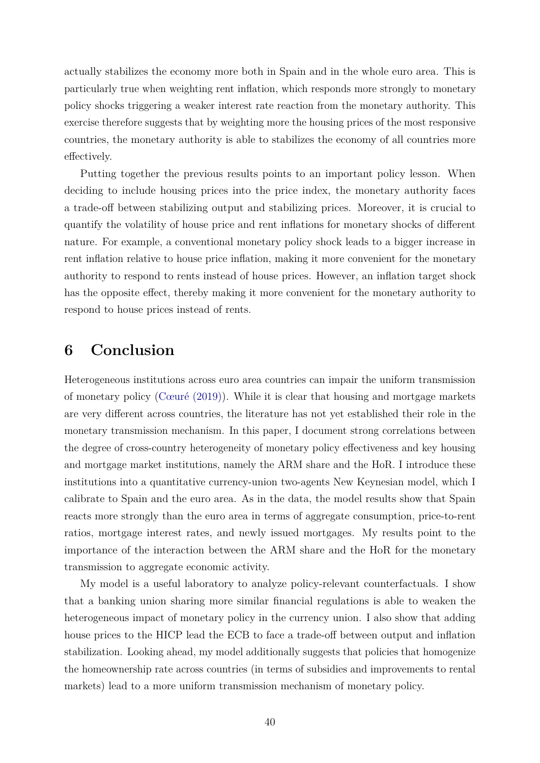<span id="page-39-0"></span>actually stabilizes the economy more both in Spain and in the whole euro area. This is particularly true when weighting rent inflation, which responds more strongly to monetary policy shocks triggering a weaker interest rate reaction from the monetary authority. This exercise therefore suggests that by weighting more the housing prices of the most responsive countries, the monetary authority is able to stabilizes the economy of all countries more effectively.

Putting together the previous results points to an important policy lesson. When deciding to include housing prices into the price index, the monetary authority faces a trade-off between stabilizing output and stabilizing prices. Moreover, it is crucial to quantify the volatility of house price and rent inflations for monetary shocks of different nature. For example, a conventional monetary policy shock leads to a bigger increase in rent inflation relative to house price inflation, making it more convenient for the monetary authority to respond to rents instead of house prices. However, an inflation target shock has the opposite effect, thereby making it more convenient for the monetary authority to respond to house prices instead of rents.

# **6 Conclusion**

Heterogeneous institutions across euro area countries can impair the uniform transmission of monetary policy [\(Cœuré \(2019\)\)](#page-41-13). While it is clear that housing and mortgage markets are very different across countries, the literature has not yet established their role in the monetary transmission mechanism. In this paper, I document strong correlations between the degree of cross-country heterogeneity of monetary policy effectiveness and key housing and mortgage market institutions, namely the ARM share and the HoR. I introduce these institutions into a quantitative currency-union two-agents New Keynesian model, which I calibrate to Spain and the euro area. As in the data, the model results show that Spain reacts more strongly than the euro area in terms of aggregate consumption, price-to-rent ratios, mortgage interest rates, and newly issued mortgages. My results point to the importance of the interaction between the ARM share and the HoR for the monetary transmission to aggregate economic activity.

My model is a useful laboratory to analyze policy-relevant counterfactuals. I show that a banking union sharing more similar financial regulations is able to weaken the heterogeneous impact of monetary policy in the currency union. I also show that adding house prices to the HICP lead the ECB to face a trade-off between output and inflation stabilization. Looking ahead, my model additionally suggests that policies that homogenize the homeownership rate across countries (in terms of subsidies and improvements to rental markets) lead to a more uniform transmission mechanism of monetary policy.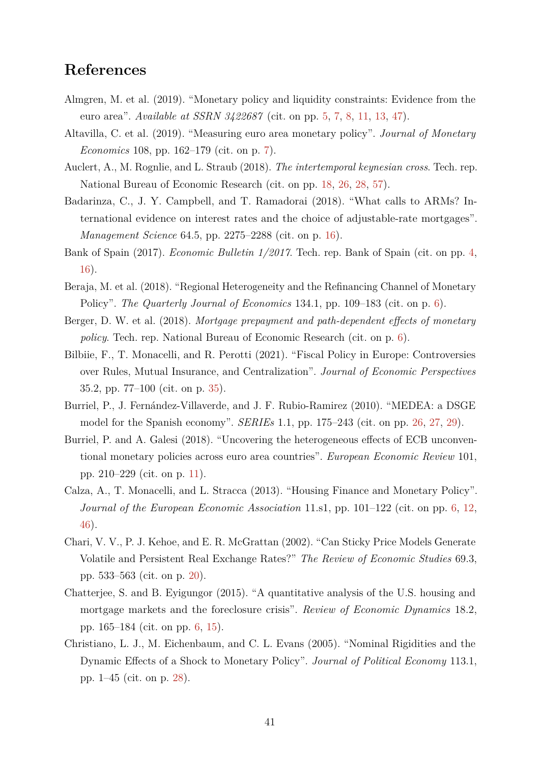# **References**

- <span id="page-40-1"></span>Almgren, M. et al. (2019). "Monetary policy and liquidity constraints: Evidence from the euro area". *Available at SSRN 3422687* (cit. on pp. [5,](#page-4-0) [7,](#page-6-0) [8,](#page-7-2) [11,](#page-10-1) [13,](#page-12-1) [47\)](#page-46-2).
- <span id="page-40-6"></span>Altavilla, C. et al. (2019). "Measuring euro area monetary policy". *Journal of Monetary Economics* 108, pp. 162–179 (cit. on p. [7\)](#page-6-0).
- <span id="page-40-9"></span>Auclert, A., M. Rognlie, and L. Straub (2018). *The intertemporal keynesian cross*. Tech. rep. National Bureau of Economic Research (cit. on pp. [18,](#page-17-0) [26,](#page-25-1) [28,](#page-27-0) [57\)](#page-56-1).
- <span id="page-40-8"></span>Badarinza, C., J. Y. Campbell, and T. Ramadorai (2018). "What calls to ARMs? International evidence on interest rates and the choice of adjustable-rate mortgages". *Management Science* 64.5, pp. 2275–2288 (cit. on p. [16\)](#page-15-0).
- <span id="page-40-0"></span>Bank of Spain (2017). *Economic Bulletin 1/2017*. Tech. rep. Bank of Spain (cit. on pp. [4,](#page-3-0) [16\)](#page-15-0).
- <span id="page-40-4"></span>Beraja, M. et al. (2018). "Regional Heterogeneity and the Refinancing Channel of Monetary Policy". *The Quarterly Journal of Economics* 134.1, pp. 109–183 (cit. on p. [6\)](#page-5-0).
- <span id="page-40-5"></span>Berger, D. W. et al. (2018). *Mortgage prepayment and path-dependent effects of monetary policy*. Tech. rep. National Bureau of Economic Research (cit. on p. [6\)](#page-5-0).
- <span id="page-40-13"></span>Bilbiie, F., T. Monacelli, and R. Perotti (2021). "Fiscal Policy in Europe: Controversies over Rules, Mutual Insurance, and Centralization". *Journal of Economic Perspectives* 35.2, pp. 77–100 (cit. on p. [35\)](#page-34-1).
- <span id="page-40-11"></span>Burriel, P., J. Fernández-Villaverde, and J. F. Rubio-Ramirez (2010). "MEDEA: a DSGE model for the Spanish economy". *SERIEs* 1.1, pp. 175–243 (cit. on pp. [26,](#page-25-1) [27,](#page-26-1) [29\)](#page-28-1).
- <span id="page-40-7"></span>Burriel, P. and A. Galesi (2018). "Uncovering the heterogeneous effects of ECB unconventional monetary policies across euro area countries". *European Economic Review* 101, pp. 210–229 (cit. on p. [11\)](#page-10-1).
- <span id="page-40-2"></span>Calza, A., T. Monacelli, and L. Stracca (2013). "Housing Finance and Monetary Policy". *Journal of the European Economic Association* 11.s1, pp. 101–122 (cit. on pp. [6,](#page-5-0) [12,](#page-11-1) [46\)](#page-45-2).
- <span id="page-40-10"></span>Chari, V. V., P. J. Kehoe, and E. R. McGrattan (2002). "Can Sticky Price Models Generate Volatile and Persistent Real Exchange Rates?" *The Review of Economic Studies* 69.3, pp. 533–563 (cit. on p. [20\)](#page-19-1).
- <span id="page-40-3"></span>Chatterjee, S. and B. Eyigungor (2015). "A quantitative analysis of the U.S. housing and mortgage markets and the foreclosure crisis". *Review of Economic Dynamics* 18.2, pp. 165–184 (cit. on pp. [6,](#page-5-0) [15\)](#page-14-0).
- <span id="page-40-12"></span>Christiano, L. J., M. Eichenbaum, and C. L. Evans (2005). "Nominal Rigidities and the Dynamic Effects of a Shock to Monetary Policy". *Journal of Political Economy* 113.1, pp. 1–45 (cit. on p. [28\)](#page-27-0).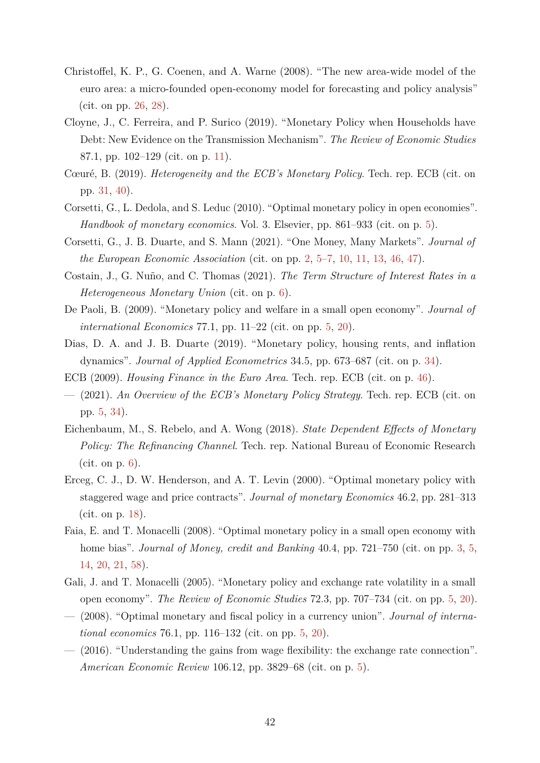- <span id="page-41-12"></span>Christoffel, K. P., G. Coenen, and A. Warne (2008). "The new area-wide model of the euro area: a micro-founded open-economy model for forecasting and policy analysis" (cit. on pp. [26,](#page-25-1) [28\)](#page-27-0).
- <span id="page-41-10"></span>Cloyne, J., C. Ferreira, and P. Surico (2019). "Monetary Policy when Households have Debt: New Evidence on the Transmission Mechanism". *The Review of Economic Studies* 87.1, pp. 102–129 (cit. on p. [11\)](#page-10-1).
- <span id="page-41-13"></span>Cœuré, B. (2019). *Heterogeneity and the ECB's Monetary Policy*. Tech. rep. ECB (cit. on pp. [31,](#page-30-2) [40\)](#page-39-0).
- <span id="page-41-6"></span>Corsetti, G., L. Dedola, and S. Leduc (2010). "Optimal monetary policy in open economies". *Handbook of monetary economics*. Vol. 3. Elsevier, pp. 861–933 (cit. on p. [5\)](#page-4-0).
- <span id="page-41-0"></span>Corsetti, G., J. B. Duarte, and S. Mann (2021). "One Money, Many Markets". *Journal of the European Economic Association* (cit. on pp. [2,](#page-1-0) [5–](#page-4-0)[7,](#page-6-0) [10,](#page-9-2) [11,](#page-10-1) [13,](#page-12-1) [46,](#page-45-2) [47\)](#page-46-2).
- <span id="page-41-8"></span>Costain, J., G. Nuño, and C. Thomas (2021). *The Term Structure of Interest Rates in a Heterogeneous Monetary Union* (cit. on p. [6\)](#page-5-0).
- <span id="page-41-5"></span>De Paoli, B. (2009). "Monetary policy and welfare in a small open economy". *Journal of international Economics* 77.1, pp. 11–22 (cit. on pp. [5,](#page-4-0) [20\)](#page-19-1).
- <span id="page-41-14"></span>Dias, D. A. and J. B. Duarte (2019). "Monetary policy, housing rents, and inflation dynamics". *Journal of Applied Econometrics* 34.5, pp. 673–687 (cit. on p. [34\)](#page-33-1).
- <span id="page-41-15"></span>ECB (2009). *Housing Finance in the Euro Area*. Tech. rep. ECB (cit. on p. [46\)](#page-45-2).
- <span id="page-41-2"></span>— (2021). *An Overview of the ECB's Monetary Policy Strategy*. Tech. rep. ECB (cit. on pp. [5,](#page-4-0) [34\)](#page-33-1).
- <span id="page-41-9"></span>Eichenbaum, M., S. Rebelo, and A. Wong (2018). *State Dependent Effects of Monetary Policy: The Refinancing Channel*. Tech. rep. National Bureau of Economic Research  $(cit. on p. 6).$  $(cit. on p. 6).$  $(cit. on p. 6).$
- <span id="page-41-11"></span>Erceg, C. J., D. W. Henderson, and A. T. Levin (2000). "Optimal monetary policy with staggered wage and price contracts". *Journal of monetary Economics* 46.2, pp. 281–313 (cit. on p. [18\)](#page-17-0).
- <span id="page-41-1"></span>Faia, E. and T. Monacelli (2008). "Optimal monetary policy in a small open economy with home bias". *Journal of Money, credit and Banking* 40.4, pp. 721–750 (cit. on pp. [3,](#page-2-0) [5,](#page-4-0) [14,](#page-13-1) [20,](#page-19-1) [21,](#page-20-2) [58\)](#page-57-1).
- <span id="page-41-3"></span>Gali, J. and T. Monacelli (2005). "Monetary policy and exchange rate volatility in a small open economy". *The Review of Economic Studies* 72.3, pp. 707–734 (cit. on pp. [5,](#page-4-0) [20\)](#page-19-1).
- <span id="page-41-4"></span>— (2008). "Optimal monetary and fiscal policy in a currency union". *Journal of international economics* 76.1, pp. 116–132 (cit. on pp. [5,](#page-4-0) [20\)](#page-19-1).
- <span id="page-41-7"></span>— (2016). "Understanding the gains from wage flexibility: the exchange rate connection". *American Economic Review* 106.12, pp. 3829–68 (cit. on p. [5\)](#page-4-0).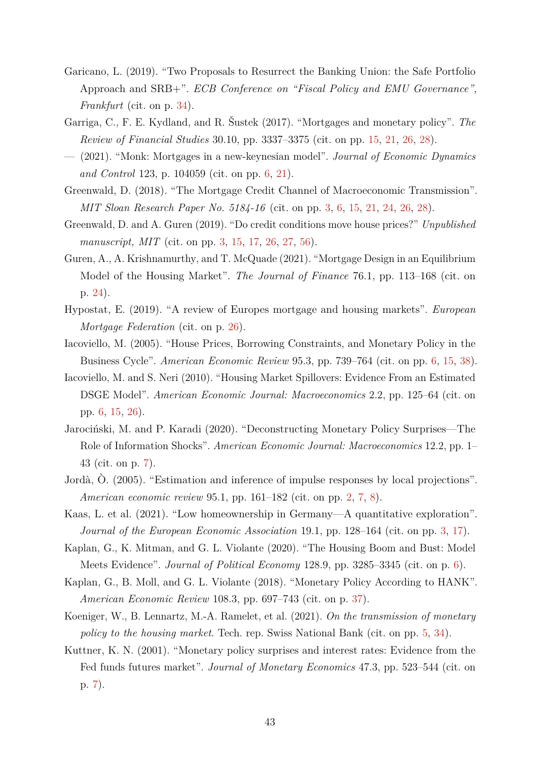- <span id="page-42-14"></span>Garicano, L. (2019). "Two Proposals to Resurrect the Banking Union: the Safe Portfolio Approach and SRB+". *ECB Conference on "Fiscal Policy and EMU Governance", Frankfurt* (cit. on p. [34\)](#page-33-1).
- <span id="page-42-11"></span>Garriga, C., F. E. Kydland, and R. Šustek (2017). "Mortgages and monetary policy". *The Review of Financial Studies* 30.10, pp. 3337–3375 (cit. on pp. [15,](#page-14-0) [21,](#page-20-2) [26,](#page-25-1) [28\)](#page-27-0).
- <span id="page-42-7"></span>— (2021). "Monk: Mortgages in a new-keynesian model". *Journal of Economic Dynamics and Control* 123, p. 104059 (cit. on pp. [6,](#page-5-0) [21\)](#page-20-2).
- <span id="page-42-1"></span>Greenwald, D. (2018). "The Mortgage Credit Channel of Macroeconomic Transmission". *MIT Sloan Research Paper No. 5184-16* (cit. on pp. [3,](#page-2-0) [6,](#page-5-0) [15,](#page-14-0) [21,](#page-20-2) [24,](#page-23-1) [26,](#page-25-1) [28\)](#page-27-0).
- <span id="page-42-2"></span>Greenwald, D. and A. Guren (2019). "Do credit conditions move house prices?" *Unpublished manuscript, MIT* (cit. on pp. [3,](#page-2-0) [15,](#page-14-0) [17,](#page-16-0) [26,](#page-25-1) [27,](#page-26-1) [56\)](#page-55-2).
- <span id="page-42-12"></span>Guren, A., A. Krishnamurthy, and T. McQuade (2021). "Mortgage Design in an Equilibrium Model of the Housing Market". *The Journal of Finance* 76.1, pp. 113–168 (cit. on p. [24\)](#page-23-1).
- <span id="page-42-13"></span>Hypostat, E. (2019). "A review of Europes mortgage and housing markets". *European Mortgage Federation* (cit. on p. [26\)](#page-25-1).
- <span id="page-42-5"></span>Iacoviello, M. (2005). "House Prices, Borrowing Constraints, and Monetary Policy in the Business Cycle". *American Economic Review* 95.3, pp. 739–764 (cit. on pp. [6,](#page-5-0) [15,](#page-14-0) [38\)](#page-37-1).
- <span id="page-42-6"></span>Iacoviello, M. and S. Neri (2010). "Housing Market Spillovers: Evidence From an Estimated DSGE Model". *American Economic Journal: Macroeconomics* 2.2, pp. 125–64 (cit. on pp. [6,](#page-5-0) [15,](#page-14-0) [26\)](#page-25-1).
- <span id="page-42-10"></span>Jarociński, M. and P. Karadi (2020). "Deconstructing Monetary Policy Surprises—The Role of Information Shocks". *American Economic Journal: Macroeconomics* 12.2, pp. 1– 43 (cit. on p. [7\)](#page-6-0).
- <span id="page-42-0"></span>Jordà, Ò. (2005). "Estimation and inference of impulse responses by local projections". *American economic review* 95.1, pp. 161–182 (cit. on pp. [2,](#page-1-0) [7,](#page-6-0) [8\)](#page-7-2).
- <span id="page-42-3"></span>Kaas, L. et al. (2021). "Low homeownership in Germany—A quantitative exploration". *Journal of the European Economic Association* 19.1, pp. 128–164 (cit. on pp. [3,](#page-2-0) [17\)](#page-16-0).
- <span id="page-42-8"></span>Kaplan, G., K. Mitman, and G. L. Violante (2020). "The Housing Boom and Bust: Model Meets Evidence". *Journal of Political Economy* 128.9, pp. 3285–3345 (cit. on p. [6\)](#page-5-0).
- <span id="page-42-15"></span>Kaplan, G., B. Moll, and G. L. Violante (2018). "Monetary Policy According to HANK". *American Economic Review* 108.3, pp. 697–743 (cit. on p. [37\)](#page-36-1).
- <span id="page-42-4"></span>Koeniger, W., B. Lennartz, M.-A. Ramelet, et al. (2021). *On the transmission of monetary policy to the housing market*. Tech. rep. Swiss National Bank (cit. on pp. [5,](#page-4-0) [34\)](#page-33-1).
- <span id="page-42-9"></span>Kuttner, K. N. (2001). "Monetary policy surprises and interest rates: Evidence from the Fed funds futures market". *Journal of Monetary Economics* 47.3, pp. 523–544 (cit. on p. [7\)](#page-6-0).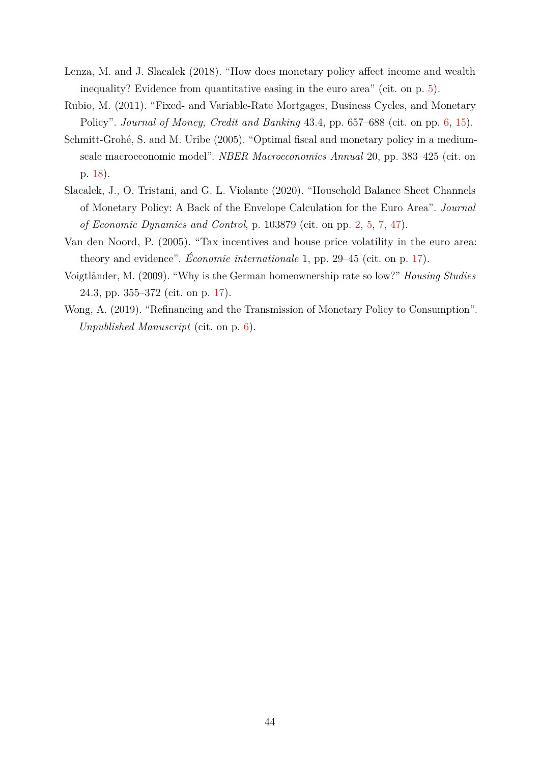- <span id="page-43-1"></span>Lenza, M. and J. Slacalek (2018). "How does monetary policy affect income and wealth inequality? Evidence from quantitative easing in the euro area" (cit. on p. [5\)](#page-4-0).
- <span id="page-43-2"></span>Rubio, M. (2011). "Fixed- and Variable-Rate Mortgages, Business Cycles, and Monetary Policy". *Journal of Money, Credit and Banking* 43.4, pp. 657–688 (cit. on pp. [6,](#page-5-0) [15\)](#page-14-0).
- <span id="page-43-6"></span>Schmitt-Grohé, S. and M. Uribe (2005). "Optimal fiscal and monetary policy in a mediumscale macroeconomic model". *NBER Macroeconomics Annual* 20, pp. 383–425 (cit. on p. [18\)](#page-17-0).
- <span id="page-43-0"></span>Slacalek, J., O. Tristani, and G. L. Violante (2020). "Household Balance Sheet Channels of Monetary Policy: A Back of the Envelope Calculation for the Euro Area". *Journal of Economic Dynamics and Control*, p. 103879 (cit. on pp. [2,](#page-1-0) [5,](#page-4-0) [7,](#page-6-0) [47\)](#page-46-2).
- <span id="page-43-5"></span>Van den Noord, P. (2005). "Tax incentives and house price volatility in the euro area: theory and evidence". *Économie internationale* 1, pp. 29–45 (cit. on p. [17\)](#page-16-0).
- <span id="page-43-4"></span>Voigtländer, M. (2009). "Why is the German homeownership rate so low?" *Housing Studies* 24.3, pp. 355–372 (cit. on p. [17\)](#page-16-0).
- <span id="page-43-3"></span>Wong, A. (2019). "Refinancing and the Transmission of Monetary Policy to Consumption". *Unpublished Manuscript* (cit. on p. [6\)](#page-5-0).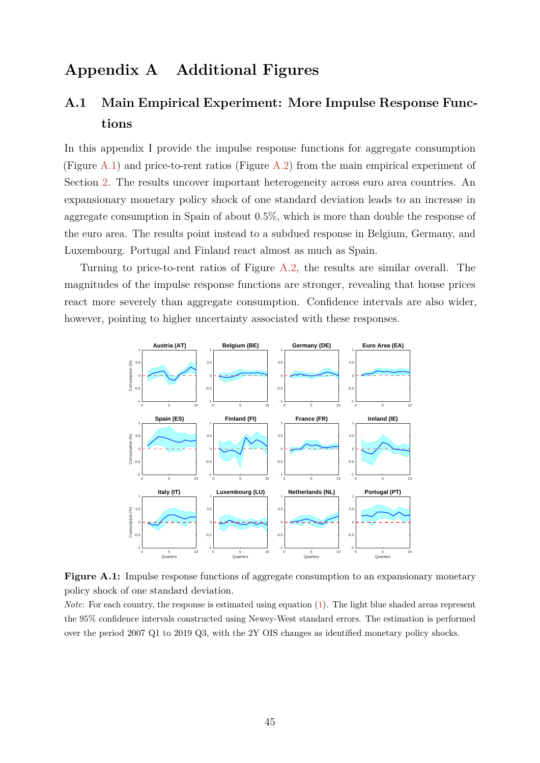# **Appendix A Additional Figures**

# <span id="page-44-0"></span>**A.1 Main Empirical Experiment: More Impulse Response Functions**

In this appendix I provide the impulse response functions for aggregate consumption (Figure [A.1\)](#page-44-1) and price-to-rent ratios (Figure [A.2\)](#page-45-0) from the main empirical experiment of Section [2.](#page-5-1) The results uncover important heterogeneity across euro area countries. An expansionary monetary policy shock of one standard deviation leads to an increase in aggregate consumption in Spain of about 0*.*5%, which is more than double the response of the euro area. The results point instead to a subdued response in Belgium, Germany, and Luxembourg. Portugal and Finland react almost as much as Spain.

Turning to price-to-rent ratios of Figure [A.2,](#page-45-0) the results are similar overall. The magnitudes of the impulse response functions are stronger, revealing that house prices react more severely than aggregate consumption. Confidence intervals are also wider, however, pointing to higher uncertainty associated with these responses.

<span id="page-44-1"></span>

**Figure A.1:** Impulse response functions of aggregate consumption to an expansionary monetary policy shock of one standard deviation.

*Note*: For each country, the response is estimated using equation [\(1\)](#page-7-0). The light blue shaded areas represent the 95% confidence intervals constructed using Newey-West standard errors. The estimation is performed over the period 2007 Q1 to 2019 Q3, with the 2Y OIS changes as identified monetary policy shocks.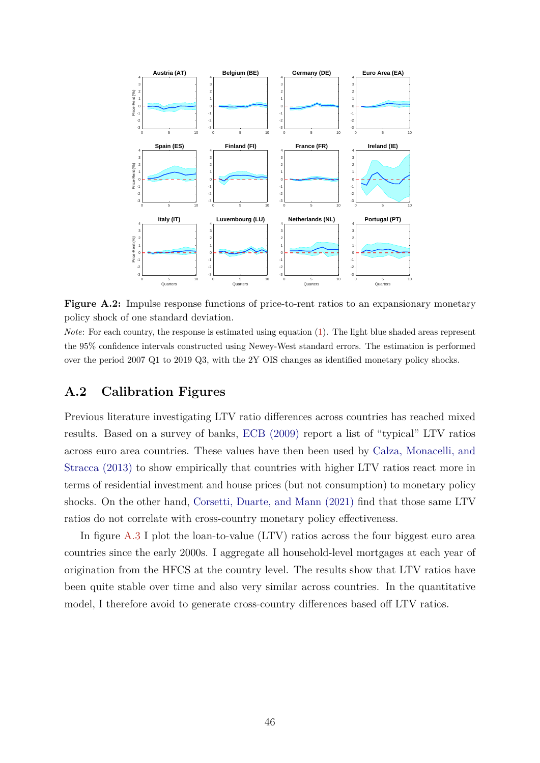<span id="page-45-2"></span><span id="page-45-0"></span>

**Figure A.2:** Impulse response functions of price-to-rent ratios to an expansionary monetary policy shock of one standard deviation.

*Note*: For each country, the response is estimated using equation [\(1\)](#page-7-0). The light blue shaded areas represent the 95% confidence intervals constructed using Newey-West standard errors. The estimation is performed over the period 2007 Q1 to 2019 Q3, with the 2Y OIS changes as identified monetary policy shocks.

# <span id="page-45-1"></span>**A.2 Calibration Figures**

Previous literature investigating LTV ratio differences across countries has reached mixed results. Based on a survey of banks, [ECB \(2009\)](#page-41-15) report a list of "typical" LTV ratios across euro area countries. These values have then been used by [Calza, Monacelli, and](#page-40-2) [Stracca \(2013\)](#page-40-2) to show empirically that countries with higher LTV ratios react more in terms of residential investment and house prices (but not consumption) to monetary policy shocks. On the other hand, [Corsetti, Duarte, and Mann \(2021\)](#page-41-0) find that those same LTV ratios do not correlate with cross-country monetary policy effectiveness.

In figure [A.3](#page-46-1) I plot the loan-to-value (LTV) ratios across the four biggest euro area countries since the early 2000s. I aggregate all household-level mortgages at each year of origination from the HFCS at the country level. The results show that LTV ratios have been quite stable over time and also very similar across countries. In the quantitative model, I therefore avoid to generate cross-country differences based off LTV ratios.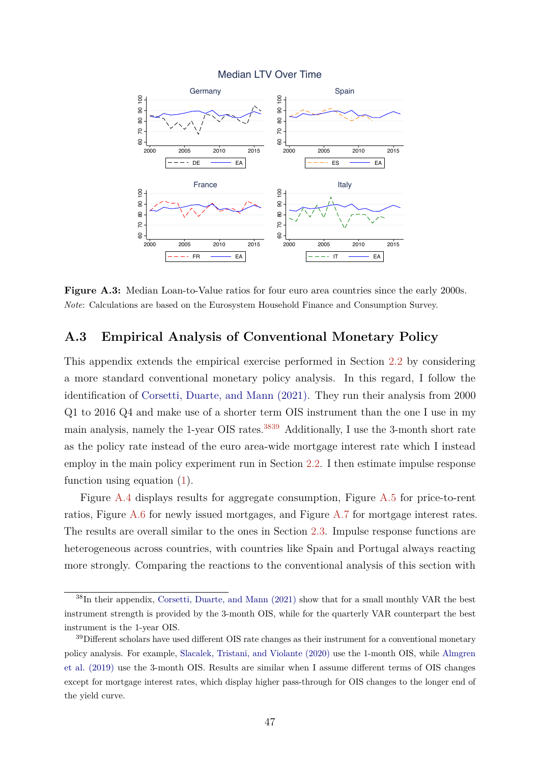<span id="page-46-2"></span><span id="page-46-1"></span>

**Figure A.3:** Median Loan-to-Value ratios for four euro area countries since the early 2000s. *Note*: Calculations are based on the Eurosystem Household Finance and Consumption Survey.

### <span id="page-46-0"></span>**A.3 Empirical Analysis of Conventional Monetary Policy**

This appendix extends the empirical exercise performed in Section [2.2](#page-7-3) by considering a more standard conventional monetary policy analysis. In this regard, I follow the identification of [Corsetti, Duarte, and Mann \(2021\).](#page-41-0) They run their analysis from 2000 Q1 to 2016 Q4 and make use of a shorter term OIS instrument than the one I use in my main analysis, namely the 1-year OIS rates.<sup>[3839](#page-0-0)</sup> Additionally, I use the 3-month short rate as the policy rate instead of the euro area-wide mortgage interest rate which I instead employ in the main policy experiment run in Section [2.2.](#page-7-3) I then estimate impulse response function using equation [\(1\)](#page-7-0).

Figure [A.4](#page-47-0) displays results for aggregate consumption, Figure [A.5](#page-48-0) for price-to-rent ratios, Figure [A.6](#page-48-1) for newly issued mortgages, and Figure [A.7](#page-49-0) for mortgage interest rates. The results are overall similar to the ones in Section [2.3.](#page-7-1) Impulse response functions are heterogeneous across countries, with countries like Spain and Portugal always reacting more strongly. Comparing the reactions to the conventional analysis of this section with

<sup>38</sup>In their appendix, [Corsetti, Duarte, and Mann \(2021\)](#page-41-0) show that for a small monthly VAR the best instrument strength is provided by the 3-month OIS, while for the quarterly VAR counterpart the best instrument is the 1-year OIS.

 $39$ Different scholars have used different OIS rate changes as their instrument for a conventional monetary policy analysis. For example, [Slacalek, Tristani, and Violante \(2020\)](#page-43-0) use the 1-month OIS, while [Almgren](#page-40-1) [et al. \(2019\)](#page-40-1) use the 3-month OIS. Results are similar when I assume different terms of OIS changes except for mortgage interest rates, which display higher pass-through for OIS changes to the longer end of the yield curve.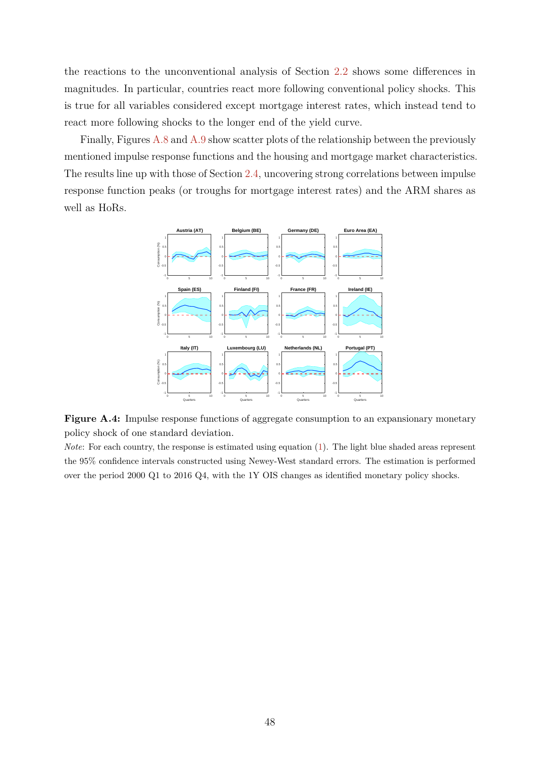the reactions to the unconventional analysis of Section [2.2](#page-7-3) shows some differences in magnitudes. In particular, countries react more following conventional policy shocks. This is true for all variables considered except mortgage interest rates, which instead tend to react more following shocks to the longer end of the yield curve.

Finally, Figures [A.8](#page-49-1) and [A.9](#page-50-1) show scatter plots of the relationship between the previously mentioned impulse response functions and the housing and mortgage market characteristics. The results line up with those of Section [2.4,](#page-9-1) uncovering strong correlations between impulse response function peaks (or troughs for mortgage interest rates) and the ARM shares as well as HoRs.

<span id="page-47-0"></span>

**Figure A.4:** Impulse response functions of aggregate consumption to an expansionary monetary policy shock of one standard deviation.

*Note*: For each country, the response is estimated using equation [\(1\)](#page-7-0). The light blue shaded areas represent the 95% confidence intervals constructed using Newey-West standard errors. The estimation is performed over the period 2000 Q1 to 2016 Q4, with the 1Y OIS changes as identified monetary policy shocks.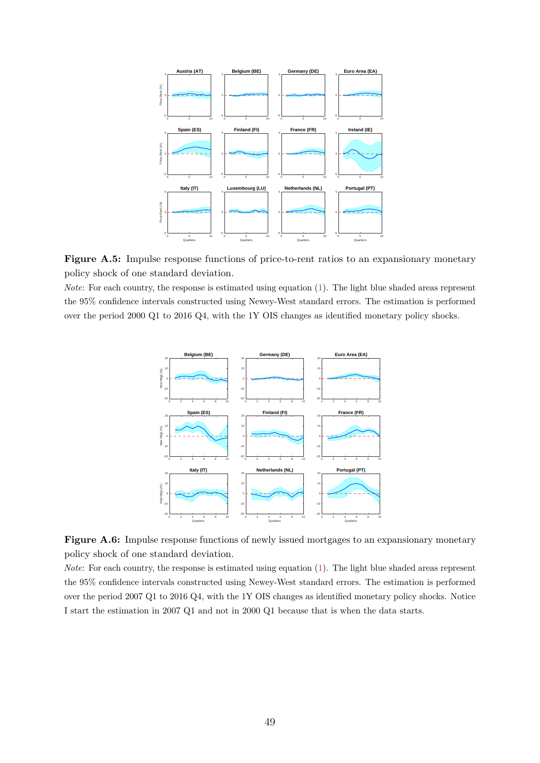<span id="page-48-0"></span>



<span id="page-48-1"></span>*Note*: For each country, the response is estimated using equation [\(1\)](#page-7-0). The light blue shaded areas represent the 95% confidence intervals constructed using Newey-West standard errors. The estimation is performed over the period 2000 Q1 to 2016 Q4, with the 1Y OIS changes as identified monetary policy shocks.



Figure A.6: Impulse response functions of newly issued mortgages to an expansionary monetary policy shock of one standard deviation.

*Note*: For each country, the response is estimated using equation [\(1\)](#page-7-0). The light blue shaded areas represent the 95% confidence intervals constructed using Newey-West standard errors. The estimation is performed over the period 2007 Q1 to 2016 Q4, with the 1Y OIS changes as identified monetary policy shocks. Notice I start the estimation in 2007 Q1 and not in 2000 Q1 because that is when the data starts.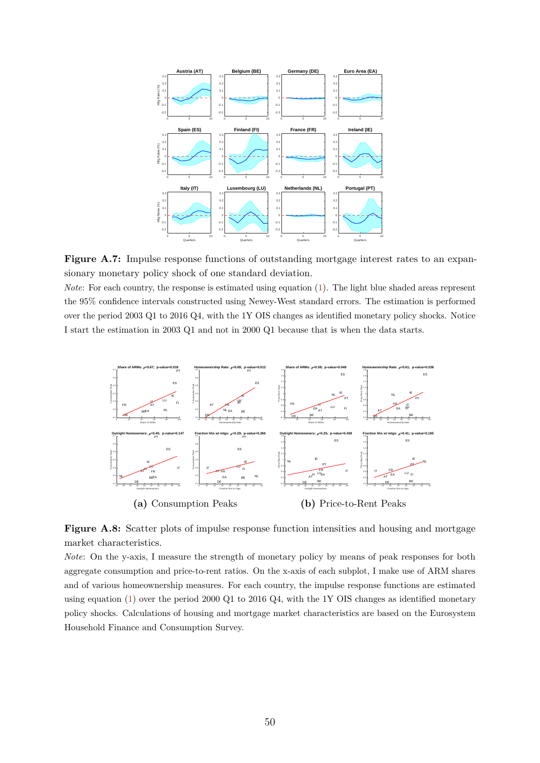<span id="page-49-0"></span>

Figure A.7: Impulse response functions of outstanding mortgage interest rates to an expansionary monetary policy shock of one standard deviation.

*Note*: For each country, the response is estimated using equation [\(1\)](#page-7-0). The light blue shaded areas represent the 95% confidence intervals constructed using Newey-West standard errors. The estimation is performed over the period 2003 Q1 to 2016 Q4, with the 1Y OIS changes as identified monetary policy shocks. Notice I start the estimation in 2003 Q1 and not in 2000 Q1 because that is when the data starts.

<span id="page-49-1"></span>

**Figure A.8:** Scatter plots of impulse response function intensities and housing and mortgage market characteristics.

*Note*: On the y-axis, I measure the strength of monetary policy by means of peak responses for both aggregate consumption and price-to-rent ratios. On the x-axis of each subplot, I make use of ARM shares and of various homeownership measures. For each country, the impulse response functions are estimated using equation [\(1\)](#page-7-0) over the period 2000 Q1 to 2016 Q4, with the 1Y OIS changes as identified monetary policy shocks. Calculations of housing and mortgage market characteristics are based on the Eurosystem Household Finance and Consumption Survey.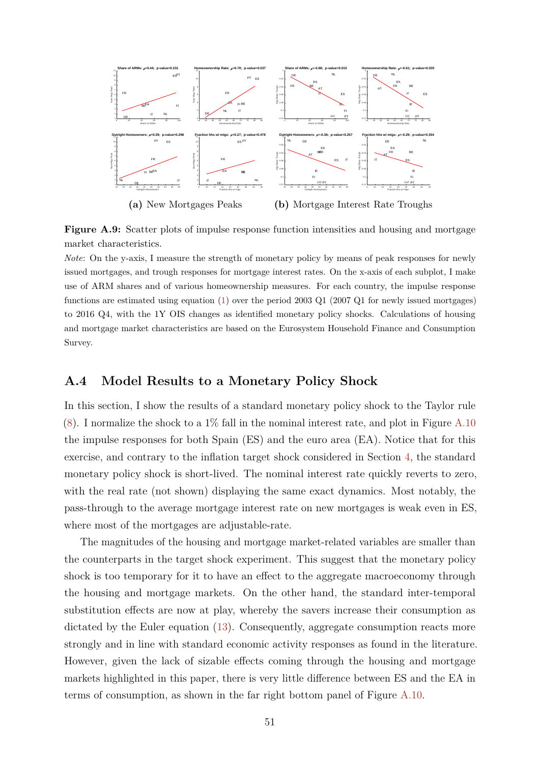<span id="page-50-1"></span>

**Figure A.9:** Scatter plots of impulse response function intensities and housing and mortgage market characteristics.

*Note*: On the y-axis, I measure the strength of monetary policy by means of peak responses for newly issued mortgages, and trough responses for mortgage interest rates. On the x-axis of each subplot, I make use of ARM shares and of various homeownership measures. For each country, the impulse response functions are estimated using equation [\(1\)](#page-7-0) over the period 2003 Q1 (2007 Q1 for newly issued mortgages) to 2016 Q4, with the 1Y OIS changes as identified monetary policy shocks. Calculations of housing and mortgage market characteristics are based on the Eurosystem Household Finance and Consumption Survey.

### <span id="page-50-0"></span>**A.4 Model Results to a Monetary Policy Shock**

In this section, I show the results of a standard monetary policy shock to the Taylor rule  $(8)$ . I normalize the shock to a 1% fall in the nominal interest rate, and plot in Figure [A.10](#page-51-1) the impulse responses for both Spain (ES) and the euro area (EA). Notice that for this exercise, and contrary to the inflation target shock considered in Section [4,](#page-28-0) the standard monetary policy shock is short-lived. The nominal interest rate quickly reverts to zero, with the real rate (not shown) displaying the same exact dynamics. Most notably, the pass-through to the average mortgage interest rate on new mortgages is weak even in ES, where most of the mortgages are adjustable-rate.

The magnitudes of the housing and mortgage market-related variables are smaller than the counterparts in the target shock experiment. This suggest that the monetary policy shock is too temporary for it to have an effect to the aggregate macroeconomy through the housing and mortgage markets. On the other hand, the standard inter-temporal substitution effects are now at play, whereby the savers increase their consumption as dictated by the Euler equation [\(13\)](#page-23-0). Consequently, aggregate consumption reacts more strongly and in line with standard economic activity responses as found in the literature. However, given the lack of sizable effects coming through the housing and mortgage markets highlighted in this paper, there is very little difference between ES and the EA in terms of consumption, as shown in the far right bottom panel of Figure [A.10.](#page-51-1)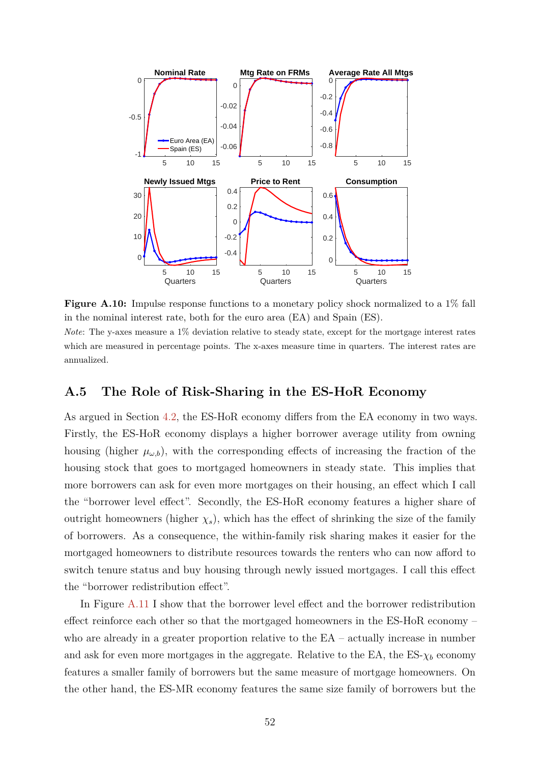<span id="page-51-1"></span>

**Figure A.10:** Impulse response functions to a monetary policy shock normalized to a 1% fall in the nominal interest rate, both for the euro area (EA) and Spain (ES).

*Note*: The y-axes measure a 1% deviation relative to steady state, except for the mortgage interest rates which are measured in percentage points. The x-axes measure time in quarters. The interest rates are annualized.

### <span id="page-51-0"></span>**A.5 The Role of Risk-Sharing in the ES-HoR Economy**

As argued in Section [4.2,](#page-30-0) the ES-HoR economy differs from the EA economy in two ways. Firstly, the ES-HoR economy displays a higher borrower average utility from owning housing (higher  $\mu_{\omega,b}$ ), with the corresponding effects of increasing the fraction of the housing stock that goes to mortgaged homeowners in steady state. This implies that more borrowers can ask for even more mortgages on their housing, an effect which I call the "borrower level effect". Secondly, the ES-HoR economy features a higher share of outright homeowners (higher  $\chi_s$ ), which has the effect of shrinking the size of the family of borrowers. As a consequence, the within-family risk sharing makes it easier for the mortgaged homeowners to distribute resources towards the renters who can now afford to switch tenure status and buy housing through newly issued mortgages. I call this effect the "borrower redistribution effect".

In Figure [A.11](#page-52-1) I show that the borrower level effect and the borrower redistribution effect reinforce each other so that the mortgaged homeowners in the ES-HoR economy – who are already in a greater proportion relative to the  $EA$  – actually increase in number and ask for even more mortgages in the aggregate. Relative to the EA, the ES- $\chi_b$  economy features a smaller family of borrowers but the same measure of mortgage homeowners. On the other hand, the ES-MR economy features the same size family of borrowers but the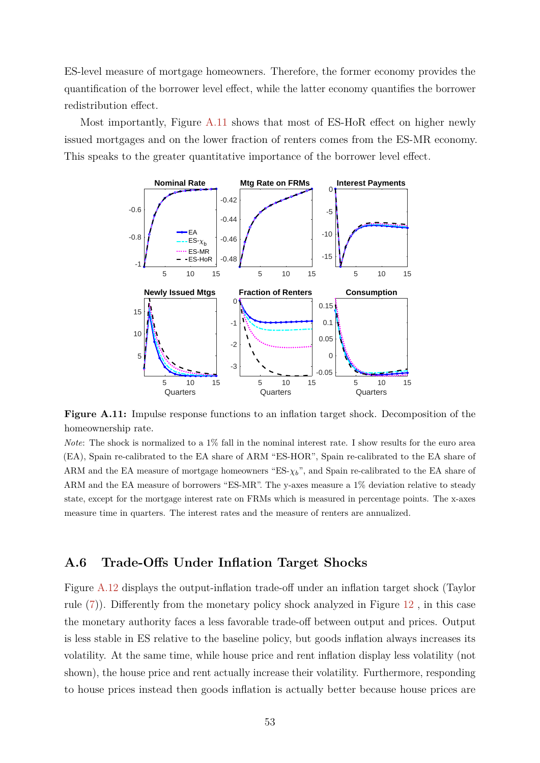ES-level measure of mortgage homeowners. Therefore, the former economy provides the quantification of the borrower level effect, while the latter economy quantifies the borrower redistribution effect.

<span id="page-52-1"></span>Most importantly, Figure [A.11](#page-52-1) shows that most of ES-HoR effect on higher newly issued mortgages and on the lower fraction of renters comes from the ES-MR economy. This speaks to the greater quantitative importance of the borrower level effect.



**Figure A.11:** Impulse response functions to an inflation target shock. Decomposition of the homeownership rate.

*Note*: The shock is normalized to a 1% fall in the nominal interest rate. I show results for the euro area (EA), Spain re-calibrated to the EA share of ARM "ES-HOR", Spain re-calibrated to the EA share of ARM and the EA measure of mortgage homeowners "ES- $\chi_b$ ", and Spain re-calibrated to the EA share of ARM and the EA measure of borrowers "ES-MR". The y-axes measure a 1% deviation relative to steady state, except for the mortgage interest rate on FRMs which is measured in percentage points. The x-axes measure time in quarters. The interest rates and the measure of renters are annualized.

### <span id="page-52-0"></span>**A.6 Trade-Offs Under Inflation Target Shocks**

Figure [A.12](#page-53-0) displays the output-inflation trade-off under an inflation target shock (Taylor rule [\(7\)](#page-21-0)). Differently from the monetary policy shock analyzed in Figure [12](#page-37-0) , in this case the monetary authority faces a less favorable trade-off between output and prices. Output is less stable in ES relative to the baseline policy, but goods inflation always increases its volatility. At the same time, while house price and rent inflation display less volatility (not shown), the house price and rent actually increase their volatility. Furthermore, responding to house prices instead then goods inflation is actually better because house prices are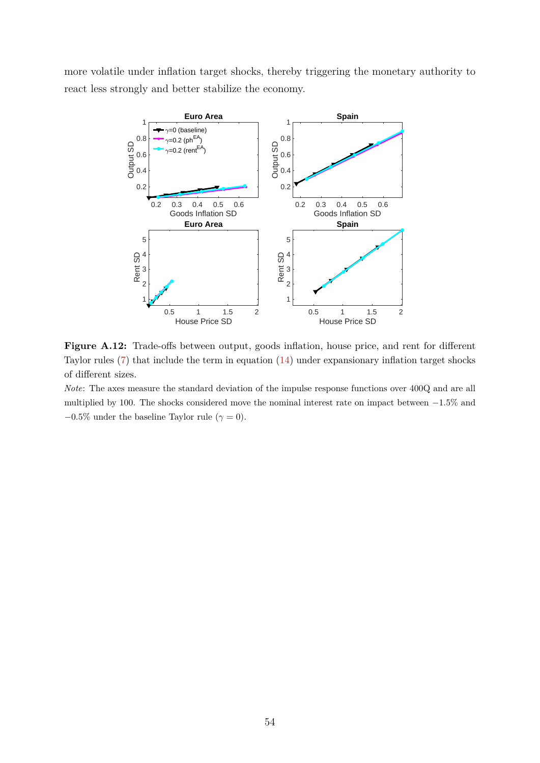<span id="page-53-0"></span>more volatile under inflation target shocks, thereby triggering the monetary authority to react less strongly and better stabilize the economy.



Figure A.12: Trade-offs between output, goods inflation, house price, and rent for different Taylor rules [\(7\)](#page-21-0) that include the term in equation [\(14\)](#page-36-0) under expansionary inflation target shocks of different sizes.

*Note*: The axes measure the standard deviation of the impulse response functions over 400Q and are all multiplied by 100. The shocks considered move the nominal interest rate on impact between −1*.*5% and  $-0.5\%$  under the baseline Taylor rule ( $\gamma = 0$ ).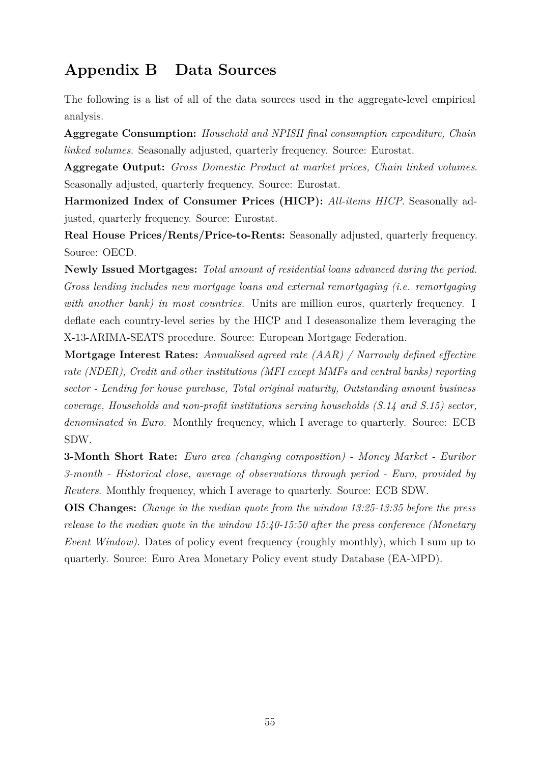# <span id="page-54-0"></span>**Appendix B Data Sources**

The following is a list of all of the data sources used in the aggregate-level empirical analysis.

**Aggregate Consumption:** *Household and NPISH final consumption expenditure, Chain linked volumes*. Seasonally adjusted, quarterly frequency. Source: Eurostat.

**Aggregate Output:** *Gross Domestic Product at market prices, Chain linked volumes*. Seasonally adjusted, quarterly frequency. Source: Eurostat.

**Harmonized Index of Consumer Prices (HICP):** *All-items HICP*. Seasonally adjusted, quarterly frequency. Source: Eurostat.

**Real House Prices/Rents/Price-to-Rents:** Seasonally adjusted, quarterly frequency. Source: OECD.

**Newly Issued Mortgages:** *Total amount of residential loans advanced during the period. Gross lending includes new mortgage loans and external remortgaging (i.e. remortgaging with another bank) in most countries*. Units are million euros, quarterly frequency. I deflate each country-level series by the HICP and I deseasonalize them leveraging the X-13-ARIMA-SEATS procedure. Source: European Mortgage Federation.

**Mortgage Interest Rates:** *Annualised agreed rate (AAR) / Narrowly defined effective rate (NDER), Credit and other institutions (MFI except MMFs and central banks) reporting sector - Lending for house purchase, Total original maturity, Outstanding amount business coverage, Households and non-profit institutions serving households (S.14 and S.15) sector, denominated in Euro*. Monthly frequency, which I average to quarterly. Source: ECB SDW.

**3-Month Short Rate:** *Euro area (changing composition) - Money Market - Euribor 3-month - Historical close, average of observations through period - Euro, provided by Reuters*. Monthly frequency, which I average to quarterly. Source: ECB SDW.

**OIS Changes:** *Change in the median quote from the window 13:25-13:35 before the press release to the median quote in the window 15:40-15:50 after the press conference (Monetary Event Window)*. Dates of policy event frequency (roughly monthly), which I sum up to quarterly. Source: Euro Area Monetary Policy event study Database (EA-MPD).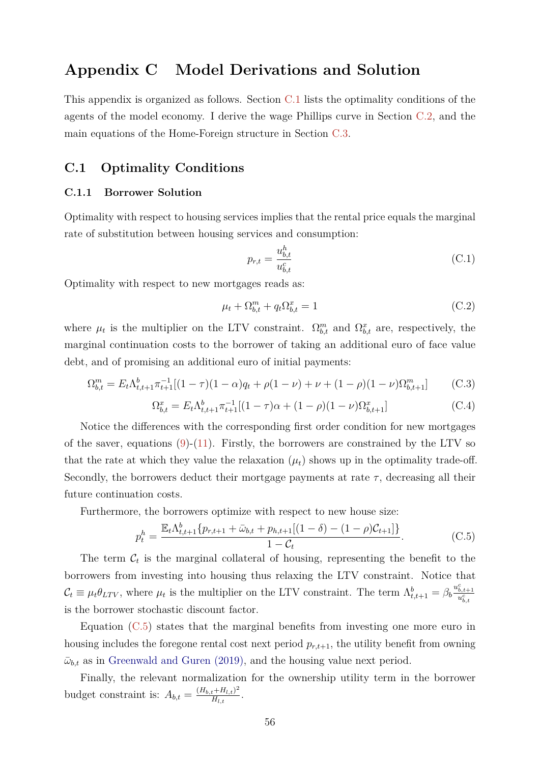# <span id="page-55-2"></span>**Appendix C Model Derivations and Solution**

This appendix is organized as follows. Section [C.1](#page-55-1) lists the optimality conditions of the agents of the model economy. I derive the wage Phillips curve in Section [C.2,](#page-56-0) and the main equations of the Home-Foreign structure in Section [C.3.](#page-57-0)

### <span id="page-55-1"></span>**C.1 Optimality Conditions**

#### <span id="page-55-0"></span>**C.1.1 Borrower Solution**

Optimality with respect to housing services implies that the rental price equals the marginal rate of substitution between housing services and consumption:

$$
p_{r,t} = \frac{u_{b,t}^h}{u_{b,t}^c}
$$
 (C.1)

Optimality with respect to new mortgages reads as:

$$
\mu_t + \Omega_{b,t}^m + q_t \Omega_{b,t}^x = 1 \tag{C.2}
$$

where  $\mu_t$  is the multiplier on the LTV constraint.  $\Omega_{b,t}^m$  and  $\Omega_{b,t}^x$  are, respectively, the marginal continuation costs to the borrower of taking an additional euro of face value debt, and of promising an additional euro of initial payments:

$$
\Omega_{b,t}^m = E_t \Lambda_{t,t+1}^b \pi_{t+1}^{-1} [(1-\tau)(1-\alpha)q_t + \rho(1-\nu) + \nu + (1-\rho)(1-\nu)\Omega_{b,t+1}^m] \tag{C.3}
$$

$$
\Omega_{b,t}^x = E_t \Lambda_{t,t+1}^b \pi_{t+1}^{-1} [(1-\tau)\alpha + (1-\rho)(1-\nu)\Omega_{b,t+1}^x] \tag{C.4}
$$

Notice the differences with the corresponding first order condition for new mortgages of the saver, equations  $(9)-(11)$  $(9)-(11)$  $(9)-(11)$ . Firstly, the borrowers are constrained by the LTV so that the rate at which they value the relaxation  $(\mu_t)$  shows up in the optimality trade-off. Secondly, the borrowers deduct their mortgage payments at rate  $\tau$ , decreasing all their future continuation costs.

Furthermore, the borrowers optimize with respect to new house size:

<span id="page-55-3"></span>
$$
p_t^h = \frac{\mathbb{E}_t \Lambda_{t,t+1}^b \{p_{r,t+1} + \bar{\omega}_{b,t} + p_{h,t+1}[(1-\delta) - (1-\rho)\mathcal{C}_{t+1}]\}}{1-\mathcal{C}_t}.
$$
 (C.5)

The term  $\mathcal{C}_t$  is the marginal collateral of housing, representing the benefit to the borrowers from investing into housing thus relaxing the LTV constraint. Notice that  $\mathcal{C}_t \equiv \mu_t \theta_{LTV}$ , where  $\mu_t$  is the multiplier on the LTV constraint. The term  $\Lambda_{t,t+1}^b = \beta_b \frac{u_{b,t+1}^c}{u_{b,t}^c}$ is the borrower stochastic discount factor.

Equation [\(C.5\)](#page-55-3) states that the marginal benefits from investing one more euro in housing includes the foregone rental cost next period *pr,t*+1, the utility benefit from owning  $\bar{\omega}_{b,t}$  as in [Greenwald and Guren \(2019\),](#page-42-2) and the housing value next period.

Finally, the relevant normalization for the ownership utility term in the borrower budget constraint is:  $A_{b,t} = \frac{(H_{b,t} + H_{l,t})^2}{H_{l,t}}$  $\frac{t+H_{l,t})^+}{H_{l,t}}$ .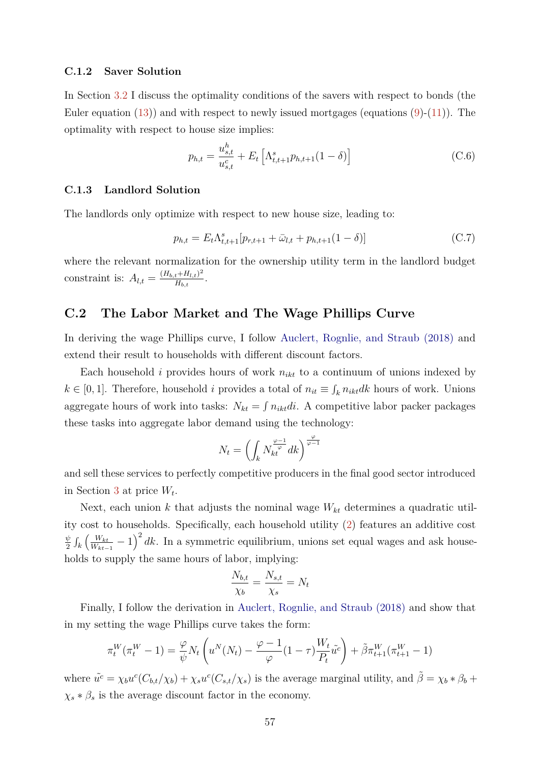#### <span id="page-56-1"></span>**C.1.2 Saver Solution**

In Section [3.2](#page-21-2) I discuss the optimality conditions of the savers with respect to bonds (the Euler equation  $(13)$  and with respect to newly issued mortgages (equations  $(9)-(11)$  $(9)-(11)$  $(9)-(11)$ ). The optimality with respect to house size implies:

$$
p_{h,t} = \frac{u_{s,t}^h}{u_{s,t}^c} + E_t \left[ \Lambda_{t,t+1}^s p_{h,t+1} (1 - \delta) \right]
$$
 (C.6)

#### **C.1.3 Landlord Solution**

The landlords only optimize with respect to new house size, leading to:

$$
p_{h,t} = E_t \Lambda_{t,t+1}^s [p_{r,t+1} + \bar{\omega}_{l,t} + p_{h,t+1}(1 - \delta)] \tag{C.7}
$$

where the relevant normalization for the ownership utility term in the landlord budget constraint is:  $A_{l,t} = \frac{(H_{b,t} + H_{l,t})^2}{H_{b,t}}$  $\frac{t+H_{l,t})^{-}}{H_{b,t}}$ .

# <span id="page-56-0"></span>**C.2 The Labor Market and The Wage Phillips Curve**

In deriving the wage Phillips curve, I follow [Auclert, Rognlie, and Straub \(2018\)](#page-40-9) and extend their result to households with different discount factors.

Each household  $i$  provides hours of work  $n_{ikt}$  to a continuum of unions indexed by *k* ∈ [0, 1]. Therefore, household *i* provides a total of  $n_{it}$  ≡  $\int_k n_{ikt}$ *dk* hours of work. Unions aggregate hours of work into tasks:  $N_{kt} = \int n_{ikt}di$ . A competitive labor packer packages these tasks into aggregate labor demand using the technology:

$$
N_t=\left(\int_kN^{\frac{\varphi-1}{\varphi}}_{kt}dk\right)^{\frac{\varphi}{\varphi-1}}
$$

and sell these services to perfectly competitive producers in the final good sector introduced in Section [3](#page-13-0) at price *W<sup>t</sup>* .

Next, each union *k* that adjusts the nominal wage *Wkt* determines a quadratic utility cost to households. Specifically, each household utility [\(2\)](#page-14-1) features an additive cost *ψ*  $\frac{\psi}{2} \int_{k} \left( \frac{W_{kt}}{W_{kt-}} \right)$  $\frac{W_{kt}}{W_{kt-1}}$  − 1)<sup>2</sup> dk. In a symmetric equilibrium, unions set equal wages and ask households to supply the same hours of labor, implying:

$$
\frac{N_{b,t}}{\chi_b} = \frac{N_{s,t}}{\chi_s} = N_t
$$

Finally, I follow the derivation in [Auclert, Rognlie, and Straub \(2018\)](#page-40-9) and show that in my setting the wage Phillips curve takes the form:

$$
\pi_t^W(\pi_t^W - 1) = \frac{\varphi}{\psi} N_t \left( u^N(N_t) - \frac{\varphi - 1}{\varphi} (1 - \tau) \frac{W_t}{P_t} \tilde{u}^c \right) + \tilde{\beta} \pi_{t+1}^W(\pi_{t+1}^W - 1)
$$

where  $\tilde{u}^c = \chi_b u^c (C_{b,t}/\chi_b) + \chi_s u^c (C_{s,t}/\chi_s)$  is the average marginal utility, and  $\tilde{\beta} = \chi_b * \beta_b + \chi_s u^c C_{b,t}/\chi_b$  $\chi_s * \beta_s$  is the average discount factor in the economy.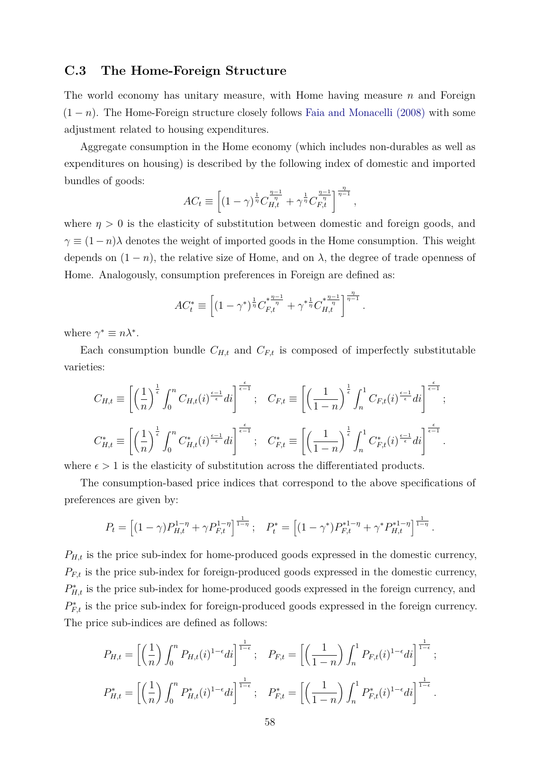# <span id="page-57-1"></span><span id="page-57-0"></span>**C.3 The Home-Foreign Structure**

The world economy has unitary measure, with Home having measure *n* and Foreign  $(1 - n)$ . The Home-Foreign structure closely follows [Faia and Monacelli \(2008\)](#page-41-1) with some adjustment related to housing expenditures.

Aggregate consumption in the Home economy (which includes non-durables as well as expenditures on housing) is described by the following index of domestic and imported bundles of goods:

$$
AC_t \equiv \left[ (1 - \gamma)^{\frac{1}{\eta}} C_{H,t}^{\frac{\eta - 1}{\eta}} + \gamma^{\frac{1}{\eta}} C_{F,t}^{\frac{\eta - 1}{\eta}} \right]^{\frac{\eta}{\eta - 1}},
$$

where  $\eta > 0$  is the elasticity of substitution between domestic and foreign goods, and  $\gamma \equiv (1 - n)\lambda$  denotes the weight of imported goods in the Home consumption. This weight depends on  $(1 - n)$ , the relative size of Home, and on  $\lambda$ , the degree of trade openness of Home. Analogously, consumption preferences in Foreign are defined as:

$$
AC_t^* \equiv \left[ (1 - \gamma^*)^{\frac{1}{\eta}} C_{F,t}^{*\frac{\eta - 1}{\eta}} + \gamma^* {\frac{1}{\eta}} C_{H,t}^{*\frac{\eta - 1}{\eta}} \right]^{\frac{\eta}{\eta - 1}}.
$$

where  $\gamma^* \equiv n\lambda^*$ .

Each consumption bundle  $C_{H,t}$  and  $C_{F,t}$  is composed of imperfectly substitutable varieties:

$$
C_{H,t} \equiv \left[ \left( \frac{1}{n} \right)^{\frac{1}{\epsilon}} \int_0^n C_{H,t}(i)^{\frac{\epsilon-1}{\epsilon}} di \right]^{\frac{\epsilon}{\epsilon-1}}; \quad C_{F,t} \equiv \left[ \left( \frac{1}{1-n} \right)^{\frac{1}{\epsilon}} \int_n^1 C_{F,t}(i)^{\frac{\epsilon-1}{\epsilon}} di \right]^{\frac{\epsilon}{\epsilon-1}};
$$

$$
C_{H,t}^* \equiv \left[ \left( \frac{1}{n} \right)^{\frac{1}{\epsilon}} \int_0^n C_{H,t}^*(i)^{\frac{\epsilon-1}{\epsilon}} di \right]^{\frac{\epsilon}{\epsilon-1}}; \quad C_{F,t}^* \equiv \left[ \left( \frac{1}{1-n} \right)^{\frac{1}{\epsilon}} \int_n^1 C_{F,t}^*(i)^{\frac{\epsilon-1}{\epsilon}} di \right]^{\frac{\epsilon}{\epsilon-1}}.
$$

where  $\epsilon > 1$  is the elasticity of substitution across the differentiated products.

The consumption-based price indices that correspond to the above specifications of preferences are given by:

$$
P_t = \left[ (1-\gamma) P_{H,t}^{1-\eta} + \gamma P_{F,t}^{1-\eta} \right]^{\frac{1}{1-\eta}}; \quad P_t^* = \left[ (1-\gamma^*) P_{F,t}^{*1-\eta} + \gamma^* P_{H,t}^{*1-\eta} \right]^{\frac{1}{1-\eta}}.
$$

 $P_{H,t}$  is the price sub-index for home-produced goods expressed in the domestic currency,  $P_{F,t}$  is the price sub-index for foreign-produced goods expressed in the domestic currency,  $P_{H,t}^*$  is the price sub-index for home-produced goods expressed in the foreign currency, and  $P_{F,t}^*$  is the price sub-index for foreign-produced goods expressed in the foreign currency. The price sub-indices are defined as follows:

$$
P_{H,t} = \left[ \left( \frac{1}{n} \right) \int_0^n P_{H,t}(i)^{1-\epsilon} di \right]^{\frac{1}{1-\epsilon}}; \quad P_{F,t} = \left[ \left( \frac{1}{1-n} \right) \int_n^1 P_{F,t}(i)^{1-\epsilon} di \right]^{\frac{1}{1-\epsilon}};
$$
  

$$
P_{H,t}^* = \left[ \left( \frac{1}{n} \right) \int_0^n P_{H,t}^*(i)^{1-\epsilon} di \right]^{\frac{1}{1-\epsilon}}; \quad P_{F,t}^* = \left[ \left( \frac{1}{1-n} \right) \int_n^1 P_{F,t}^*(i)^{1-\epsilon} di \right]^{\frac{1}{1-\epsilon}}.
$$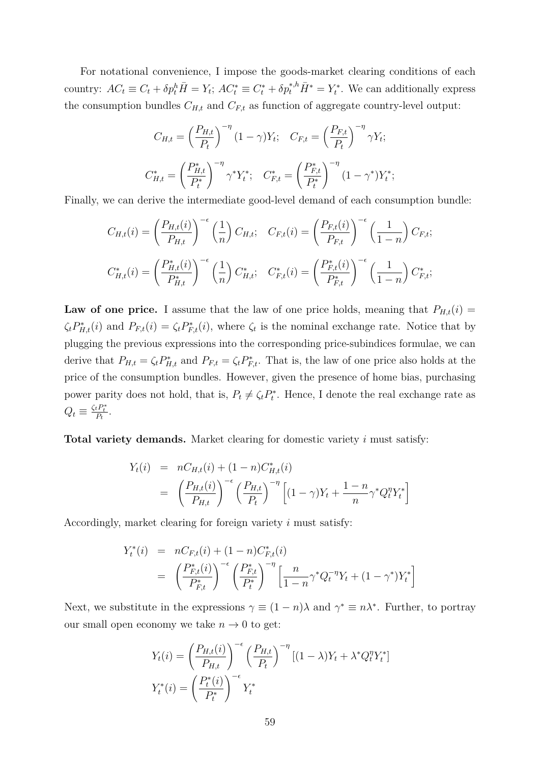For notational convenience, I impose the goods-market clearing conditions of each country:  $AC_t \equiv C_t + \delta p_t^h \overline{H} = Y_t$ ;  $AC_t^* \equiv C_t^* + \delta p_t^{*,h} \overline{H}^* = Y_t^*$ . We can additionally express the consumption bundles  $C_{H,t}$  and  $C_{F,t}$  as function of aggregate country-level output:

$$
C_{H,t} = \left(\frac{P_{H,t}}{P_t}\right)^{-\eta} (1 - \gamma) Y_t; \quad C_{F,t} = \left(\frac{P_{F,t}}{P_t}\right)^{-\eta} \gamma Y_t;
$$

$$
C_{H,t}^* = \left(\frac{P_{H,t}^*}{P_t^*}\right)^{-\eta} \gamma^* Y_t^*; \quad C_{F,t}^* = \left(\frac{P_{F,t}^*}{P_t^*}\right)^{-\eta} (1 - \gamma^*) Y_t^*;
$$

Finally, we can derive the intermediate good-level demand of each consumption bundle:

$$
C_{H,t}(i) = \left(\frac{P_{H,t}(i)}{P_{H,t}}\right)^{-\epsilon} \left(\frac{1}{n}\right) C_{H,t}; \quad C_{F,t}(i) = \left(\frac{P_{F,t}(i)}{P_{F,t}}\right)^{-\epsilon} \left(\frac{1}{1-n}\right) C_{F,t};
$$
  

$$
C_{H,t}^*(i) = \left(\frac{P_{H,t}^*(i)}{P_{H,t}^*}\right)^{-\epsilon} \left(\frac{1}{n}\right) C_{H,t}^*; \quad C_{F,t}^*(i) = \left(\frac{P_{F,t}^*(i)}{P_{F,t}^*}\right)^{-\epsilon} \left(\frac{1}{1-n}\right) C_{F,t}^*;
$$

**Law of one price.** I assume that the law of one price holds, meaning that  $P_{H,t}(i)$  =  $\zeta_t P_{H,t}^*(i)$  and  $P_{F,t}(i) = \zeta_t P_{F,t}^*(i)$ , where  $\zeta_t$  is the nominal exchange rate. Notice that by plugging the previous expressions into the corresponding price-subindices formulae, we can derive that  $P_{H,t} = \zeta_t P_{H,t}^*$  and  $P_{F,t} = \zeta_t P_{F,t}^*$ . That is, the law of one price also holds at the price of the consumption bundles. However, given the presence of home bias, purchasing power parity does not hold, that is,  $P_t \neq \zeta_t P_t^*$ . Hence, I denote the real exchange rate as  $Q_t \equiv \frac{\zeta_t P_t^*}{P_t}.$ 

**Total variety demands.** Market clearing for domestic variety *i* must satisfy:

$$
Y_t(i) = nC_{H,t}(i) + (1 - n)C_{H,t}^*(i)
$$
  
=  $\left(\frac{P_{H,t}(i)}{P_{H,t}}\right)^{-\epsilon} \left(\frac{P_{H,t}}{P_t}\right)^{-\eta} \left[(1 - \gamma)Y_t + \frac{1 - n}{n}\gamma^*Q_t^{\eta}Y_t^*\right]$ 

Accordingly, market clearing for foreign variety *i* must satisfy:

$$
Y_t^*(i) = nC_{F,t}(i) + (1 - n)C_{F,t}^*(i)
$$
  
= 
$$
\left(\frac{P_{F,t}^*(i)}{P_{F,t}^*}\right)^{-\epsilon} \left(\frac{P_{F,t}^*}{P_t^*}\right)^{-\eta} \left[\frac{n}{1 - n} \gamma^* Q_t^{-\eta} Y_t + (1 - \gamma^*) Y_t^*\right]
$$

Next, we substitute in the expressions  $\gamma \equiv (1 - n)\lambda$  and  $\gamma^* \equiv n\lambda^*$ . Further, to portray our small open economy we take  $n \to 0$  to get:

$$
Y_t(i) = \left(\frac{P_{H,t}(i)}{P_{H,t}}\right)^{-\epsilon} \left(\frac{P_{H,t}}{P_t}\right)^{-\eta} [(1-\lambda)Y_t + \lambda^* Q_t^{\eta} Y_t^*]
$$

$$
Y_t^*(i) = \left(\frac{P_t^*(i)}{P_t^*}\right)^{-\epsilon} Y_t^*
$$